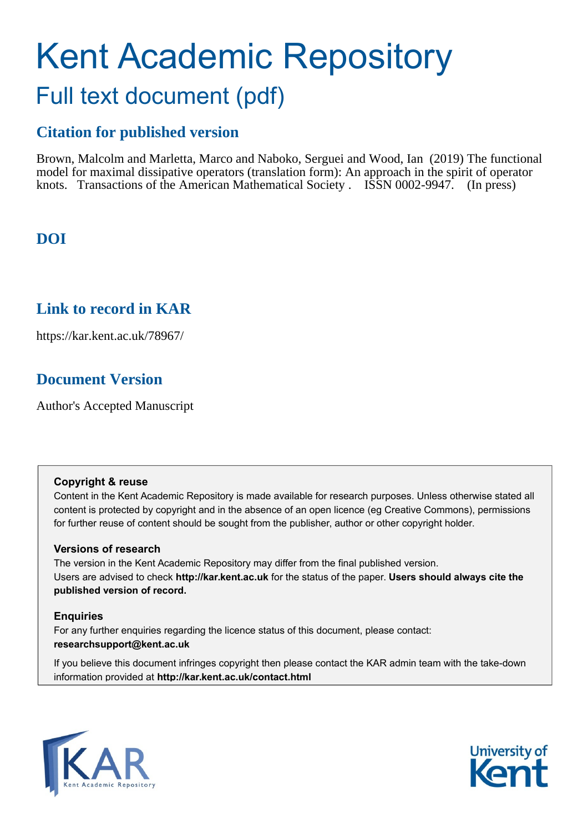# Kent Academic Repository Full text document (pdf)

# **Citation for published version**

Brown, Malcolm and Marletta, Marco and Naboko, Serguei and Wood, Ian (2019) The functional model for maximal dissipative operators (translation form): An approach in the spirit of operator knots. Transactions of the American Mathematical Society . ISSN 0002-9947. (In press)

# **DOI**

# **Link to record in KAR**

https://kar.kent.ac.uk/78967/

# **Document Version**

Author's Accepted Manuscript

## **Copyright & reuse**

Content in the Kent Academic Repository is made available for research purposes. Unless otherwise stated all content is protected by copyright and in the absence of an open licence (eg Creative Commons), permissions for further reuse of content should be sought from the publisher, author or other copyright holder.

## **Versions of research**

The version in the Kent Academic Repository may differ from the final published version. Users are advised to check **http://kar.kent.ac.uk** for the status of the paper. **Users should always cite the published version of record.**

## **Enquiries**

For any further enquiries regarding the licence status of this document, please contact: **researchsupport@kent.ac.uk**

If you believe this document infringes copyright then please contact the KAR admin team with the take-down information provided at **http://kar.kent.ac.uk/contact.html**



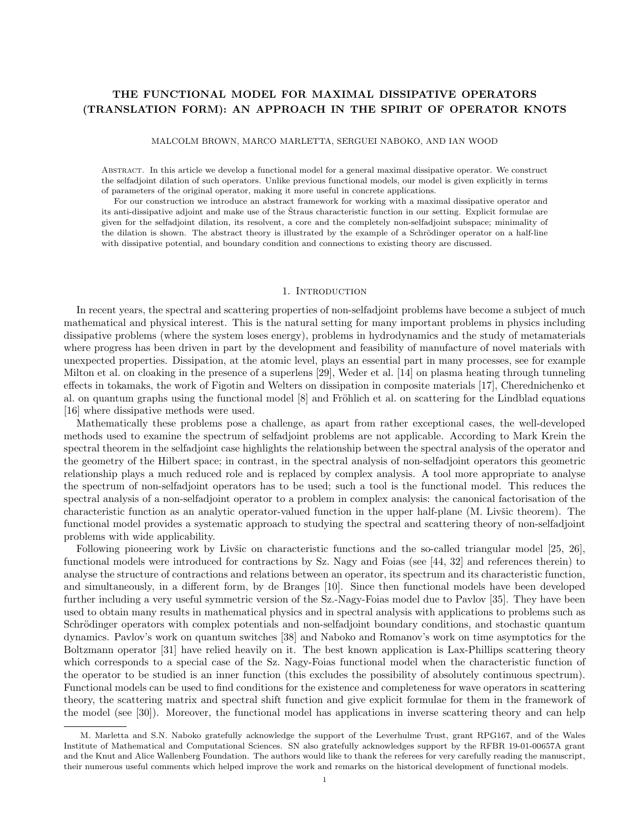### THE FUNCTIONAL MODEL FOR MAXIMAL DISSIPATIVE OPERATORS (TRANSLATION FORM): AN APPROACH IN THE SPIRIT OF OPERATOR KNOTS

MALCOLM BROWN, MARCO MARLETTA, SERGUEI NABOKO, AND IAN WOOD

Abstract. In this article we develop a functional model for a general maximal dissipative operator. We construct the selfadjoint dilation of such operators. Unlike previous functional models, our model is given explicitly in terms of parameters of the original operator, making it more useful in concrete applications.

For our construction we introduce an abstract framework for working with a maximal dissipative operator and its anti-dissipative adjoint and make use of the Straus characteristic function in our setting. Explicit formulae are given for the selfadjoint dilation, its resolvent, a core and the completely non-selfadjoint subspace; minimality of the dilation is shown. The abstract theory is illustrated by the example of a Schrödinger operator on a half-line with dissipative potential, and boundary condition and connections to existing theory are discussed.

#### 1. INTRODUCTION

In recent years, the spectral and scattering properties of non-selfadjoint problems have become a subject of much mathematical and physical interest. This is the natural setting for many important problems in physics including dissipative problems (where the system loses energy), problems in hydrodynamics and the study of metamaterials where progress has been driven in part by the development and feasibility of manufacture of novel materials with unexpected properties. Dissipation, at the atomic level, plays an essential part in many processes, see for example Milton et al. on cloaking in the presence of a superlens [29], Weder et al. [14] on plasma heating through tunneling effects in tokamaks, the work of Figotin and Welters on dissipation in composite materials [17], Cherednichenko et al. on quantum graphs using the functional model [8] and Fröhlich et al. on scattering for the Lindblad equations [16] where dissipative methods were used.

Mathematically these problems pose a challenge, as apart from rather exceptional cases, the well-developed methods used to examine the spectrum of selfadjoint problems are not applicable. According to Mark Krein the spectral theorem in the selfadjoint case highlights the relationship between the spectral analysis of the operator and the geometry of the Hilbert space; in contrast, in the spectral analysis of non-selfadjoint operators this geometric relationship plays a much reduced role and is replaced by complex analysis. A tool more appropriate to analyse the spectrum of non-selfadjoint operators has to be used; such a tool is the functional model. This reduces the spectral analysis of a non-selfadjoint operator to a problem in complex analysis: the canonical factorisation of the characteristic function as an analytic operator-valued function in the upper half-plane (M. Livšic theorem). The functional model provides a systematic approach to studying the spectral and scattering theory of non-selfadjoint problems with wide applicability.

Following pioneering work by Livšic on characteristic functions and the so-called triangular model [25, 26], functional models were introduced for contractions by Sz. Nagy and Foias (see [44, 32] and references therein) to analyse the structure of contractions and relations between an operator, its spectrum and its characteristic function, and simultaneously, in a different form, by de Branges [10]. Since then functional models have been developed further including a very useful symmetric version of the Sz.-Nagy-Foias model due to Pavlov [35]. They have been used to obtain many results in mathematical physics and in spectral analysis with applications to problems such as Schrödinger operators with complex potentials and non-selfadjoint boundary conditions, and stochastic quantum dynamics. Pavlov's work on quantum switches [38] and Naboko and Romanov's work on time asymptotics for the Boltzmann operator [31] have relied heavily on it. The best known application is Lax-Phillips scattering theory which corresponds to a special case of the Sz. Nagy-Foias functional model when the characteristic function of the operator to be studied is an inner function (this excludes the possibility of absolutely continuous spectrum). Functional models can be used to find conditions for the existence and completeness for wave operators in scattering theory, the scattering matrix and spectral shift function and give explicit formulae for them in the framework of the model (see [30]). Moreover, the functional model has applications in inverse scattering theory and can help

M. Marletta and S.N. Naboko gratefully acknowledge the support of the Leverhulme Trust, grant RPG167, and of the Wales Institute of Mathematical and Computational Sciences. SN also gratefully acknowledges support by the RFBR 19-01-00657A grant and the Knut and Alice Wallenberg Foundation. The authors would like to thank the referees for very carefully reading the manuscript, their numerous useful comments which helped improve the work and remarks on the historical development of functional models.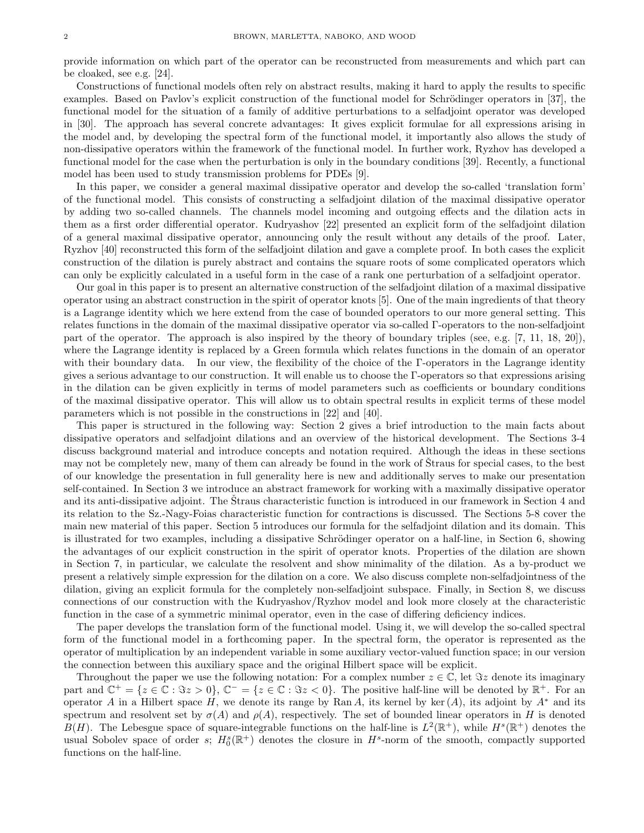provide information on which part of the operator can be reconstructed from measurements and which part can be cloaked, see e.g. [24].

Constructions of functional models often rely on abstract results, making it hard to apply the results to specific examples. Based on Pavlov's explicit construction of the functional model for Schrödinger operators in [37], the functional model for the situation of a family of additive perturbations to a selfadjoint operator was developed in [30]. The approach has several concrete advantages: It gives explicit formulae for all expressions arising in the model and, by developing the spectral form of the functional model, it importantly also allows the study of non-dissipative operators within the framework of the functional model. In further work, Ryzhov has developed a functional model for the case when the perturbation is only in the boundary conditions [39]. Recently, a functional model has been used to study transmission problems for PDEs [9].

In this paper, we consider a general maximal dissipative operator and develop the so-called 'translation form' of the functional model. This consists of constructing a selfadjoint dilation of the maximal dissipative operator by adding two so-called channels. The channels model incoming and outgoing effects and the dilation acts in them as a first order differential operator. Kudryashov [22] presented an explicit form of the selfadjoint dilation of a general maximal dissipative operator, announcing only the result without any details of the proof. Later, Ryzhov [40] reconstructed this form of the selfadjoint dilation and gave a complete proof. In both cases the explicit construction of the dilation is purely abstract and contains the square roots of some complicated operators which can only be explicitly calculated in a useful form in the case of a rank one perturbation of a selfadjoint operator.

Our goal in this paper is to present an alternative construction of the selfadjoint dilation of a maximal dissipative operator using an abstract construction in the spirit of operator knots [5]. One of the main ingredients of that theory is a Lagrange identity which we here extend from the case of bounded operators to our more general setting. This relates functions in the domain of the maximal dissipative operator via so-called Γ-operators to the non-selfadjoint part of the operator. The approach is also inspired by the theory of boundary triples (see, e.g. [7, 11, 18, 20]), where the Lagrange identity is replaced by a Green formula which relates functions in the domain of an operator with their boundary data. In our view, the flexibility of the choice of the Γ-operators in the Lagrange identity gives a serious advantage to our construction. It will enable us to choose the Γ-operators so that expressions arising in the dilation can be given explicitly in terms of model parameters such as coefficients or boundary conditions of the maximal dissipative operator. This will allow us to obtain spectral results in explicit terms of these model parameters which is not possible in the constructions in [22] and [40].

This paper is structured in the following way: Section 2 gives a brief introduction to the main facts about dissipative operators and selfadjoint dilations and an overview of the historical development. The Sections 3-4 discuss background material and introduce concepts and notation required. Although the ideas in these sections may not be completely new, many of them can already be found in the work of Straus for special cases, to the best of our knowledge the presentation in full generality here is new and additionally serves to make our presentation self-contained. In Section 3 we introduce an abstract framework for working with a maximally dissipative operator and its anti-dissipative adjoint. The Straus characteristic function is introduced in our framework in Section 4 and its relation to the Sz.-Nagy-Foias characteristic function for contractions is discussed. The Sections 5-8 cover the main new material of this paper. Section 5 introduces our formula for the selfadjoint dilation and its domain. This is illustrated for two examples, including a dissipative Schrödinger operator on a half-line, in Section 6, showing the advantages of our explicit construction in the spirit of operator knots. Properties of the dilation are shown in Section 7, in particular, we calculate the resolvent and show minimality of the dilation. As a by-product we present a relatively simple expression for the dilation on a core. We also discuss complete non-selfadjointness of the dilation, giving an explicit formula for the completely non-selfadjoint subspace. Finally, in Section 8, we discuss connections of our construction with the Kudryashov/Ryzhov model and look more closely at the characteristic function in the case of a symmetric minimal operator, even in the case of differing deficiency indices.

The paper develops the translation form of the functional model. Using it, we will develop the so-called spectral form of the functional model in a forthcoming paper. In the spectral form, the operator is represented as the operator of multiplication by an independent variable in some auxiliary vector-valued function space; in our version the connection between this auxiliary space and the original Hilbert space will be explicit.

Throughout the paper we use the following notation: For a complex number  $z \in \mathbb{C}$ , let  $\Im z$  denote its imaginary part and  $\mathbb{C}^+ = \{z \in \mathbb{C} : \Im z > 0\}, \mathbb{C}^- = \{z \in \mathbb{C} : \Im z < 0\}.$  The positive half-line will be denoted by  $\mathbb{R}^+$ . For an operator A in a Hilbert space H, we denote its range by Ran A, its kernel by ker (A), its adjoint by  $A^*$  and its spectrum and resolvent set by  $\sigma(A)$  and  $\rho(A)$ , respectively. The set of bounded linear operators in H is denoted  $B(H)$ . The Lebesgue space of square-integrable functions on the half-line is  $L^2(\mathbb{R}^+)$ , while  $H^s(\mathbb{R}^+)$  denotes the usual Sobolev space of order s;  $H_0^s(\mathbb{R}^+)$  denotes the closure in  $H^s$ -norm of the smooth, compactly supported functions on the half-line.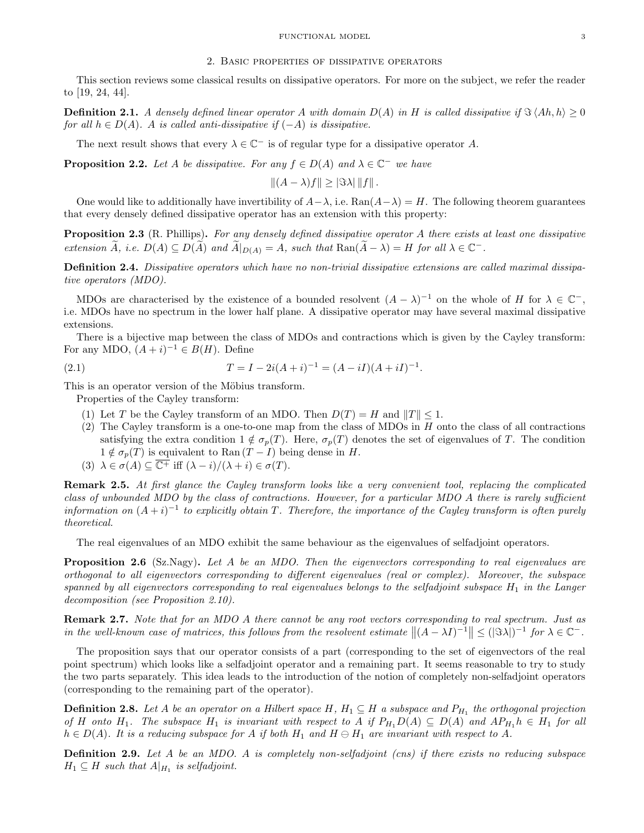#### 2. Basic properties of dissipative operators

This section reviews some classical results on dissipative operators. For more on the subject, we refer the reader to [19, 24, 44].

**Definition 2.1.** A densely defined linear operator A with domain  $D(A)$  in H is called dissipative if  $\Im\langle Ah, h \rangle \geq 0$ for all  $h \in D(A)$ . A is called anti-dissipative if  $(-A)$  is dissipative.

The next result shows that every  $\lambda \in \mathbb{C}^-$  is of regular type for a dissipative operator A.

**Proposition 2.2.** Let A be dissipative. For any  $f \in D(A)$  and  $\lambda \in \mathbb{C}^-$  we have

$$
||(A - \lambda)f|| \geq |\Im \lambda| ||f||.
$$

One would like to additionally have invertibility of  $A-\lambda$ , i.e.  $\text{Ran}(A-\lambda) = H$ . The following theorem guarantees that every densely defined dissipative operator has an extension with this property:

Proposition 2.3 (R. Phillips). For any densely defined dissipative operator A there exists at least one dissipative extension  $\widetilde{A}$ , i.e.  $D(A) \subseteq D(\widetilde{A})$  and  $\widetilde{A}|_{D(A)} = A$ , such that  $\text{Ran}(\widetilde{A} - \lambda) = H$  for all  $\lambda \in \mathbb{C}^-$ .

Definition 2.4. Dissipative operators which have no non-trivial dissipative extensions are called maximal dissipative operators (MDO).

MDOs are characterised by the existence of a bounded resolvent  $(A - \lambda)^{-1}$  on the whole of H for  $\lambda \in \mathbb{C}^-$ , i.e. MDOs have no spectrum in the lower half plane. A dissipative operator may have several maximal dissipative extensions.

There is a bijective map between the class of MDOs and contractions which is given by the Cayley transform: For any MDO,  $(A + i)^{-1} \in B(H)$ . Define

(2.1) 
$$
T = I - 2i(A + i)^{-1} = (A - iI)(A + iI)^{-1}.
$$

This is an operator version of the Möbius transform.

Properties of the Cayley transform:

- (1) Let T be the Cayley transform of an MDO. Then  $D(T) = H$  and  $||T|| \le 1$ .
- (2) The Cayley transform is a one-to-one map from the class of MDOs in H onto the class of all contractions satisfying the extra condition  $1 \notin \sigma_p(T)$ . Here,  $\sigma_p(T)$  denotes the set of eigenvalues of T. The condition  $1 \notin \sigma_p(T)$  is equivalent to Ran  $(T - I)$  being dense in H.
- (3)  $\lambda \in \sigma(A) \subseteq \overline{\mathbb{C}^+}$  iff  $(\lambda i)/(\lambda + i) \in \sigma(T)$ .

Remark 2.5. At first glance the Cayley transform looks like a very convenient tool, replacing the complicated class of unbounded MDO by the class of contractions. However, for a particular MDO A there is rarely sufficient information on  $(A + i)^{-1}$  to explicitly obtain T. Therefore, the importance of the Cayley transform is often purely theoretical.

The real eigenvalues of an MDO exhibit the same behaviour as the eigenvalues of selfadjoint operators.

Proposition 2.6 (Sz.Nagy). Let A be an MDO. Then the eigenvectors corresponding to real eigenvalues are orthogonal to all eigenvectors corresponding to different eigenvalues (real or complex). Moreover, the subspace spanned by all eigenvectors corresponding to real eigenvalues belongs to the selfadjoint subspace  $H_1$  in the Langer decomposition (see Proposition 2.10).

Remark 2.7. Note that for an MDO A there cannot be any root vectors corresponding to real spectrum. Just as in the well-known case of matrices, this follows from the resolvent estimate  $||(A - \lambda I)^{-1}|| \leq (|\Im \lambda|)^{-1}$  for  $\lambda \in \mathbb{C}^-$ .

The proposition says that our operator consists of a part (corresponding to the set of eigenvectors of the real point spectrum) which looks like a selfadjoint operator and a remaining part. It seems reasonable to try to study the two parts separately. This idea leads to the introduction of the notion of completely non-selfadjoint operators (corresponding to the remaining part of the operator).

**Definition 2.8.** Let A be an operator on a Hilbert space H,  $H_1 \subseteq H$  a subspace and  $P_{H_1}$  the orthogonal projection of H onto H<sub>1</sub>. The subspace H<sub>1</sub> is invariant with respect to A if  $P_{H_1}D(A) \subseteq D(A)$  and  $AP_{H_1}h \in H_1$  for all  $h \in D(A)$ . It is a reducing subspace for A if both  $H_1$  and  $H \ominus H_1$  are invariant with respect to A.

Definition 2.9. Let A be an MDO. A is completely non-selfadjoint (cns) if there exists no reducing subspace  $H_1 \subseteq H$  such that  $A|_{H_1}$  is selfadjoint.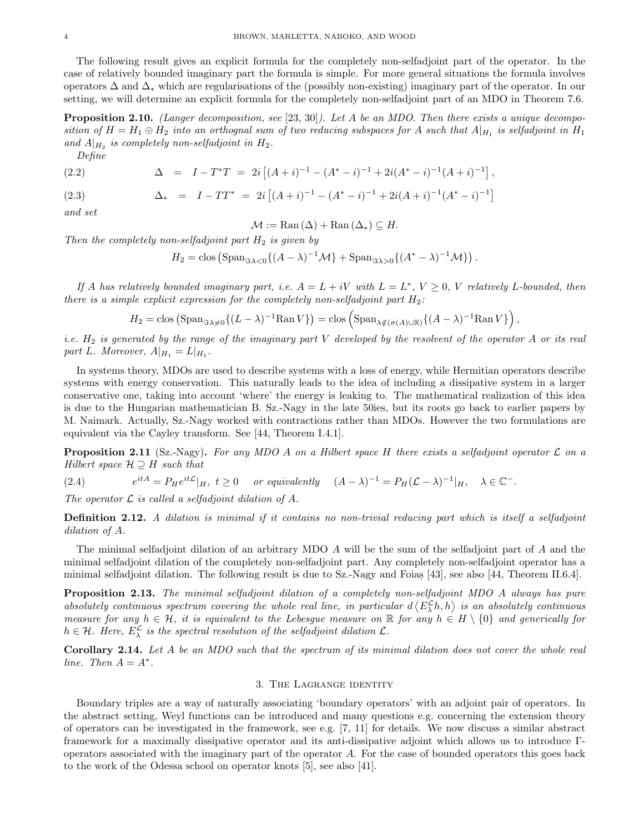The following result gives an explicit formula for the completely non-selfadjoint part of the operator. In the case of relatively bounded imaginary part the formula is simple. For more general situations the formula involves operators ∆ and ∆<sup>∗</sup> which are regularisations of the (possibly non-existing) imaginary part of the operator. In our setting, we will determine an explicit formula for the completely non-selfadjoint part of an MDO in Theorem 7.6.

**Proposition 2.10.** (Langer decomposition, see [23, 30]). Let A be an MDO. Then there exists a unique decomposition of  $H = H_1 \oplus H_2$  into an orthognal sum of two reducing subspaces for A such that  $A|_{H_1}$  is selfadjoint in  $H_1$ and  $A|_{H_2}$  is completely non-selfadjoint in  $H_2$ . Define

(2.2) 
$$
\Delta = I - T^*T = 2i [(A + i)^{-1} - (A^* - i)^{-1} + 2i(A^* - i)^{-1}(A + i)^{-1}],
$$

(2.3) and set

 $\mathcal{M} := \text{Ran}(\Delta) + \text{Ran}(\Delta_*) \subseteq H.$ 

 $\Delta_*$  =  $I - TT^*$  =  $2i [(A + i)^{-1} - (A^* - i)^{-1} + 2i(A + i)^{-1}(A^* - i)^{-1}]$ 

Then the completely non-selfadjoint part  $H_2$  is given by

$$
H_2 = \text{clos} \left( \text{Span}_{\Im \lambda < 0} \{ (A - \lambda)^{-1} \mathcal{M} \} + \text{Span}_{\Im \lambda > 0} \{ (A^* - \lambda)^{-1} \mathcal{M} \} \right).
$$

If A has relatively bounded imaginary part, i.e.  $A = L + iV$  with  $L = L^*$ ,  $V \ge 0$ , V relatively L-bounded, then there is a simple explicit expression for the completely non-selfadjoint part  $H_2$ :

$$
H_2 = \text{clos} \left( \text{Span}_{\Im \lambda \neq 0} \{ (L - \lambda)^{-1} \text{Ran} \, V \} \right) = \text{clos} \left( \text{Span}_{\lambda \notin (\sigma(A) \cup \mathbb{R})} \{ (A - \lambda)^{-1} \text{Ran} \, V \} \right),
$$

*i.e.*  $H_2$  is generated by the range of the imaginary part V developed by the resolvent of the operator A or its real part L. Moreover,  $A|_{H_1} = L|_{H_1}$ .

In systems theory, MDOs are used to describe systems with a loss of energy, while Hermitian operators describe systems with energy conservation. This naturally leads to the idea of including a dissipative system in a larger conservative one, taking into account 'where' the energy is leaking to. The mathematical realization of this idea is due to the Hungarian mathematician B. Sz.-Nagy in the late 50ies, but its roots go back to earlier papers by M. Naimark. Actually, Sz.-Nagy worked with contractions rather than MDOs. However the two formulations are equivalent via the Cayley transform. See [44, Theorem I.4.1].

**Proposition 2.11** (Sz.-Nagy). For any MDO A on a Hilbert space H there exists a selfadjoint operator  $\mathcal L$  on a Hilbert space  $\mathcal{H} \supseteq H$  such that

(2.4) 
$$
e^{itA} = P_H e^{itL} |_{H}, \ t \ge 0 \quad \text{or equivalently} \quad (A - \lambda)^{-1} = P_H (\mathcal{L} - \lambda)^{-1} |_{H}, \quad \lambda \in \mathbb{C}^-.
$$

The operator  $\mathcal L$  is called a selfadjoint dilation of A.

Definition 2.12. A dilation is minimal if it contains no non-trivial reducing part which is itself a selfadjoint dilation of A.

The minimal selfadjoint dilation of an arbitrary MDO A will be the sum of the selfadjoint part of A and the minimal selfadjoint dilation of the completely non-selfadjoint part. Any completely non-selfadjoint operator has a minimal selfadjoint dilation. The following result is due to Sz.-Nagy and Foias [43], see also [44, Theorem II.6.4].

**Proposition 2.13.** The minimal selfadjoint dilation of a completely non-selfadjoint MDO A always has pure absolutely continuous spectrum covering the whole real line, in particular  $d\langle E_\lambda^{\mathcal{L}}h, h\rangle$  is an absolutely continuous measure for any  $h \in \mathcal{H}$ , it is equivalent to the Lebesgue measure on R for any  $h \in H \setminus \{0\}$  and generically for  $h \in \mathcal{H}$ . Here,  $E_{\lambda}^{\mathcal{L}}$  is the spectral resolution of the selfadjoint dilation  $\mathcal{L}$ .

Corollary 2.14. Let A be an MDO such that the spectrum of its minimal dilation does not cover the whole real line. Then  $A = A^*$ .

#### 3. The Lagrange identity

Boundary triples are a way of naturally associating 'boundary operators' with an adjoint pair of operators. In the abstract setting, Weyl functions can be introduced and many questions e.g. concerning the extension theory of operators can be investigated in the framework, see e.g. [7, 11] for details. We now discuss a similar abstract framework for a maximally dissipative operator and its anti-dissipative adjoint which allows us to introduce Γoperators associated with the imaginary part of the operator A. For the case of bounded operators this goes back to the work of the Odessa school on operator knots [5], see also [41].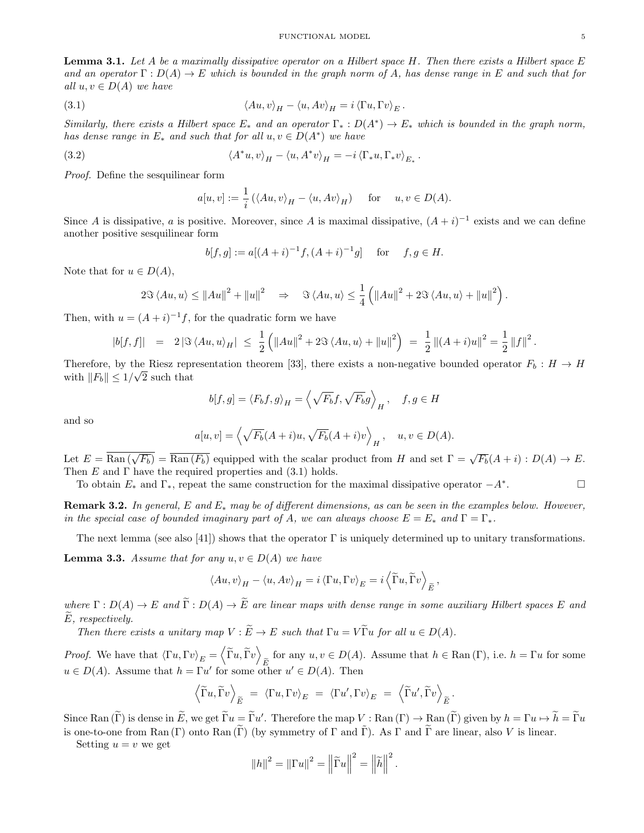**Lemma 3.1.** Let A be a maximally dissipative operator on a Hilbert space H. Then there exists a Hilbert space E and an operator  $\Gamma: D(A) \to E$  which is bounded in the graph norm of A, has dense range in E and such that for all  $u, v \in D(A)$  we have

(3.1) 
$$
\langle Au, v \rangle_H - \langle u, Av \rangle_H = i \langle \Gamma u, \Gamma v \rangle_E.
$$

Similarly, there exists a Hilbert space  $E_*$  and an operator  $\Gamma_*: D(A^*) \to E_*$  which is bounded in the graph norm, has dense range in  $E_*$  and such that for all  $u, v \in D(A^*)$  we have

(3.2) 
$$
\langle A^*u, v \rangle_H - \langle u, A^*v \rangle_H = -i \langle \Gamma_*u, \Gamma_*v \rangle_{E_*}.
$$

Proof. Define the sesquilinear form

$$
a[u, v] := \frac{1}{i} (\langle Au, v \rangle_H - \langle u, Av \rangle_H) \quad \text{for} \quad u, v \in D(A).
$$

Since A is dissipative, a is positive. Moreover, since A is maximal dissipative,  $(A + i)^{-1}$  exists and we can define another positive sesquilinear form

$$
b[f, g] := a[(A + i)^{-1}f, (A + i)^{-1}g]
$$
 for  $f, g \in H$ .

Note that for  $u \in D(A)$ ,

$$
2\Im\left\langle Au,u\right\rangle \leq \|Au\|^2 + \|u\|^2 \quad \Rightarrow \quad \Im\left\langle Au,u\right\rangle \leq \frac{1}{4}\left(\|Au\|^2 + 2\Im\left\langle Au,u\right\rangle + \|u\|^2\right).
$$

Then, with  $u = (A + i)^{-1}f$ , for the quadratic form we have

$$
|b[f,f]| = 2 |\Im \langle Au, u \rangle_H| \leq \frac{1}{2} (||Au||^2 + 2\Im \langle Au, u \rangle + ||u||^2) = \frac{1}{2} ||(A+i)u||^2 = \frac{1}{2} ||f||^2.
$$

Therefore, by the Riesz representation theorem [33], there exists a non-negative bounded operator  $F_b : H \to H$ with  $||F_b|| \leq 1/\sqrt{2}$  such that

$$
b[f,g] = \langle F_b f, g \rangle_H = \left\langle \sqrt{F_b} f, \sqrt{F_b} g \right\rangle_H, \quad f, g \in H
$$

and so

$$
a[u, v] = \left\langle \sqrt{F_b}(A + i)u, \sqrt{F_b}(A + i)v \right\rangle_H, \quad u, v \in D(A).
$$

Let  $E = \overline{\text{Ran}(\sqrt{F_b})} = \overline{\text{Ran}(F_b)}$  equipped with the scalar product from H and set  $\Gamma = \sqrt{F_b}(A + i) : D(A) \to E$ . Then E and  $\Gamma$  have the required properties and (3.1) holds.

To obtain  $E_*$  and  $\Gamma_*$ , repeat the same construction for the maximal dissipative operator  $-A^*$ . . — Первый профессиональный стандарт и профессиональный стандарт и профессиональный стандарт и профессиональны<br>В собстановки профессиональный стандарт и профессиональный стандарт и профессиональный стандарт и профессионал

**Remark 3.2.** In general, E and  $E_*$  may be of different dimensions, as can be seen in the examples below. However, in the special case of bounded imaginary part of A, we can always choose  $E = E_*$  and  $\Gamma = \Gamma_*$ .

The next lemma (see also [41]) shows that the operator Γ is uniquely determined up to unitary transformations.

**Lemma 3.3.** Assume that for any  $u, v \in D(A)$  we have

$$
\langle Au, v \rangle_H - \langle u, Av \rangle_H = i \langle \Gamma u, \Gamma v \rangle_E = i \langle \widetilde{\Gamma} u, \widetilde{\Gamma} v \rangle_{\widetilde{E}},
$$

where  $\Gamma: D(A) \to E$  and  $\widetilde{\Gamma}: D(A) \to \widetilde{E}$  are linear maps with dense range in some auxiliary Hilbert spaces E and  $E$ , respectively.

Then there exists a unitary map  $V : \widetilde{E} \to E$  such that  $\Gamma u = V \widetilde{\Gamma} u$  for all  $u \in D(A)$ .

*Proof.* We have that  $\langle \Gamma u, \Gamma v \rangle_E = \langle \widetilde{\Gamma} u, \widetilde{\Gamma} v \rangle_{\widetilde{E}}$  for any  $u, v \in D(A)$ . Assume that  $h \in \text{Ran}(\Gamma)$ , i.e.  $h = \Gamma u$  for some  $u \in D(A)$ . Assume that  $h = \Gamma u'$  for some other  $u' \in D(A)$ . Then

$$
\left\langle \tilde{\Gamma}u, \tilde{\Gamma}v \right\rangle_{\widetilde{E}} = \left\langle \Gamma u, \Gamma v \right\rangle_E = \left\langle \Gamma u', \Gamma v \right\rangle_E = \left\langle \tilde{\Gamma}u', \tilde{\Gamma}v \right\rangle_{\widetilde{E}}
$$

.

Since Ran  $(\tilde{\Gamma})$  is dense in  $\tilde{E}$ , we get  $\tilde{\Gamma}u = \tilde{\Gamma}u'$ . Therefore the map  $V : \text{Ran}(\Gamma) \to \text{Ran}(\tilde{\Gamma})$  given by  $h = \Gamma u \mapsto \tilde{h} = \tilde{\Gamma}u$ is one-to-one from Ran (Γ) onto Ran (Γ) (by symmetry of Γ and Γ). As Γ and Γ are linear, also V is linear.

Setting  $u = v$  we get

$$
||h||^2 = ||\Gamma u||^2 = \left||\widetilde{\Gamma} u\right||^2 = \left||\widetilde{h}|\right|^2.
$$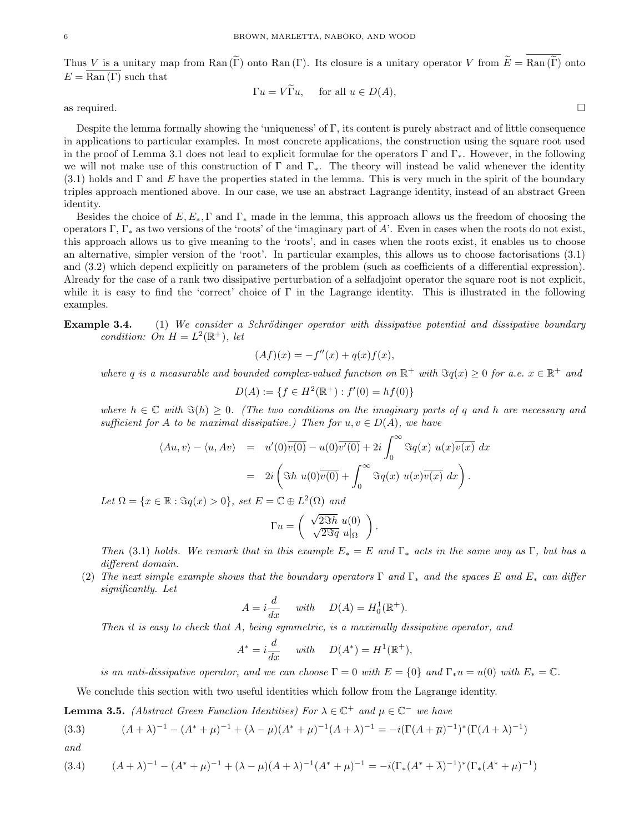Thus V is a unitary map from Ran (Γ) onto Ran (Γ). Its closure is a unitary operator V from  $\widetilde{E} = \overline{\text{Ran}(\widetilde{\Gamma})}$  onto  $E = \overline{\text{Ran}(\Gamma)}$  such that

$$
\Gamma u = V\Gamma u, \quad \text{ for all } u \in D(A),
$$

as required.  $\Box$ 

Despite the lemma formally showing the 'uniqueness' of Γ, its content is purely abstract and of little consequence in applications to particular examples. In most concrete applications, the construction using the square root used in the proof of Lemma 3.1 does not lead to explicit formulae for the operators Γ and Γ<sub>\*</sub>. However, in the following we will not make use of this construction of  $\Gamma$  and  $\Gamma_*$ . The theory will instead be valid whenever the identity (3.1) holds and  $\Gamma$  and  $E$  have the properties stated in the lemma. This is very much in the spirit of the boundary triples approach mentioned above. In our case, we use an abstract Lagrange identity, instead of an abstract Green identity.

Besides the choice of  $E, E_*, \Gamma$  and  $\Gamma_*$  made in the lemma, this approach allows us the freedom of choosing the operators Γ, Γ<sub>\*</sub> as two versions of the 'roots' of the 'imaginary part of A'. Even in cases when the roots do not exist, this approach allows us to give meaning to the 'roots', and in cases when the roots exist, it enables us to choose an alternative, simpler version of the 'root'. In particular examples, this allows us to choose factorisations (3.1) and (3.2) which depend explicitly on parameters of the problem (such as coefficients of a differential expression). Already for the case of a rank two dissipative perturbation of a selfadjoint operator the square root is not explicit, while it is easy to find the 'correct' choice of  $\Gamma$  in the Lagrange identity. This is illustrated in the following examples.

Example 3.4. (1) We consider a Schrödinger operator with dissipative potential and dissipative boundary condition: On  $H = L^2(\mathbb{R}^+),$  let

$$
(Af)(x) = -f''(x) + q(x)f(x),
$$

where q is a measurable and bounded complex-valued function on  $\mathbb{R}^+$  with  $\Im q(x) \geq 0$  for a.e.  $x \in \mathbb{R}^+$  and

$$
D(A) := \{ f \in H^2(\mathbb{R}^+) : f'(0) = h f(0) \}
$$

where  $h \in \mathbb{C}$  with  $\Im(h) \geq 0$ . (The two conditions on the imaginary parts of q and h are necessary and sufficient for A to be maximal dissipative.) Then for  $u, v \in D(A)$ , we have

$$
\langle Au, v \rangle - \langle u, Av \rangle = u'(0)\overline{v(0)} - u(0)\overline{v'(0)} + 2i \int_0^\infty \Im q(x) u(x)\overline{v(x)} dx
$$
  
=  $2i \left( \Im h u(0)\overline{v(0)} + \int_0^\infty \Im q(x) u(x)\overline{v(x)} dx \right).$ 

Let  $\Omega = \{x \in \mathbb{R} : \Im q(x) > 0\}, \text{ set } E = \mathbb{C} \oplus L^2(\Omega) \text{ and }$ 

$$
\Gamma u = \begin{pmatrix} \sqrt{2\Im h} u(0) \\ \sqrt{2\Im q} u|_{\Omega} \end{pmatrix}.
$$

Then (3.1) holds. We remark that in this example  $E_* = E$  and  $\Gamma_*$  acts in the same way as Γ, but has a different domain.

(2) The next simple example shows that the boundary operators  $\Gamma$  and  $\Gamma_*$  and the spaces E and  $E_*$  can differ significantly. Let

$$
A = i\frac{d}{dx} \quad \text{with} \quad D(A) = H_0^1(\mathbb{R}^+).
$$

Then it is easy to check that A, being symmetric, is a maximally dissipative operator, and

$$
A^* = i\frac{d}{dx} \quad \text{with} \quad D(A^*) = H^1(\mathbb{R}^+),
$$

is an anti-dissipative operator, and we can choose  $\Gamma = 0$  with  $E = \{0\}$  and  $\Gamma_* u = u(0)$  with  $E_* = \mathbb{C}$ .

We conclude this section with two useful identities which follow from the Lagrange identity.

**Lemma 3.5.** (Abstract Green Function Identities) For  $\lambda \in \mathbb{C}^+$  and  $\mu \in \mathbb{C}^-$  we have

(3.3) 
$$
(A + \lambda)^{-1} - (A^* + \mu)^{-1} + (\lambda - \mu)(A^* + \mu)^{-1}(A + \lambda)^{-1} = -i(\Gamma(A + \overline{\mu})^{-1})^*(\Gamma(A + \lambda)^{-1})
$$
  
and

$$
(3.4) \qquad (A+\lambda)^{-1} - (A^*+\mu)^{-1} + (\lambda - \mu)(A+\lambda)^{-1}(A^*+\mu)^{-1} = -i(\Gamma_*(A^*+\overline{\lambda})^{-1})^*(\Gamma_*(A^*+\mu)^{-1})
$$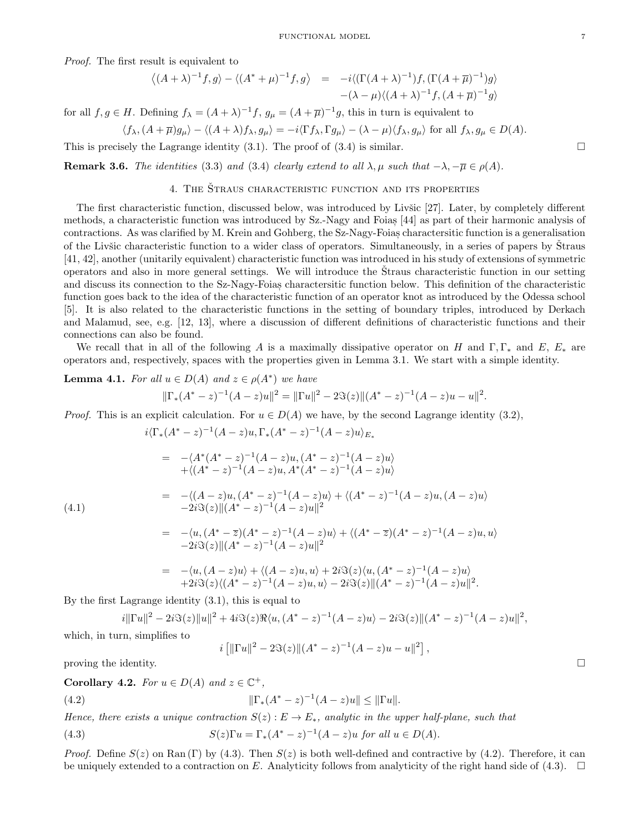Proof. The first result is equivalent to

$$
\langle (A+\lambda)^{-1}f,g \rangle - \langle (A^*+\mu)^{-1}f,g \rangle = -i \langle (\Gamma(A+\lambda)^{-1})f, (\Gamma(A+\overline{\mu})^{-1})g \rangle
$$
  
 
$$
-(\lambda-\mu)\langle (A+\lambda)^{-1}f, (A+\overline{\mu})^{-1}g \rangle
$$

for all  $f, g \in H$ . Defining  $f_{\lambda} = (A + \lambda)^{-1} f$ ,  $g_{\mu} = (A + \overline{\mu})^{-1} g$ , this in turn is equivalent to

$$
\langle f_{\lambda}, (A+\overline{\mu})g_{\mu}\rangle - \langle (A+\lambda)f_{\lambda}, g_{\mu}\rangle = -i\langle \Gamma f_{\lambda}, \Gamma g_{\mu}\rangle - (\lambda-\mu)\langle f_{\lambda}, g_{\mu}\rangle \text{ for all } f_{\lambda}, g_{\mu} \in D(A).
$$

This is precisely the Lagrange identity (3.1). The proof of (3.4) is similar.

**Remark 3.6.** The identities (3.3) and (3.4) clearly extend to all  $\lambda, \mu$  such that  $-\lambda, -\overline{\mu} \in \rho(A)$ .

### 4. THE ŠTRAUS CHARACTERISTIC FUNCTION AND ITS PROPERTIES

The first characteristic function, discussed below, was introduced by Livšic [27]. Later, by completely different methods, a characteristic function was introduced by Sz.-Nagy and Foias [44] as part of their harmonic analysis of contractions. As was clarified by M. Krein and Gohberg, the Sz-Nagy-Foias charactersitic function is a generalisation , of the Livisc characteristic function to a wider class of operators. Simultaneously, in a series of papers by Straus [41, 42], another (unitarily equivalent) characteristic function was introduced in his study of extensions of symmetric operators and also in more general settings. We will introduce the Straus characteristic function in our setting and discuss its connection to the Sz-Nagy-Foias charactersitic function below. This definition of the characteristic function goes back to the idea of the characteristic function of an operator knot as introduced by the Odessa school [5]. It is also related to the characteristic functions in the setting of boundary triples, introduced by Derkach and Malamud, see, e.g. [12, 13], where a discussion of different definitions of characteristic functions and their connections can also be found.

We recall that in all of the following A is a maximally dissipative operator on H and  $\Gamma, \Gamma_*$  and E,  $E_*$  are operators and, respectively, spaces with the properties given in Lemma 3.1. We start with a simple identity.

**Lemma 4.1.** For all 
$$
u \in D(A)
$$
 and  $z \in \rho(A^*)$  we have  

$$
||\Gamma_*(A^* - z)^{-1}(A - z)u||^2 = ||\Gamma u||^2 - 2\Im(z)||(A^* - z)^{-1}(A - z)u - u||^2.
$$

*Proof.* This is an explicit calculation. For  $u \in D(A)$  we have, by the second Lagrange identity (3.2),

$$
i\langle \Gamma_*(A^*-z)^{-1}(A-z)u, \Gamma_*(A^*-z)^{-1}(A-z)u \rangle_{E_*}
$$
  
\n
$$
= -\langle A^*(A^*-z)^{-1}(A-z)u, (A^*-z)^{-1}(A-z)u \rangle
$$
  
\n
$$
+\langle (A^*-z)^{-1}(A-z)u, A^*(A^*-z)^{-1}(A-z)u \rangle
$$
  
\n
$$
= -\langle (A-z)u, (A^*-z)^{-1}(A-z)u \rangle + \langle (A^*-z)^{-1}(A-z)u, (A-z)u \rangle
$$
  
\n
$$
-2i\Im(z)\|(A^*-z)^{-1}(A-z)u\|^2
$$
  
\n
$$
= -\langle u, (A^*-z)(A^*-z)^{-1}(A-z)u \rangle + \langle (A^*-z)(A^*-z)^{-1}(A-z)u, u \rangle
$$
  
\n
$$
-2i\Im(z)\|(A^*-z)^{-1}(A-z)u\|^2
$$

$$
= -\langle u, (A-z)u \rangle + \langle (A-z)u, u \rangle + 2i \Im(z) \langle u, (A^* - z)^{-1} (A-z)u \rangle + 2i \Im(z) \langle (A^* - z)^{-1} (A-z)u, u \rangle - 2i \Im(z) ||(A^* - z)^{-1} (A-z)u||^2.
$$

By the first Lagrange identity (3.1), this is equal to

$$
i\|\Gamma u\|^2 - 2i\Im(z)\|u\|^2 + 4i\Im(z)\Re\langle u, (A^* - z)^{-1}(A - z)u \rangle - 2i\Im(z)\|(A^* - z)^{-1}(A - z)u\|^2,
$$

which, in turn, simplifies to

$$
i [||\Gamma u||^2 - 2\Im(z)||(A^* - z)^{-1}(A - z)u - u||^2]
$$

,

proving the identity.  $\Box$ 

Corollary 4.2. For  $u \in D(A)$  and  $z \in \mathbb{C}^+$ ,

(4.2) 
$$
\|\Gamma_*(A^*-z)^{-1}(A-z)u\| \le \|\Gamma u\|.
$$

Hence, there exists a unique contraction  $S(z): E \to E_*,$  analytic in the upper half-plane, such that

(4.3) 
$$
S(z)\Gamma u = \Gamma_*(A^* - z)^{-1}(A - z)u \text{ for all } u \in D(A).
$$

*Proof.* Define  $S(z)$  on Ran (Γ) by (4.3). Then  $S(z)$  is both well-defined and contractive by (4.2). Therefore, it can be uniquely extended to a contraction on E. Analyticity follows from analyticity of the right hand side of (4.3).  $\Box$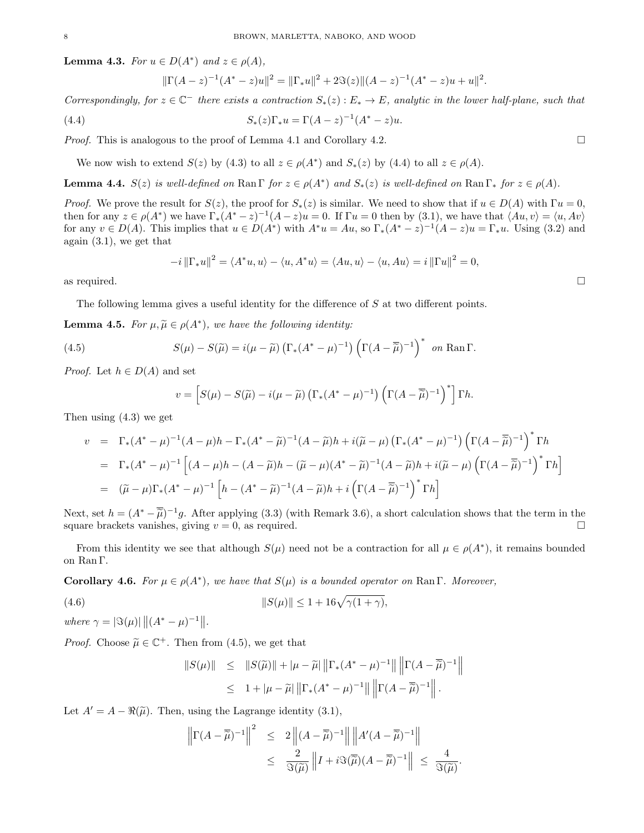**Lemma 4.3.** For  $u \in D(A^*)$  and  $z \in \rho(A)$ ,

$$
\|\Gamma(A-z)^{-1}(A^*-z)u\|^2 = \|\Gamma_*u\|^2 + 2\Im(z)\|(A-z)^{-1}(A^*-z)u + u\|^2.
$$

Correspondingly, for  $z \in \mathbb{C}^-$  there exists a contraction  $S_*(z): E_* \to E$ , analytic in the lower half-plane, such that

(4.4) 
$$
S_*(z)\Gamma_*u = \Gamma(A-z)^{-1}(A^*-z)u.
$$

*Proof.* This is analogous to the proof of Lemma 4.1 and Corollary 4.2.

We now wish to extend  $S(z)$  by (4.3) to all  $z \in \rho(A^*)$  and  $S_*(z)$  by (4.4) to all  $z \in \rho(A)$ .

**Lemma 4.4.**  $S(z)$  is well-defined on Ran  $\Gamma$  for  $z \in \rho(A^*)$  and  $S_*(z)$  is well-defined on Ran  $\Gamma_*$  for  $z \in \rho(A)$ .

*Proof.* We prove the result for  $S(z)$ , the proof for  $S_*(z)$  is similar. We need to show that if  $u \in D(A)$  with  $\Gamma u = 0$ , then for any  $z \in \rho(A^*)$  we have  $\Gamma_*(A^* - z)^{-1}(A - z)u = 0$ . If  $\Gamma u = 0$  then by (3.1), we have that  $\langle Au, v \rangle = \langle u, Av \rangle$ for any  $v \in D(A)$ . This implies that  $u \in D(A^*)$  with  $A^*u = Au$ , so  $\Gamma_*(A^* - z)^{-1}(A - z)u = \Gamma_*u$ . Using (3.2) and again (3.1), we get that

$$
-i\left\|\Gamma_*u\right\|^2 = \langle A^*u, u \rangle - \langle u, A^*u \rangle = \langle Au, u \rangle - \langle u, Au \rangle = i\left\|\Gamma u\right\|^2 = 0,
$$

as required.  $\Box$ 

The following lemma gives a useful identity for the difference of S at two different points.

**Lemma 4.5.** For  $\mu, \widetilde{\mu} \in \rho(A^*)$ , we have the following identity:

(4.5) 
$$
S(\mu) - S(\widetilde{\mu}) = i(\mu - \widetilde{\mu}) \left( \Gamma_*(A^* - \mu)^{-1} \right) \left( \Gamma(A - \overline{\widetilde{\mu}})^{-1} \right)^* \text{ on } \text{Ran } \Gamma.
$$

*Proof.* Let  $h \in D(A)$  and set

$$
v = \left[ S(\mu) - S(\widetilde{\mu}) - i(\mu - \widetilde{\mu}) \left( \Gamma_*(A^* - \mu)^{-1} \right) \left( \Gamma(A - \overline{\widetilde{\mu}})^{-1} \right)^* \right] \Gamma h.
$$

Then using (4.3) we get

$$
v = \Gamma_*(A^* - \mu)^{-1}(A - \mu)h - \Gamma_*(A^* - \widetilde{\mu})^{-1}(A - \widetilde{\mu})h + i(\widetilde{\mu} - \mu)\left(\Gamma_*(A^* - \mu)^{-1}\right)\left(\Gamma(A - \overline{\widetilde{\mu}})^{-1}\right)^* \Gamma h
$$
  
\n
$$
= \Gamma_*(A^* - \mu)^{-1}\left[(A - \mu)h - (A - \widetilde{\mu})h - (\widetilde{\mu} - \mu)(A^* - \widetilde{\mu})^{-1}(A - \widetilde{\mu})h + i(\widetilde{\mu} - \mu)\left(\Gamma(A - \overline{\widetilde{\mu}})^{-1}\right)^* \Gamma h\right]
$$
  
\n
$$
= (\widetilde{\mu} - \mu)\Gamma_*(A^* - \mu)^{-1}\left[h - (A^* - \widetilde{\mu})^{-1}(A - \widetilde{\mu})h + i\left(\Gamma(A - \overline{\widetilde{\mu}})^{-1}\right)^* \Gamma h\right]
$$

Next, set  $h = (A^* - \overline{\tilde{\mu}})^{-1}g$ . After applying (3.3) (with Remark 3.6), a short calculation shows that the term in the square brackets uppides giving  $v = 0$  as required square brackets vanishes, giving  $v = 0$ , as required.

From this identity we see that although  $S(\mu)$  need not be a contraction for all  $\mu \in \rho(A^*)$ , it remains bounded on Ran Γ.

**Corollary 4.6.** For  $\mu \in \rho(A^*)$ , we have that  $S(\mu)$  is a bounded operator on Ran  $\Gamma$ . Moreover,

(4.6) 
$$
||S(\mu)|| \le 1 + 16\sqrt{\gamma(1+\gamma)},
$$

where  $\gamma = |\Im(\mu)| ||(A^* - \mu)^{-1}||.$ 

*Proof.* Choose  $\widetilde{\mu} \in \mathbb{C}^+$ . Then from (4.5), we get that

$$
\begin{array}{rcl} \|S(\mu)\| & \leq & \|S(\widetilde{\mu})\| + |\mu - \widetilde{\mu}| \left\| \Gamma_*(A^* - \mu)^{-1} \right\| \left\| \Gamma(A - \overline{\widetilde{\mu}})^{-1} \right\| \\ & \leq & 1 + |\mu - \widetilde{\mu}| \left\| \Gamma_*(A^* - \mu)^{-1} \right\| \left\| \Gamma(A - \overline{\widetilde{\mu}})^{-1} \right\| .\end{array}
$$

Let  $A' = A - \Re(\tilde{\mu})$ . Then, using the Lagrange identity (3.1),

$$
\left\| \Gamma(A - \overline{\widetilde{\mu}})^{-1} \right\|^2 \leq 2 \left\| (A - \overline{\widetilde{\mu}})^{-1} \right\| \left\| A'(A - \overline{\widetilde{\mu}})^{-1} \right\|
$$
  

$$
\leq \frac{2}{\Im(\widetilde{\mu})} \left\| I + i \Im(\overline{\widetilde{\mu}}) (A - \overline{\widetilde{\mu}})^{-1} \right\| \leq \frac{4}{\Im(\widetilde{\mu})}.
$$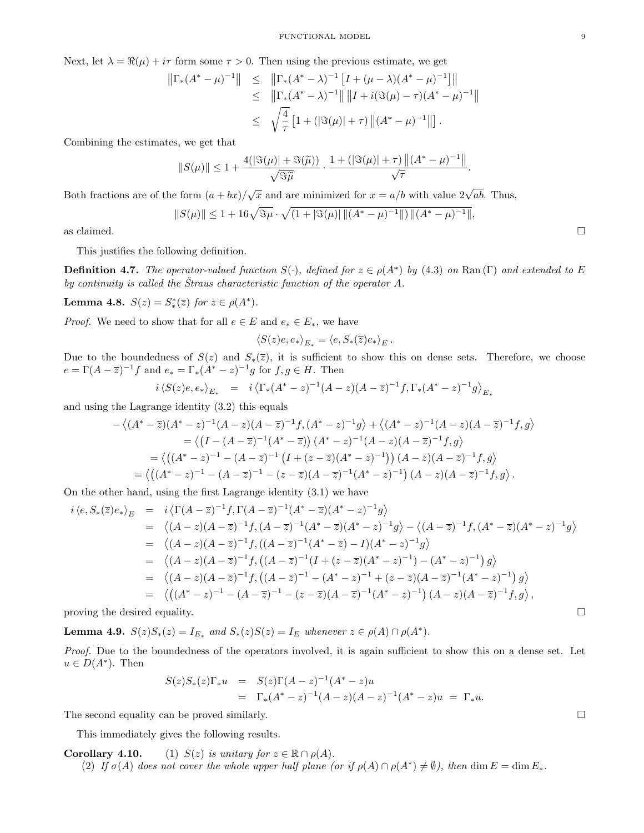Next, let  $\lambda = \Re(\mu) + i\tau$  form some  $\tau > 0$ . Then using the previous estimate, we get

$$
\begin{array}{rcl} \left\| \Gamma_*(A^* - \mu)^{-1} \right\| & \leq & \left\| \Gamma_*(A^* - \lambda)^{-1} \left[ I + (\mu - \lambda)(A^* - \mu)^{-1} \right] \right\| \\ & \leq & \left\| \Gamma_*(A^* - \lambda)^{-1} \right\| \left\| I + i(\Im(\mu) - \tau)(A^* - \mu)^{-1} \right\| \\ & \leq & \sqrt{\frac{4}{\tau}} \left[ 1 + (|\Im(\mu)| + \tau) \left\| (A^* - \mu)^{-1} \right\| \right]. \end{array}
$$

Combining the estimates, we get that

$$
||S(\mu)|| \leq 1 + \frac{4(|\Im(\mu)| + \Im(\widetilde{\mu}))}{\sqrt{\Im \widetilde{\mu}}} \cdot \frac{1 + (|\Im(\mu)| + \tau) ||(A^* - \mu)^{-1}||}{\sqrt{\tau}}.
$$

Both fractions are of the form  $(a+bx)/\sqrt{x}$  and are minimized for  $x = a/b$  with value  $2\sqrt{ab}$ . Thus,

$$
||S(\mu)|| \le 1 + 16\sqrt{\Im\mu} \cdot \sqrt{(1 + |\Im(\mu)| ||(A^* - \mu)^{-1}||) ||(A^* - \mu)^{-1}||},
$$
 as claimed.

.

This justifies the following definition.

**Definition 4.7.** The operator-valued function  $S(\cdot)$ , defined for  $z \in \rho(A^*)$  by (4.3) on Ran (Γ) and extended to E by continuity is called the Straus characteristic function of the operator  $A$ .

Lemma 4.8.  $S(z) = S^*_*(\overline{z})$  for  $z \in \rho(A^*)$ .

*Proof.* We need to show that for all  $e \in E$  and  $e_* \in E_*$ , we have

$$
\langle S(z)e,e_*\rangle_{E_*}=\langle e,S_*(\overline{z})e_*\rangle_{E}
$$

Due to the boundedness of  $S(z)$  and  $S_*(\overline{z})$ , it is sufficient to show this on dense sets. Therefore, we choose  $e = \Gamma(A - \overline{z})^{-1}f$  and  $e_* = \Gamma_*(A^* - z)^{-1}g$  for  $f, g \in H$ . Then

$$
i \langle S(z)e, e_* \rangle_{E_*} = i \langle \Gamma_*(A^* - z)^{-1} (A - z)(A - \overline{z})^{-1} f, \Gamma_*(A^* - z)^{-1} g \rangle_{E_*}
$$

and using the Lagrange identity (3.2) this equals

$$
-\langle (A^* - \overline{z})(A^* - z)^{-1}(A - z)(A - \overline{z})^{-1}f, (A^* - z)^{-1}g \rangle + \langle (A^* - z)^{-1}(A - z)(A - \overline{z})^{-1}f, g \rangle
$$
  
=  $\langle (I - (A - \overline{z})^{-1}(A^* - \overline{z})) (A^* - z)^{-1}(A - z)(A - \overline{z})^{-1}f, g \rangle$   
=  $\langle ((A^* - z)^{-1} - (A - \overline{z})^{-1} (I + (z - \overline{z})(A^* - z)^{-1})) (A - z)(A - \overline{z})^{-1}f, g \rangle$   
=  $\langle ((A^* - z)^{-1} - (A - \overline{z})^{-1} - (z - \overline{z})(A - \overline{z})^{-1}(A^* - z)^{-1}) (A - z)(A - \overline{z})^{-1}f, g \rangle.$ 

On the other hand, using the first Lagrange identity (3.1) we have

$$
i \langle e, S_{*}(\overline{z})e_{*} \rangle_{E} = i \langle \Gamma(A - \overline{z})^{-1}f, \Gamma(A - \overline{z})^{-1}(A^{*} - \overline{z})(A^{*} - z)^{-1}g \rangle
$$
  
\n
$$
= \langle (A - z)(A - \overline{z})^{-1}f, (A - \overline{z})^{-1}(A^{*} - \overline{z})(A^{*} - z)^{-1}g \rangle - \langle (A - \overline{z})^{-1}f, (A^{*} - \overline{z})(A^{*} - z)^{-1}g \rangle
$$
  
\n
$$
= \langle (A - z)(A - \overline{z})^{-1}f, ((A - \overline{z})^{-1}(A^{*} - \overline{z}) - I)(A^{*} - z)^{-1}g \rangle
$$
  
\n
$$
= \langle (A - z)(A - \overline{z})^{-1}f, ((A - \overline{z})^{-1}(I + (z - \overline{z})(A^{*} - z)^{-1}) - (A^{*} - z)^{-1})g \rangle
$$
  
\n
$$
= \langle (A - z)(A - \overline{z})^{-1}f, ((A - \overline{z})^{-1} - (A^{*} - z)^{-1} + (z - \overline{z})(A - \overline{z})^{-1}(A^{*} - z)^{-1})g \rangle
$$
  
\n
$$
= \langle ((A^{*} - z)^{-1} - (A - \overline{z})^{-1} - (z - \overline{z})(A - \overline{z})^{-1}(A^{*} - z)^{-1})(A - z)(A - \overline{z})^{-1}f, g \rangle,
$$

proving the desired equality.  $\Box$ 

**Lemma 4.9.**  $S(z)S_*(z) = I_{E_*}$  and  $S_*(z)S(z) = I_E$  whenever  $z \in \rho(A) \cap \rho(A^*)$ .

Proof. Due to the boundedness of the operators involved, it is again sufficient to show this on a dense set. Let  $u \in D(A^*)$ . Then

$$
S(z)S_*(z)\Gamma_* u = S(z)\Gamma(A-z)^{-1}(A^*-z)u
$$
  
=  $\Gamma_*(A^*-z)^{-1}(A-z)(A-z)^{-1}(A^*-z)u = \Gamma_* u.$ 

The second equality can be proved similarly.  $\Box$ 

This immediately gives the following results.

**Corollary 4.10.** (1)  $S(z)$  is unitary for  $z \in \mathbb{R} \cap \rho(A)$ . (2) If  $\sigma(A)$  does not cover the whole upper half plane (or if  $\rho(A) \cap \rho(A^*) \neq \emptyset$ ), then dim  $E = \dim E_*$ .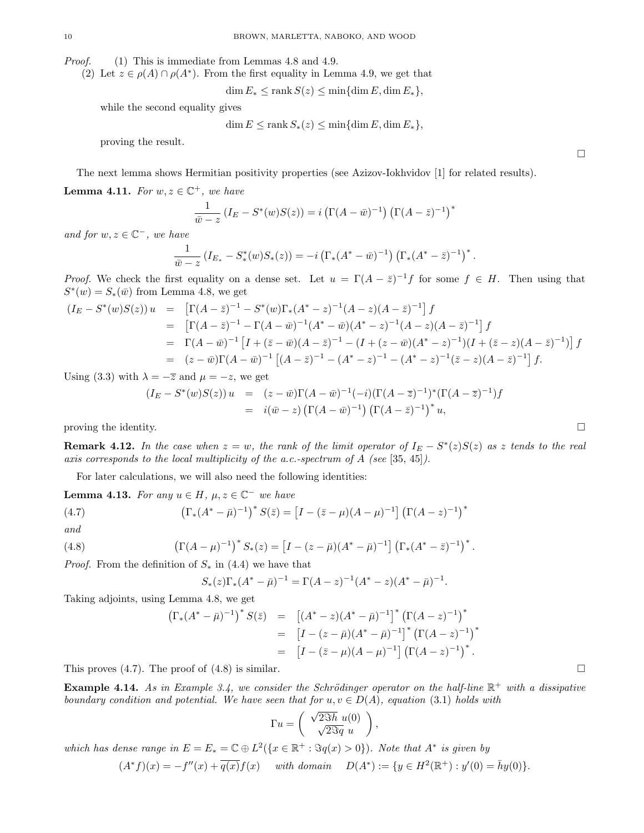Proof. (1) This is immediate from Lemmas 4.8 and 4.9.

(2) Let  $z \in \rho(A) \cap \rho(A^*)$ . From the first equality in Lemma 4.9, we get that

 $\dim E_* \leq \operatorname{rank} S(z) \leq \min \{\dim E, \dim E_*\},\$ 

while the second equality gives

$$
\dim E \le \operatorname{rank} S_*(z) \le \min\{\dim E, \dim E_*\},\
$$

proving the result.

The next lemma shows Hermitian positivity properties (see Azizov-Iokhvidov [1] for related results).

**Lemma 4.11.** For  $w, z \in \mathbb{C}^+$ , we have

$$
\frac{1}{\bar{w}-z} \left(I_E - S^*(w)S(z)\right) = i\left(\Gamma(A-\bar{w})^{-1}\right)\left(\Gamma(A-\bar{z})^{-1}\right)^*
$$

and for  $w, z \in \mathbb{C}^-$ , we have

$$
\frac{1}{\bar{w}-z} \left( I_{E_*} - S_*^*(w) S_*(z) \right) = -i \left( \Gamma_*(A^* - \bar{w})^{-1} \right) \left( \Gamma_*(A^* - \bar{z})^{-1} \right)^*.
$$

*Proof.* We check the first equality on a dense set. Let  $u = \Gamma(A - \bar{z})^{-1}f$  for some  $f \in H$ . Then using that  $S^*(w) = S_*(\bar{w})$  from Lemma 4.8, we get

$$
(I_E - S^*(w)S(z)) u = \left[ \Gamma(A - \bar{z})^{-1} - S^*(w) \Gamma_*(A^* - z)^{-1} (A - z) (A - \bar{z})^{-1} \right] f
$$
  
\n
$$
= \left[ \Gamma(A - \bar{z})^{-1} - \Gamma(A - \bar{w})^{-1} (A^* - \bar{w}) (A^* - z)^{-1} (A - z) (A - \bar{z})^{-1} \right] f
$$
  
\n
$$
= \Gamma(A - \bar{w})^{-1} \left[ I + (\bar{z} - \bar{w}) (A - \bar{z})^{-1} - (I + (z - \bar{w}) (A^* - z)^{-1}) (I + (\bar{z} - z) (A - \bar{z})^{-1}) \right] f
$$
  
\n
$$
= (z - \bar{w}) \Gamma(A - \bar{w})^{-1} \left[ (A - \bar{z})^{-1} - (A^* - z)^{-1} - (A^* - z)^{-1} (\bar{z} - z) (A - \bar{z})^{-1} \right] f.
$$

Using (3.3) with  $\lambda = -\overline{z}$  and  $\mu = -z$ , we get

$$
(I_E - S^*(w)S(z)) u = (z - \bar{w})\Gamma(A - \bar{w})^{-1}(-i)(\Gamma(A - \bar{z})^{-1})^*(\Gamma(A - \bar{z})^{-1})f
$$
  
=  $i(\bar{w} - z) (\Gamma(A - \bar{w})^{-1}) (\Gamma(A - \bar{z})^{-1})^* u$ ,

proving the identity.  $\Box$ 

**Remark 4.12.** In the case when  $z = w$ , the rank of the limit operator of  $I_E - S^*(z)S(z)$  as z tends to the real axis corresponds to the local multiplicity of the a.c.-spectrum of A (see [35, 45]).

For later calculations, we will also need the following identities:

**Lemma 4.13.** For any  $u \in H$ ,  $\mu$ ,  $z \in \mathbb{C}^-$  we have

(4.7) 
$$
\left(\Gamma_*(A^* - \bar{\mu})^{-1}\right)^* S(\bar{z}) = \left[I - (\bar{z} - \mu)(A - \mu)^{-1}\right] \left(\Gamma(A - z)^{-1}\right)^*
$$

and

(4.8) 
$$
\left(\Gamma(A-\mu)^{-1}\right)^* S_*(z) = \left[I - (z-\bar{\mu})(A^*-\bar{\mu})^{-1}\right] \left(\Gamma_*(A^*-\bar{z})^{-1}\right)^*.
$$

*Proof.* From the definition of  $S_*$  in (4.4) we have that

$$
S_*(z)\Gamma_*(A^* - \bar{\mu})^{-1} = \Gamma(A - z)^{-1}(A^* - z)(A^* - \bar{\mu})^{-1}.
$$

Taking adjoints, using Lemma 4.8, we get

$$
\Gamma_*(A^* - \bar{\mu})^{-1})^* S(\bar{z}) = [(A^* - z)(A^* - \bar{\mu})^{-1}]^* (\Gamma(A - z)^{-1})^*
$$
  
\n
$$
= [I - (z - \bar{\mu})(A^* - \bar{\mu})^{-1}]^* (\Gamma(A - z)^{-1})^*
$$
  
\n
$$
= [I - (\bar{z} - \mu)(A - \mu)^{-1}] (\Gamma(A - z)^{-1})^*.
$$

This proves  $(4.7)$ . The proof of  $(4.8)$  is similar.

 $\left($ 

**Example 4.14.** As in Example 3.4, we consider the Schrödinger operator on the half-line  $\mathbb{R}^+$  with a dissipative boundary condition and potential. We have seen that for  $u, v \in D(A)$ , equation (3.1) holds with

$$
\Gamma u = \begin{pmatrix} \sqrt{2\Im h} u(0) \\ \sqrt{2\Im q} u \end{pmatrix},
$$

which has dense range in  $E = E_* = \mathbb{C} \oplus L^2({x \in \mathbb{R}^+ : \Im q(x) > 0})$ . Note that  $A^*$  is given by

 $(A^* f)(x) = -f''(x) + \overline{q(x)}f(x)$  with domain  $D(A^*) := \{y \in H^2(\mathbb{R}^+) : y'(0) = \overline{h}y(0)\}.$ 

 $\Box$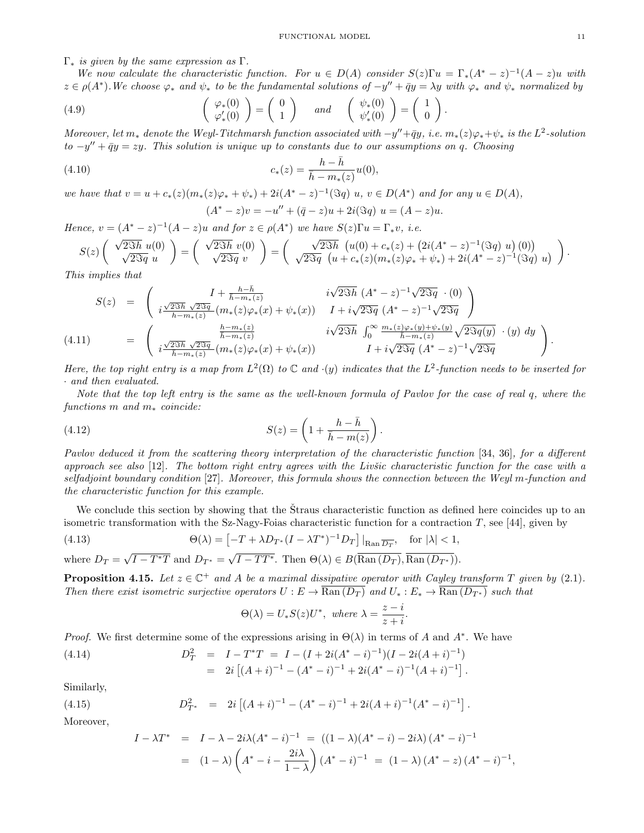$\Gamma_*$  is given by the same expression as  $\Gamma$ .

We now calculate the characteristic function. For  $u \in D(A)$  consider  $S(z)\Gamma u = \Gamma_*(A^* - z)^{-1}(A - z)u$  with  $z \in \rho(A^*)$ . We choose  $\varphi_*$  and  $\psi_*$  to be the fundamental solutions of  $-y'' + \bar{q}y = \lambda y$  with  $\varphi_*$  and  $\psi_*$  normalized by

(4.9) 
$$
\begin{pmatrix} \varphi_*(0) \\ \varphi'_*(0) \end{pmatrix} = \begin{pmatrix} 0 \\ 1 \end{pmatrix} \text{ and } \begin{pmatrix} \psi_*(0) \\ \psi'_*(0) \end{pmatrix} = \begin{pmatrix} 1 \\ 0 \end{pmatrix}.
$$

Moreover, let  $m_*$  denote the Weyl-Titchmarsh function associated with  $-y''+\bar{q}y$ , i.e.  $m_*(z)\varphi_*+\psi_*$  is the  $L^2$ -solution  $to -y'' + \bar{q}y = zy$ . This solution is unique up to constants due to our assumptions on q. Choosing

(4.10) 
$$
c_*(z) = \frac{h - \bar{h}}{\bar{h} - m_*(z)} u(0),
$$

we have that  $v = u + c_*(z)(m_*(z)\varphi_* + \psi_*) + 2i(A^* - z)^{-1}(\Im q)$  u,  $v \in D(A^*)$  and for any  $u \in D(A)$ ,  $(A^* - z)v = -u'' + (\bar{q} - z)u + 2i(\Im q) u = (A - z)u.$ 

Hence,  $v = (A^* - z)^{-1}(A - z)u$  and for  $z \in \rho(A^*)$  we have  $S(z)\Gamma u = \Gamma_* v$ , i.e.

$$
S(z)\begin{pmatrix} \sqrt{2\Im h} \ u(0) \\ \sqrt{2\Im q} \ u \end{pmatrix} = \begin{pmatrix} \sqrt{2\Im h} \ v(0) \\ \sqrt{2\Im q} \ v \end{pmatrix} = \begin{pmatrix} \sqrt{2\Im h} \ (u(0) + c_*(z) + (2i(A^* - z)^{-1}(\Im q) \ u) (0)) \\ \sqrt{2\Im q} \ (u + c_*(z)(m_*(z)\varphi_* + \psi_*) + 2i(A^* - z)^{-1}(\Im q) \ u) \end{pmatrix}.
$$

This implies that

$$
S(z) = \begin{pmatrix} I + \frac{h - \bar{h}}{\bar{h} - m_*(z)} & i\sqrt{2\Im h} \ (A^* - z)^{-1} \sqrt{2\Im q} \ (0) \\ i\frac{\sqrt{2\Im h} \ \sqrt{2\Im q}}{\bar{h} - m_*(z)} (m_*(z)\varphi_*(x) + \psi_*(x)) & I + i\sqrt{2\Im q} \ (A^* - z)^{-1} \sqrt{2\Im q} \end{pmatrix}
$$
  
(4.11) 
$$
= \begin{pmatrix} \frac{h - m_*(z)}{\bar{h} - m_*(z)} & i\sqrt{2\Im h} \ \int_0^\infty \frac{m_*(z)\varphi_*(y) + \psi_*(y)}{\bar{h} - m_*(z)} \sqrt{2\Im q(y)} \ (y) \ dy \\ i\frac{\sqrt{2\Im h} \ \sqrt{2\Im q}}{\bar{h} - m_*(z)} (m_*(z)\varphi_*(x) + \psi_*(x)) & I + i\sqrt{2\Im q} \ (A^* - z)^{-1} \sqrt{2\Im q} \end{pmatrix}.
$$

Here, the top right entry is a map from  $L^2(\Omega)$  to  $\mathbb C$  and  $\cdot(y)$  indicates that the  $L^2$ -function needs to be inserted for · and then evaluated.

Note that the top left entry is the same as the well-known formula of Pavlov for the case of real q, where the functions m and  $m_*$  coincide:

(4.12) 
$$
S(z) = \left(1 + \frac{h - \bar{h}}{\bar{h} - m(z)}\right).
$$

Pavlov deduced it from the scattering theory interpretation of the characteristic function [34, 36], for a different approach see also  $[12]$ . The bottom right entry agrees with the Livisc characteristic function for the case with a selfadjoint boundary condition [27]. Moreover, this formula shows the connection between the Weyl m-function and the characteristic function for this example.

We conclude this section by showing that the Straus characteristic function as defined here coincides up to an isometric transformation with the Sz-Nagy-Foias characteristic function for a contraction  $T$ , see [44], given by

(4.13) 
$$
\Theta(\lambda) = \left[ -T + \lambda D_{T^*} (I - \lambda T^*)^{-1} D_T \right] \Big|_{\text{Ran } \overline{D_T}}, \text{ for } |\lambda| < 1,
$$
  
where  $D_T = \sqrt{I - T^*T}$  and  $D_{T^*} = \sqrt{I - TT^*}$ . Then  $\Theta(\lambda) \in B(\overline{\text{Ran } (D_T)}, \overline{\text{Ran } (D_{T^*})}).$ 

where  $D_T =$ **Proposition 4.15.** Let  $z \in \mathbb{C}^+$  and A be a maximal dissipative operator with Cayley transform T given by (2.1).

Then there exist isometric surjective operators  $U : E \to \text{Ran}(D_T)$  and  $U_* : E_* \to \text{Ran}(D_{T^*})$  such that

$$
\Theta(\lambda) = U_*S(z)U^*, \text{ where } \lambda = \frac{z-i}{z+i}
$$

.

*Proof.* We first determine some of the expressions arising in  $\Theta(\lambda)$  in terms of A and A<sup>\*</sup>. We have

(4.14) 
$$
D_T^2 = I - T^*T = I - (I + 2i(A^* - i)^{-1})(I - 2i(A + i)^{-1})
$$

$$
= 2i [(A + i)^{-1} - (A^* - i)^{-1} + 2i(A^* - i)^{-1}(A + i)^{-1}].
$$

Similarly,

(4.15) 
$$
D_{T^*}^2 = 2i \left[ (A+i)^{-1} - (A^* - i)^{-1} + 2i(A+i)^{-1}(A^* - i)^{-1} \right].
$$

Moreover,

$$
I - \lambda T^* = I - \lambda - 2i\lambda (A^* - i)^{-1} = ((1 - \lambda)(A^* - i) - 2i\lambda) (A^* - i)^{-1}
$$
  
=  $(1 - \lambda) \left( A^* - i - \frac{2i\lambda}{1 - \lambda} \right) (A^* - i)^{-1} = (1 - \lambda) (A^* - i) (A^* - i)^{-1},$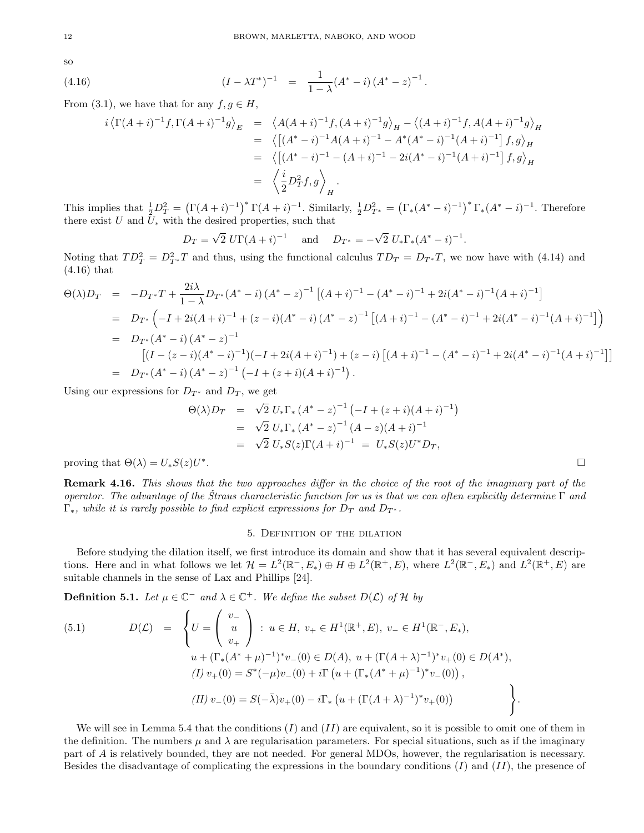so

(4.16) 
$$
(I - \lambda T^*)^{-1} = \frac{1}{1 - \lambda} (A^* - i) (A^* - z)^{-1}.
$$

From (3.1), we have that for any  $f, g \in H$ ,

$$
i\left\langle \Gamma(A+i)^{-1}f, \Gamma(A+i)^{-1}g \right\rangle_E = \left\langle A(A+i)^{-1}f, (A+i)^{-1}g \right\rangle_H - \left\langle (A+i)^{-1}f, A(A+i)^{-1}g \right\rangle_H
$$
  
\n
$$
= \left\langle \left[ (A^* - i)^{-1}A(A+i)^{-1} - A^*(A^* - i)^{-1}(A+i)^{-1} \right] f, g \right\rangle_H
$$
  
\n
$$
= \left\langle \left[ (A^* - i)^{-1} - (A+i)^{-1} - 2i(A^* - i)^{-1}(A+i)^{-1} \right] f, g \right\rangle_H
$$
  
\n
$$
= \left\langle \frac{i}{2}D_T^2 f, g \right\rangle_H.
$$

This implies that  $\frac{1}{2}D_T^2 = (\Gamma(A+i)^{-1})^* \Gamma(A+i)^{-1}$ . Similarly,  $\frac{1}{2}D_{T^*}^2 = (\Gamma_*(A^* - i)^{-1})^* \Gamma_*(A^* - i)^{-1}$ . Therefore there exist  $U$  and  $U_*$  with the desired properties, such that

$$
D_T = \sqrt{2} U \Gamma (A + i)^{-1}
$$
 and  $D_{T^*} = -\sqrt{2} U_* \Gamma_* (A^* - i)^{-1}$ .

Noting that  $TD_T^2 = D_{T^*}^2 T$  and thus, using the functional calculus  $TD_T = D_{T^*}T$ , we now have with (4.14) and (4.16) that

$$
\Theta(\lambda)D_T = -D_{T^*}T + \frac{2i\lambda}{1-\lambda}D_{T^*}(A^*-i)(A^*-z)^{-1}[(A+i)^{-1} - (A^*-i)^{-1} + 2i(A^*-i)^{-1}(A+i)^{-1}]
$$
  
\n
$$
= D_{T^*}\left(-I + 2i(A+i)^{-1} + (z-i)(A^*-i)(A^*-z)^{-1}[(A+i)^{-1} - (A^*-i)^{-1} + 2i(A^*-i)^{-1}(A+i)^{-1}]\right)
$$
  
\n
$$
= D_{T^*}(A^*-i)(A^*-z)^{-1}
$$
  
\n
$$
[(I-(z-i)(A^*-i)^{-1})(-I+2i(A+i)^{-1}) + (z-i)[(A+i)^{-1} - (A^*-i)^{-1} + 2i(A^*-i)^{-1}(A+i)^{-1}]]
$$
  
\n
$$
= D_{T^*}(A^*-i)(A^*-z)^{-1}(-I+(z+i)(A+i)^{-1}).
$$

Using our expressions for  $D_{T^*}$  and  $D_T$ , we get

$$
\Theta(\lambda)D_T = \sqrt{2} U_* \Gamma_* (A^* - z)^{-1} (-I + (z + i)(A + i)^{-1})
$$
  
=  $\sqrt{2} U_* \Gamma_* (A^* - z)^{-1} (A - z)(A + i)^{-1}$   
=  $\sqrt{2} U_* S(z) \Gamma(A + i)^{-1} = U_* S(z) U^* D_T,$ 

proving that  $\Theta(\lambda) = U_*S(z)U^*$ . В последните поставите на селото на селото на селото на селото на селото на селото на селото на селото на се<br>Селото на селото на селото на селото на селото на селото на селото на селото на селото на селото на селото на

Remark 4.16. This shows that the two approaches differ in the choice of the root of the imaginary part of the operator. The advantage of the Straus characteristic function for us is that we can often explicitly determine  $\Gamma$  and  $\Gamma_*$ , while it is rarely possible to find explicit expressions for  $D_T$  and  $D_{T^*}$ .

#### 5. Definition of the dilation

Before studying the dilation itself, we first introduce its domain and show that it has several equivalent descriptions. Here and in what follows we let  $\mathcal{H} = L^2(\mathbb{R}^-, E_*) \oplus H \oplus L^2(\mathbb{R}^+, E)$ , where  $L^2(\mathbb{R}^-, E_*)$  and  $L^2(\mathbb{R}^+, E)$  are suitable channels in the sense of Lax and Phillips [24].

**Definition 5.1.** Let  $\mu \in \mathbb{C}^-$  and  $\lambda \in \mathbb{C}^+$ . We define the subset  $D(\mathcal{L})$  of H by

(5.1) 
$$
D(\mathcal{L}) = \begin{cases} U = \begin{pmatrix} v_- \\ u \\ v_+ \end{pmatrix} : u \in H, v_+ \in H^1(\mathbb{R}^+, E), v_- \in H^1(\mathbb{R}^-, E_*), \\ u + (\Gamma_*(A^* + \mu)^{-1})^* v_-(0) \in D(A), u + (\Gamma(A + \lambda)^{-1})^* v_+(0) \in D(A^*), \\ (I) v_+(0) = S^*(-\mu)v_-(0) + i\Gamma(u + (\Gamma_*(A^* + \mu)^{-1})^* v_-(0)), \\ (II) v_-(0) = S(-\bar{\lambda})v_+(0) - i\Gamma_* (u + (\Gamma(A + \lambda)^{-1})^* v_+(0)) \end{cases}.
$$

We will see in Lemma 5.4 that the conditions  $(I)$  and  $(II)$  are equivalent, so it is possible to omit one of them in the definition. The numbers  $\mu$  and  $\lambda$  are regularisation parameters. For special situations, such as if the imaginary part of A is relatively bounded, they are not needed. For general MDOs, however, the regularisation is necessary. Besides the disadvantage of complicating the expressions in the boundary conditions  $(I)$  and  $(II)$ , the presence of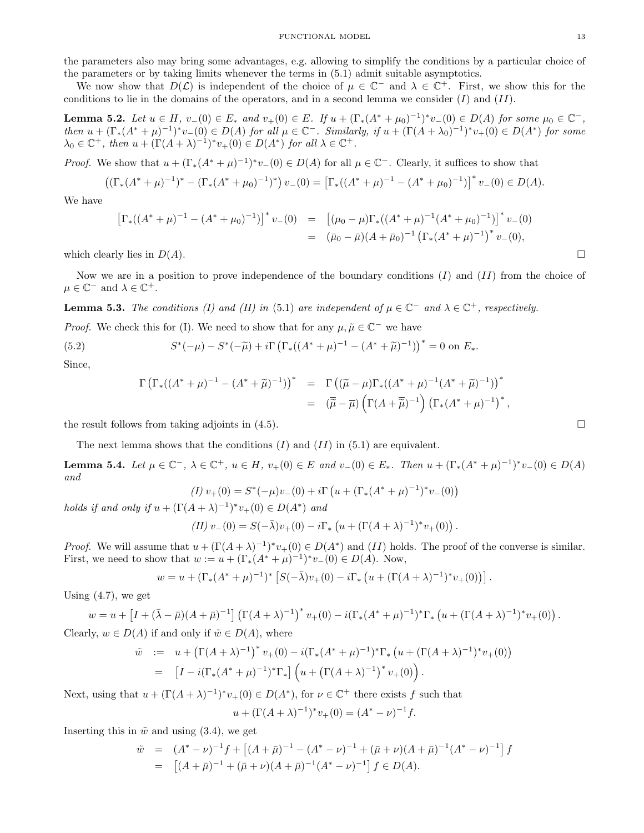the parameters also may bring some advantages, e.g. allowing to simplify the conditions by a particular choice of the parameters or by taking limits whenever the terms in (5.1) admit suitable asymptotics.

We now show that  $D(\mathcal{L})$  is independent of the choice of  $\mu \in \mathbb{C}^-$  and  $\lambda \in \mathbb{C}^+$ . First, we show this for the conditions to lie in the domains of the operators, and in a second lemma we consider  $(I)$  and  $(II)$ .

**Lemma 5.2.** Let  $u \in H$ ,  $v_{-}(0) \in E$ <sup>\*</sup> and  $v_{+}(0) \in E$ . If  $u + (\Gamma_*(A^* + \mu_0)^{-1})^* v_{-}(0) \in D(A)$  for some  $\mu_0 \in \mathbb{C}^-$ , then  $u + (\Gamma_*(A^* + \mu)^{-1})^* v_-(0) \in D(A)$  for all  $\mu \in \mathbb{C}^-$ . Similarly, if  $u + (\Gamma(A + \lambda_0)^{-1})^* v_+(0) \in D(A^*)$  for some  $\lambda_0 \in \mathbb{C}^+$ , then  $u + (\Gamma(A + \lambda)^{-1})^* v_+(0) \in D(A^*)$  for all  $\lambda \in \mathbb{C}^+$ .

*Proof.* We show that  $u + (\Gamma_*(A^* + \mu)^{-1})^* v_-(0) \in D(A)$  for all  $\mu \in \mathbb{C}^-$ . Clearly, it suffices to show that

$$
((\Gamma_*(A^* + \mu)^{-1})^* - (\Gamma_*(A^* + \mu_0)^{-1})^*) v_-(0) = [\Gamma_*((A^* + \mu)^{-1} - (A^* + \mu_0)^{-1})]^* v_-(0) \in D(A).
$$

We have

$$
\left[\Gamma_*((A^* + \mu)^{-1} - (A^* + \mu_0)^{-1})\right]^* v_-(0) = \left[ (\mu_0 - \mu) \Gamma_*((A^* + \mu)^{-1}(A^* + \mu_0)^{-1}) \right]^* v_-(0)
$$
  
=  $(\bar{\mu}_0 - \bar{\mu})(A + \bar{\mu}_0)^{-1} \left( \Gamma_*(A^* + \mu)^{-1} \right)^* v_-(0),$ 

which clearly lies in  $D(A)$ .

Now we are in a position to prove independence of the boundary conditions  $(I)$  and  $(II)$  from the choice of  $\mu \in \mathbb{C}^-$  and  $\lambda \in \mathbb{C}^+$ .

**Lemma 5.3.** The conditions (I) and (II) in (5.1) are independent of  $\mu \in \mathbb{C}^-$  and  $\lambda \in \mathbb{C}^+$ , respectively.

*Proof.* We check this for (I). We need to show that for any  $\mu, \tilde{\mu} \in \mathbb{C}^-$  we have

(5.2) 
$$
S^*(-\mu) - S^*(-\tilde{\mu}) + i\Gamma \left( \Gamma_*((A^* + \mu)^{-1} - (A^* + \tilde{\mu})^{-1}) \right)^* = 0 \text{ on } E_*.
$$

Since,

$$
\Gamma\left(\Gamma_*((A^*+\mu)^{-1}-(A^*+\widetilde{\mu})^{-1})\right)^* = \Gamma\left((\widetilde{\mu}-\mu)\Gamma_*((A^*+\mu)^{-1}(A^*+\widetilde{\mu})^{-1})\right)^* \n= (\overline{\widetilde{\mu}}-\overline{\mu})\left(\Gamma(A+\overline{\widetilde{\mu}})^{-1}\right)\left(\Gamma_*(A^*+\mu)^{-1}\right)^*,
$$

the result follows from taking adjoints in (4.5).

The next lemma shows that the conditions  $(I)$  and  $(II)$  in  $(5.1)$  are equivalent.

**Lemma 5.4.** Let  $\mu \in \mathbb{C}^-, \lambda \in \mathbb{C}^+, u \in H$ ,  $v_+(0) \in E$  and  $v_-(0) \in E_*$ . Then  $u_+(\Gamma_*(A^* + \mu)^{-1})^*v_-(0) \in D(A)$ and

$$
(I) v_{+}(0) = S^{*}(-\mu)v_{-}(0) + i\Gamma \left( u + (\Gamma_{*}(A^{*} + \mu)^{-1})^{*}v_{-}(0) \right)
$$

holds if and only if  $u + (\Gamma(A + \lambda)^{-1})^* v_+(0) \in D(A^*)$  and

$$
(II)\ v_{-}(0)=S(-\bar{\lambda})v_{+}(0)-i\Gamma_{*}\left(u+(\Gamma(A+\lambda)^{-1})^{*}v_{+}(0)\right)
$$

.

*Proof.* We will assume that  $u + (\Gamma(A + \lambda)^{-1})^* v_+(0) \in D(A^*)$  and  $(II)$  holds. The proof of the converse is similar. First, we need to show that  $w := u + (\Gamma_*(A^* + \mu)^{-1})^* v_-(0) \in D(A)$ . Now,

$$
w = u + (\Gamma_*(A^* + \mu)^{-1})^* \left[ S(-\bar{\lambda})v_+(0) - i\Gamma_* \left( u + (\Gamma(A + \lambda)^{-1})^* v_+(0) \right) \right].
$$

Using  $(4.7)$ , we get

$$
w = u + [I + (\bar{\lambda} - \bar{\mu})(A + \bar{\mu})^{-1}] (\Gamma(A + \lambda)^{-1})^* v_+(0) - i(\Gamma_*(A^* + \mu)^{-1})^* \Gamma_* (u + (\Gamma(A + \lambda)^{-1})^* v_+(0)).
$$
  
Clearly,  $w \in D(A)$  if and only if  $\tilde{w} \in D(A)$ , where

$$
\tilde{w} := u + (\Gamma(A + \lambda)^{-1})^* v_+(0) - i(\Gamma_*(A^* + \mu)^{-1})^* \Gamma_* (u + (\Gamma(A + \lambda)^{-1})^* v_+(0))
$$
  
= 
$$
[I - i(\Gamma_*(A^* + \mu)^{-1})^* \Gamma_*] (u + (\Gamma(A + \lambda)^{-1})^* v_+(0)).
$$

Next, using that  $u + (\Gamma(A + \lambda)^{-1})^* v_+(0) \in D(A^*)$ , for  $\nu \in \mathbb{C}^+$  there exists f such that

$$
u + (\Gamma(A + \lambda)^{-1})^* v_+(0) = (A^* - \nu)^{-1} f.
$$

Inserting this in  $\tilde{w}$  and using (3.4), we get

$$
\tilde{w} = (A^* - \nu)^{-1} f + [(A + \bar{\mu})^{-1} - (A^* - \nu)^{-1} + (\bar{\mu} + \nu)(A + \bar{\mu})^{-1}(A^* - \nu)^{-1}] f
$$
  
= 
$$
[(A + \bar{\mu})^{-1} + (\bar{\mu} + \nu)(A + \bar{\mu})^{-1}(A^* - \nu)^{-1}] f \in D(A).
$$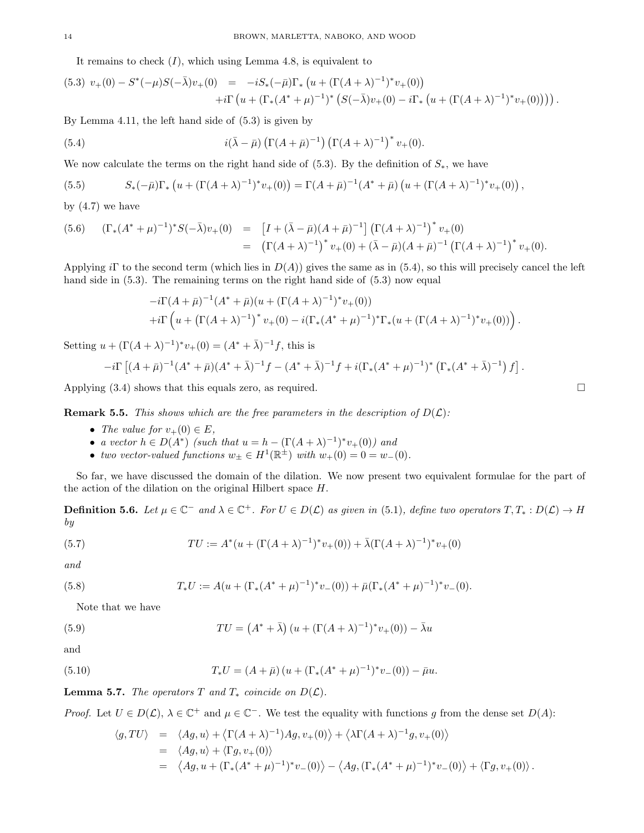It remains to check  $(I)$ , which using Lemma 4.8, is equivalent to

$$
(5.3) \ v_{+}(0) - S^{*}(-\mu)S(-\bar{\lambda})v_{+}(0) = -iS_{*}(-\bar{\mu})\Gamma_{*}\left(u + (\Gamma(A+\lambda)^{-1})^{*}v_{+}(0)\right) +i\Gamma\left(u + (\Gamma_{*}(A^{*}+\mu)^{-1})^{*}\left(S(-\bar{\lambda})v_{+}(0) - i\Gamma_{*}\left(u + (\Gamma(A+\lambda)^{-1})^{*}v_{+}(0)\right)\right)\right).
$$

By Lemma 4.11, the left hand side of (5.3) is given by

(5.4) 
$$
i(\bar{\lambda} - \bar{\mu}) \left( \Gamma(A + \bar{\mu})^{-1} \right) \left( \Gamma(A + \lambda)^{-1} \right)^* v_+(0).
$$

We now calculate the terms on the right hand side of (5.3). By the definition of  $S_*,$  we have

(5.5) 
$$
S_*(-\bar{\mu})\Gamma_*\left(u+(\Gamma(A+\lambda)^{-1})^*v_+(0)\right)=\Gamma(A+\bar{\mu})^{-1}(A^*+\bar{\mu})\left(u+(\Gamma(A+\lambda)^{-1})^*v_+(0)\right),
$$

by  $(4.7)$  we have

$$
(5.6) \quad (\Gamma_*(A^* + \mu)^{-1})^* S(-\bar{\lambda}) v_+(0) = [I + (\bar{\lambda} - \bar{\mu})(A + \bar{\mu})^{-1}] (\Gamma(A + \lambda)^{-1})^* v_+(0)
$$
  

$$
= (\Gamma(A + \lambda)^{-1})^* v_+(0) + (\bar{\lambda} - \bar{\mu})(A + \bar{\mu})^{-1} (\Gamma(A + \lambda)^{-1})^* v_+(0).
$$

Applying iΓ to the second term (which lies in  $D(A)$ ) gives the same as in (5.4), so this will precisely cancel the left hand side in  $(5.3)$ . The remaining terms on the right hand side of  $(5.3)$  now equal

$$
-i\Gamma(A+\bar{\mu})^{-1}(A^*+\bar{\mu})(u+(\Gamma(A+\lambda)^{-1})^*v_+(0))
$$
  
+
$$
+i\Gamma\left(u+(\Gamma(A+\lambda)^{-1})^*v_+(0)-i(\Gamma_*(A^*+\mu)^{-1})^*\Gamma_*(u+(\Gamma(A+\lambda)^{-1})^*v_+(0))\right).
$$

Setting  $u + (\Gamma(A + \lambda)^{-1})^* v_+(0) = (A^* + \bar{\lambda})^{-1} f$ , this is

$$
-i\Gamma\left[ (A+\bar{\mu})^{-1}(A^*+\bar{\mu})(A^*+\bar{\lambda})^{-1}f - (A^*+\bar{\lambda})^{-1}f + i(\Gamma_*(A^*+\mu)^{-1})^* \left( \Gamma_*(A^*+\bar{\lambda})^{-1}f \right) \right].
$$

Applying  $(3.4)$  shows that this equals zero, as required.

**Remark 5.5.** This shows which are the free parameters in the description of  $D(\mathcal{L})$ :

- The value for  $v_{+}(0) \in E$ ,
- a vector  $h \in D(A^*)$  (such that  $u = h (\Gamma(A + \lambda)^{-1})^* v_+(0)$ ) and
- two vector-valued functions  $w_{\pm} \in H^1(\mathbb{R}^{\pm})$  with  $w_{+}(0) = 0 = w_{-}(0)$ .

So far, we have discussed the domain of the dilation. We now present two equivalent formulae for the part of the action of the dilation on the original Hilbert space H.

**Definition 5.6.** Let  $\mu \in \mathbb{C}^-$  and  $\lambda \in \mathbb{C}^+$ . For  $U \in D(\mathcal{L})$  as given in (5.1), define two operators  $T, T_* : D(\mathcal{L}) \to H$ by

(5.7) 
$$
TU := A^*(u + (\Gamma(A + \lambda)^{-1})^* v_+(0)) + \bar{\lambda}(\Gamma(A + \lambda)^{-1})^* v_+(0)
$$

and

(5.8) 
$$
T_*U := A(u + (\Gamma_*(A^* + \mu)^{-1})^* v_-(0)) + \bar{\mu}(\Gamma_*(A^* + \mu)^{-1})^* v_-(0).
$$

Note that we have

(5.9) 
$$
TU = (A^* + \bar{\lambda}) (u + (\Gamma(A + \lambda)^{-1})^* v_+(0)) - \bar{\lambda} u
$$

and

(5.10) 
$$
T_*U = (A + \bar{\mu})(u + (\Gamma_*(A^* + \mu)^{-1})^*v_-(0)) - \bar{\mu}u.
$$

**Lemma 5.7.** The operators T and  $T_*$  coincide on  $D(\mathcal{L})$ .

*Proof.* Let  $U \in D(\mathcal{L})$ ,  $\lambda \in \mathbb{C}^+$  and  $\mu \in \mathbb{C}^-$ . We test the equality with functions g from the dense set  $D(A)$ :

$$
\langle g, TU \rangle = \langle Ag, u \rangle + \langle \Gamma(A + \lambda)^{-1} \rangle Ag, v_{+}(0) \rangle + \langle \lambda \Gamma(A + \lambda)^{-1} g, v_{+}(0) \rangle
$$
  
=  $\langle Ag, u \rangle + \langle \Gamma g, v_{+}(0) \rangle$   
=  $\langle Ag, u + (\Gamma_{*}(A^{*} + \mu)^{-1})^{*} v_{-}(0) \rangle - \langle Ag, (\Gamma_{*}(A^{*} + \mu)^{-1})^{*} v_{-}(0) \rangle + \langle \Gamma g, v_{+}(0) \rangle.$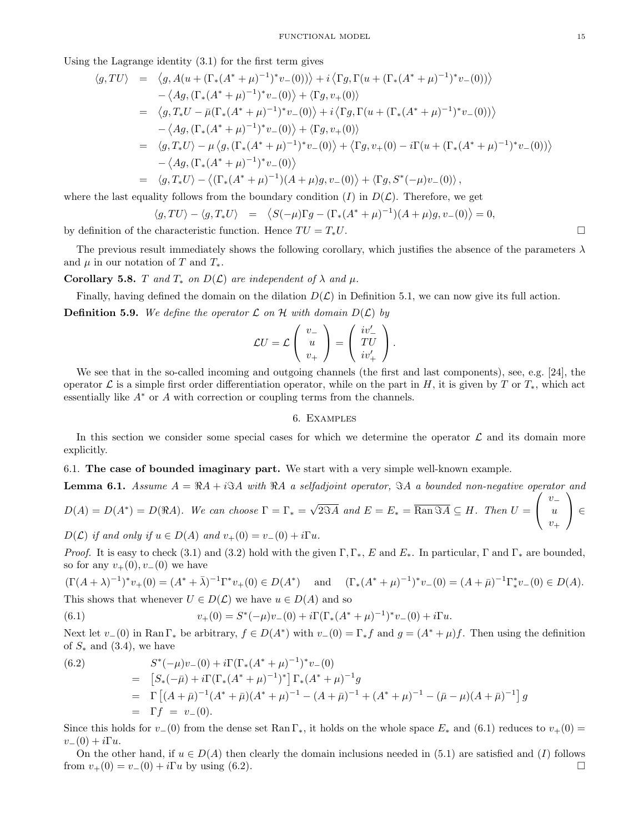Using the Lagrange identity (3.1) for the first term gives

$$
\langle g, TU \rangle = \langle g, A(u + (\Gamma_*(A^* + \mu)^{-1})^* v_{-}(0)) \rangle + i \langle \Gamma g, \Gamma(u + (\Gamma_*(A^* + \mu)^{-1})^* v_{-}(0)) \rangle - \langle Ag, (\Gamma_*(A^* + \mu)^{-1})^* v_{-}(0) \rangle + \langle \Gamma g, v_{+}(0) \rangle = \langle g, T_* U - \bar{\mu} (\Gamma_*(A^* + \mu)^{-1})^* v_{-}(0) \rangle + i \langle \Gamma g, \Gamma(u + (\Gamma_*(A^* + \mu)^{-1})^* v_{-}(0)) \rangle - \langle Ag, (\Gamma_*(A^* + \mu)^{-1})^* v_{-}(0) \rangle + \langle \Gamma g, v_{+}(0) \rangle = \langle g, T_* U \rangle - \mu \langle g, (\Gamma_*(A^* + \mu)^{-1})^* v_{-}(0) \rangle + \langle \Gamma g, v_{+}(0) - i \Gamma(u + (\Gamma_*(A^* + \mu)^{-1})^* v_{-}(0)) \rangle - \langle Ag, (\Gamma_*(A^* + \mu)^{-1})^* v_{-}(0) \rangle = \langle g, T_* U \rangle - \langle (\Gamma_*(A^* + \mu)^{-1})(A + \mu)g, v_{-}(0) \rangle + \langle \Gamma g, S^* (-\mu) v_{-}(0) \rangle,
$$

where the last equality follows from the boundary condition (I) in  $D(\mathcal{L})$ . Therefore, we get

$$
\langle g, TU \rangle - \langle g, T_* U \rangle = \langle S(-\mu) \Gamma g - (\Gamma_*(A^* + \mu)^{-1})(A + \mu)g, v_-(0) \rangle = 0,
$$

by definition of the characteristic function. Hence  $TU = T_*U$ .

The previous result immediately shows the following corollary, which justifies the absence of the parameters  $\lambda$ and  $\mu$  in our notation of T and  $T_*$ .

Corollary 5.8. T and  $T_*$  on  $D(\mathcal{L})$  are independent of  $\lambda$  and  $\mu$ .

Finally, having defined the domain on the dilation  $D(\mathcal{L})$  in Definition 5.1, we can now give its full action. **Definition 5.9.** We define the operator  $\mathcal L$  on  $\mathcal H$  with domain  $D(\mathcal L)$  by

$$
\mathcal{L}U = \mathcal{L}\left(\begin{array}{c} v_- \\ u \\ v_+ \end{array}\right) = \left(\begin{array}{c} iv'_- \\ TU \\ iv'_+ \end{array}\right).
$$

We see that in the so-called incoming and outgoing channels (the first and last components), see, e.g. [24], the operator  $\mathcal L$  is a simple first order differentiation operator, while on the part in H, it is given by T or  $T_*$ , which act essentially like  $A^*$  or  $A$  with correction or coupling terms from the channels.

#### 6. Examples

In this section we consider some special cases for which we determine the operator  $\mathcal L$  and its domain more explicitly.

6.1. The case of bounded imaginary part. We start with a very simple well-known example.

**Lemma 6.1.** Assume  $A = \Re A + i \Im A$  with  $\Re A$  a selfadjoint operator,  $\Im A$  a bounded non-negative operator and  $D(A) = D(A^*) = D(\Re A)$ . We can choose  $\Gamma = \Gamma_* =$ √  $2\Im A$  and  $E = E_* = \overline{\mathrm{Ran} \Im A} \subseteq H$ . Then  $U =$  $\sqrt{ }$  $\mathcal{L}$  $v_-\$ u  $v_+$  $\setminus$  <sup>∈</sup>  $D(\mathcal{L})$  if and only if  $u \in D(A)$  and  $v_+(0) = v_-(0) + i\Gamma u$ .

*Proof.* It is easy to check (3.1) and (3.2) hold with the given  $\Gamma, \Gamma_*, E$  and  $E_*$ . In particular,  $\Gamma$  and  $\Gamma_*$  are bounded, so for any  $v_+(0), v_-(0)$  we have

 $(\Gamma(A + \lambda)^{-1})^* v_+(0) = (A^* + \bar{\lambda})^{-1} \Gamma^* v_+(0) \in D(A^*)$  and  $(\Gamma_*(A^* + \mu)^{-1})^* v_-(0) = (A + \bar{\mu})^{-1} \Gamma^*_* v_-(0) \in D(A)$ . This shows that whenever  $U \in D(\mathcal{L})$  we have  $u \in D(A)$  and so

(6.1) 
$$
v_{+}(0) = S^{*}(-\mu)v_{-}(0) + i\Gamma(\Gamma_{*}(A^{*}+\mu)^{-1})^{*}v_{-}(0) + i\Gamma u.
$$

Next let  $v_-(0)$  in Ran  $\Gamma_*$  be arbitrary,  $f \in D(A^*)$  with  $v_-(0) = \Gamma_* f$  and  $g = (A^* + \mu)f$ . Then using the definition of  $S_*$  and (3.4), we have

(6.2)  
\n
$$
S^*(-\mu)v_{-}(0) + i\Gamma(\Gamma_*(A^* + \mu)^{-1})^*v_{-}(0)
$$
\n
$$
= [S_*(-\bar{\mu}) + i\Gamma(\Gamma_*(A^* + \mu)^{-1})^*] \Gamma_*(A^* + \mu)^{-1}g
$$
\n
$$
= \Gamma[(A+\bar{\mu})^{-1}(A^* + \bar{\mu})(A^* + \mu)^{-1} - (A+\bar{\mu})^{-1} + (A^* + \mu)^{-1} - (\bar{\mu} - \mu)(A+\bar{\mu})^{-1}]
$$
\n
$$
= \Gamma f = v_{-}(0).
$$

Since this holds for  $v_-(0)$  from the dense set Ran Γ<sub>∗</sub>, it holds on the whole space  $E_*$  and (6.1) reduces to  $v_+(0)$  =  $v_-(0) + i\Gamma u$ .

On the other hand, if  $u \in D(A)$  then clearly the domain inclusions needed in (5.1) are satisfied and (I) follows from  $v_{+}(0) = v_{-}(0) + i\Gamma u$  by using (6.2).

g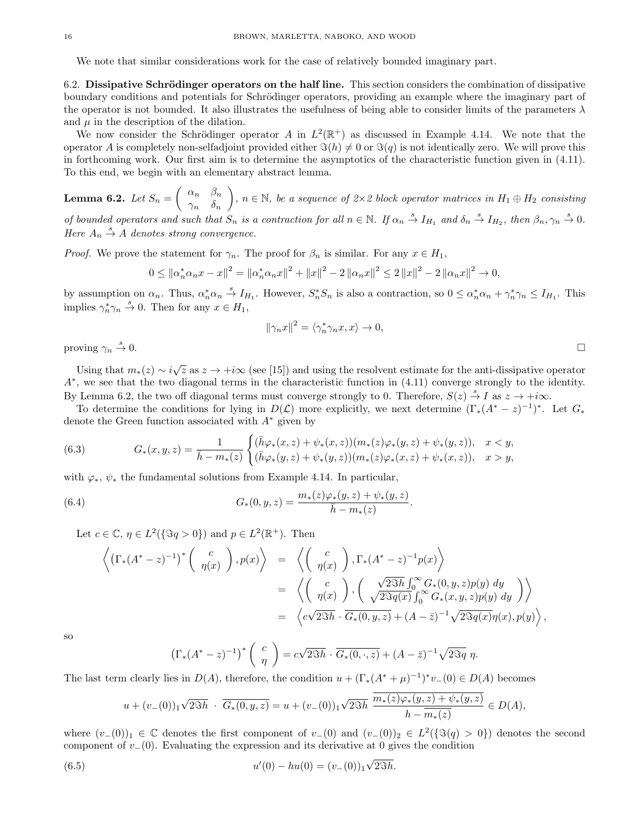We note that similar considerations work for the case of relatively bounded imaginary part.

6.2. Dissipative Schrödinger operators on the half line. This section considers the combination of dissipative boundary conditions and potentials for Schrödinger operators, providing an example where the imaginary part of the operator is not bounded. It also illustrates the usefulness of being able to consider limits of the parameters  $\lambda$ and  $\mu$  in the description of the dilation.

We now consider the Schrödinger operator A in  $L^2(\mathbb{R}^+)$  as discussed in Example 4.14. We note that the operator A is completely non-selfadjoint provided either  $\Im(h) \neq 0$  or  $\Im(q)$  is not identically zero. We will prove this in forthcoming work. Our first aim is to determine the asymptotics of the characteristic function given in (4.11). To this end, we begin with an elementary abstract lemma.

**Lemma 6.2.** Let  $S_n = \begin{pmatrix} \alpha_n & \beta_n \\ \alpha_n & \beta_n \end{pmatrix}$  $\gamma_n$  δn  $\bigg), n \in \mathbb{N}, \text{ be a sequence of } 2 \times 2 \text{ block operator matrices in } H_1 \oplus H_2 \text{ consisting of } 2 \times 2 \text{ block }$ of bounded operators and such that  $S_n$  is a contraction for all  $n \in \mathbb{N}$ . If  $\alpha_n \stackrel{s}{\to} I_{H_1}$  and  $\delta_n \stackrel{s}{\to} I_{H_2}$ , then  $\beta_n, \gamma_n \stackrel{s}{\to} 0$ . Here  $A_n \stackrel{s}{\rightarrow} A$  denotes strong convergence.

*Proof.* We prove the statement for  $\gamma_n$ . The proof for  $\beta_n$  is similar. For any  $x \in H_1$ ,

$$
0 \leq ||\alpha_n^* \alpha_n x - x||^2 = ||\alpha_n^* \alpha_n x||^2 + ||x||^2 - 2||\alpha_n x||^2 \leq 2||x||^2 - 2||\alpha_n x||^2 \to 0,
$$

by assumption on  $\alpha_n$ . Thus,  $\alpha_n^* \alpha_n \stackrel{s}{\rightarrow} I_{H_1}$ . However,  $S_n^* S_n$  is also a contraction, so  $0 \leq \alpha_n^* \alpha_n + \gamma_n^* \gamma_n \leq I_{H_1}$ . This implies  $\gamma_n^* \gamma_n \stackrel{s}{\rightarrow} 0$ . Then for any  $x \in H_1$ ,

$$
\|\gamma_n x\|^2 = \langle \gamma_n^* \gamma_n x, x \rangle \to 0,
$$

proving  $\gamma_n \stackrel{s}{\rightarrow} 0$ .  $\stackrel{s}{\rightarrow} 0.$ 

Using that  $m_*(z) \sim i\sqrt{z}$  as  $z \to +i\infty$  (see [15]) and using the resolvent estimate for the anti-dissipative operator A<sup>∗</sup> , we see that the two diagonal terms in the characteristic function in (4.11) converge strongly to the identity. By Lemma 6.2, the two off diagonal terms must converge strongly to 0. Therefore,  $S(z) \stackrel{s}{\rightarrow} I$  as  $z \rightarrow +i\infty$ .

To determine the conditions for lying in  $D(\mathcal{L})$  more explicitly, we next determine  $(\Gamma_*(A^* - z)^{-1})^*$ . Let  $G_*$ denote the Green function associated with  $A^*$  given by

(6.3) 
$$
G_*(x,y,z) = \frac{1}{\bar{h} - m_*(z)} \begin{cases} (\bar{h}\varphi_*(x,z) + \psi_*(x,z)) (m_*(z)\varphi_*(y,z) + \psi_*(y,z)), & x < y, \\ (\bar{h}\varphi_*(y,z) + \psi_*(y,z)) (m_*(z)\varphi_*(x,z) + \psi_*(x,z)), & x > y, \end{cases}
$$

with  $\varphi_*, \psi_*$  the fundamental solutions from Example 4.14. In particular,

(6.4) 
$$
G_*(0, y, z) = \frac{m_*(z)\varphi_*(y, z) + \psi_*(y, z)}{\bar{h} - m_*(z)}.
$$

Let  $c \in \mathbb{C}$ ,  $\eta \in L^2(\{\Im q > 0\})$  and  $p \in L^2(\mathbb{R}^+)$ . Then

$$
\left\langle \left( \Gamma_*(A^* - z)^{-1} \right)^* \begin{pmatrix} c \\ \eta(x) \end{pmatrix}, p(x) \right\rangle = \left\langle \begin{pmatrix} c \\ \eta(x) \end{pmatrix}, \Gamma_*(A^* - z)^{-1} p(x) \right\rangle
$$
  
\n
$$
= \left\langle \begin{pmatrix} c \\ \eta(x) \end{pmatrix}, \begin{pmatrix} \sqrt{2\Im h} \int_0^\infty G_*(0, y, z) p(y) dy \\ \sqrt{2\Im q(x)} \int_0^\infty G_*(x, y, z) p(y) dy \end{pmatrix} \right\rangle
$$
  
\n
$$
= \left\langle c\sqrt{2\Im h} \cdot \overline{G_*(0, y, z)} + (A - \overline{z})^{-1} \sqrt{2\Im q(x)} \eta(x), p(y) \right\rangle,
$$

so

$$
\left(\Gamma_*(A^*-z)^{-1}\right)^*\left(\begin{array}{c}c\\ \eta\end{array}\right)=c\sqrt{2\Im h}\cdot\overline{G_*(0,\cdot,z)}+(A-\bar{z})^{-1}\sqrt{2\Im q}\eta.
$$

The last term clearly lies in  $D(A)$ , therefore, the condition  $u + (\Gamma_*(A^* + \mu)^{-1})^* v_-(0) \in D(A)$  becomes

$$
u + (v_{-}(0))_{1} \sqrt{2\Im h} \cdot \overline{G_{*}(0, y, z)} = u + (v_{-}(0))_{1} \sqrt{2\Im h} \frac{\overline{m_{*}(z)\varphi_{*}(y, z) + \psi_{*}(y, z)}}{h - \overline{m_{*}(z)}} \in D(A),
$$

where  $(v_-(0))_1 \in \mathbb{C}$  denotes the first component of  $v_-(0)$  and  $(v_-(0))_2 \in L^2({\Im(q) > 0})$  denotes the second component of  $v_-(0)$ . Evaluating the expression and its derivative at 0 gives the condition

(6.5) 
$$
u'(0) - hu(0) = (v_-(0))_1 \sqrt{2\Im h}.
$$

$$
\Box
$$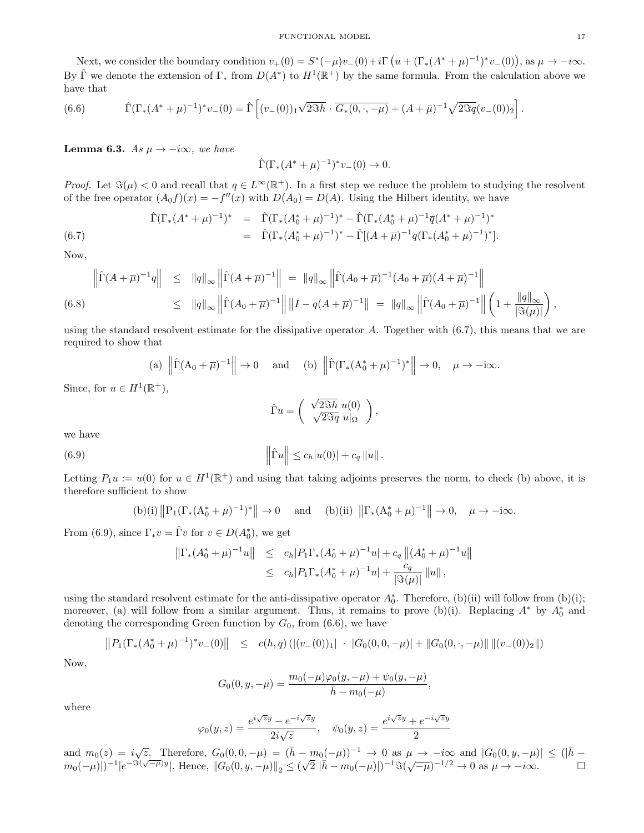Next, we consider the boundary condition  $v_{+}(0) = S^{*}(-\mu)v_{-}(0) + i\Gamma(u+(\Gamma_{*}(A^{*}+\mu)^{-1})^{*}v_{-}(0)),$  as  $\mu \to -i\infty$ . By  $\hat{\Gamma}$  we denote the extension of  $\Gamma_*$  from  $D(A^*)$  to  $H^1(\mathbb{R}^+)$  by the same formula. From the calculation above we have that

(6.6) 
$$
\hat{\Gamma}(\Gamma_*(A^*+\mu)^{-1})^*v_-(0)=\hat{\Gamma}\left[(v_-(0))_1\sqrt{2\Im h}\cdot\overline{G_*(0,\cdot,-\mu)}+(A+\bar{\mu})^{-1}\sqrt{2\Im q}(v_-(0))_2\right].
$$

**Lemma 6.3.** As  $\mu \to -i\infty$ , we have

$$
\hat{\Gamma}(\Gamma_*(A^* + \mu)^{-1})^* v_-(0) \to 0.
$$

*Proof.* Let  $\Im(\mu) < 0$  and recall that  $q \in L^{\infty}(\mathbb{R}^{+})$ . In a first step we reduce the problem to studying the resolvent of the free operator  $(A_0 f)(x) = -f''(x)$  with  $D(A_0) = D(A)$ . Using the Hilbert identity, we have

(6.7) 
$$
\hat{\Gamma}(\Gamma_*(A^* + \mu)^{-1})^* = \hat{\Gamma}(\Gamma_*(A_0^* + \mu)^{-1})^* - \hat{\Gamma}(\Gamma_*(A_0^* + \mu)^{-1}\overline{q}(A^* + \mu)^{-1})^*
$$

$$
= \hat{\Gamma}(\Gamma_*(A_0^* + \mu)^{-1})^* - \hat{\Gamma}[(A + \overline{\mu})^{-1}q(\Gamma_*(A_0^* + \mu)^{-1})^*].
$$

Now,

$$
\left\|\hat{\Gamma}(A+\overline{\mu})^{-1}q\right\| \leq \|q\|_{\infty}\left\|\hat{\Gamma}(A+\overline{\mu})^{-1}\right\| = \|q\|_{\infty}\left\|\hat{\Gamma}(A_0+\overline{\mu})^{-1}(A_0+\overline{\mu})(A+\overline{\mu})^{-1}\right\|
$$
  
(6.8)  

$$
\leq \|q\|_{\infty}\left\|\hat{\Gamma}(A_0+\overline{\mu})^{-1}\right\|\left\|I-q(A+\overline{\mu})^{-1}\right\| = \|q\|_{\infty}\left\|\hat{\Gamma}(A_0+\overline{\mu})^{-1}\right\|\left(1+\frac{\|q\|_{\infty}}{|S(\mu)|}\right),
$$

using the standard resolvent estimate for the dissipative operator A. Together with (6.7), this means that we are required to show that

(a) 
$$
\left\|\hat{\Gamma}(A_0 + \overline{\mu})^{-1}\right\| \to 0
$$
 and (b)  $\left\|\hat{\Gamma}(\Gamma_*(A_0^* + \mu)^{-1})^*\right\| \to 0, \quad \mu \to -i\infty.$ 

Since, for  $u \in H^1(\mathbb{R}^+),$ 

$$
\hat{\Gamma}u = \begin{pmatrix} \sqrt{2\Im h} u(0) \\ \sqrt{2\Im q} u|_{\Omega} \end{pmatrix},
$$

we have

(6.9) 
$$
\|\hat{\Gamma}u\| \leq c_h|u(0)| + c_q \|u\|.
$$

Letting  $P_1u := u(0)$  for  $u \in H^1(\mathbb{R}^+)$  and using that taking adjoints preserves the norm, to check (b) above, it is therefore sufficient to show

(b)(i) 
$$
||P_1(\Gamma_*(A_0^* + \mu)^{-1})^*|| \to 0
$$
 and (b)(ii)  $||\Gamma_*(A_0^* + \mu)^{-1}|| \to 0$ ,  $\mu \to -i\infty$ .

From (6.9), since  $\Gamma_* v = \hat{\Gamma} v$  for  $v \in D(A_0^*)$ , we get

$$
\begin{aligned} \left\| \Gamma_*(A_0^* + \mu)^{-1} u \right\| &\leq\quad c_h |P_1 \Gamma_*(A_0^* + \mu)^{-1} u| + c_q \left\| (A_0^* + \mu)^{-1} u \right\| \\ &\leq\quad c_h |P_1 \Gamma_*(A_0^* + \mu)^{-1} u| + \frac{c_q}{|\Im(\mu)|} \left\| u \right\|, \end{aligned}
$$

using the standard resolvent estimate for the anti-dissipative operator  $A_0^*$ . Therefore, (b)(ii) will follow from (b)(i); moreover, (a) will follow from a similar argument. Thus, it remains to prove (b)(i). Replacing  $A^*$  by  $A_0^*$  and denoting the corresponding Green function by  $G_0$ , from  $(6.6)$ , we have

$$
||P_1(\Gamma_*(A_0^*+\mu)^{-1})^*v_-(0)|| \leq c(h,q) \left( |(v_-(0))_1| + |G_0(0,0,-\mu)| + ||G_0(0,\cdot,-\mu)|| \left( |(v_-(0))_2| \right| \right)
$$

Now,

$$
G_0(0, y, -\mu) = \frac{m_0(-\mu)\varphi_0(y, -\mu) + \psi_0(y, -\mu)}{\bar{h} - m_0(-\mu)},
$$

where

$$
\varphi_0(y, z) = \frac{e^{i\sqrt{z}y} - e^{-i\sqrt{z}y}}{2i\sqrt{z}}, \quad \psi_0(y, z) = \frac{e^{i\sqrt{z}y} + e^{-i\sqrt{z}y}}{2}
$$

and  $m_0(z) = i\sqrt{z}$ . Therefore,  $G_0(0, 0, -\mu) = (\bar{h} - m_0(-\mu))^{-1} \to 0$  as  $\mu \to -i\infty$  and  $|G_0(0, y, -\mu)| \leq (|\bar{h} - \mu|)^{-1}$  $m_0(-\mu)|^{-1}|e^{-3(\sqrt{-\mu})y}|$ . Hence,  $||G_0(0, y, -\mu)||_2 \leq$ √ 2 |h¯ − m0(−µ)|) <sup>−</sup><sup>1</sup>=( √ −µ) <sup>−</sup>1/<sup>2</sup> → 0 as µ → −i∞.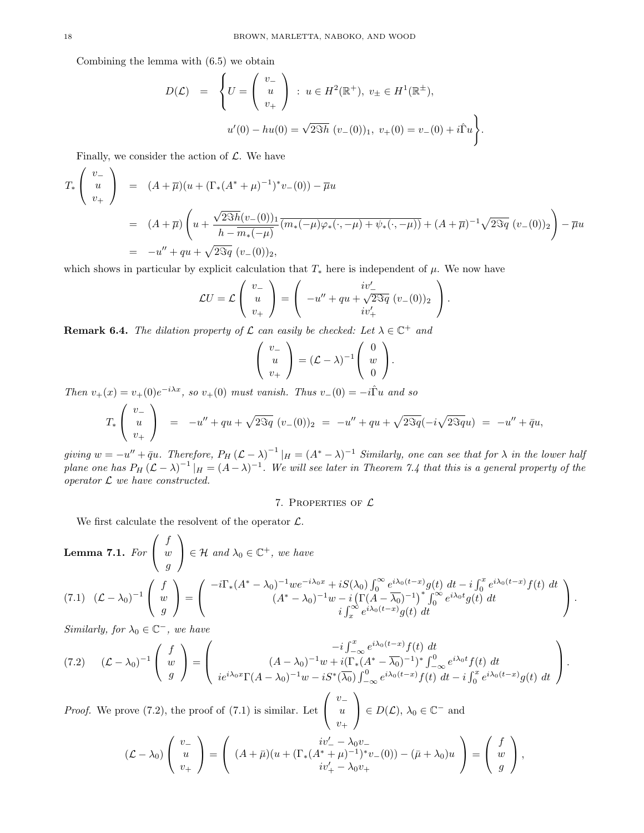Combining the lemma with (6.5) we obtain

$$
D(\mathcal{L}) = \begin{cases} U = \begin{pmatrix} v_- \\ u \\ v_+ \end{pmatrix} : u \in H^2(\mathbb{R}^+), v_{\pm} \in H^1(\mathbb{R}^{\pm}), \\ u'(0) - hu(0) = \sqrt{2\Im h} (v_-(0))_1, v_+(0) = v_-(0) + i\hat{\Gamma}u \end{cases}.
$$

Finally, we consider the action of  $\mathcal{L}$ . We have

$$
T_*\begin{pmatrix} v_- \\ u \\ v_+ \end{pmatrix} = (A + \overline{\mu})(u + (\Gamma_*(A^* + \mu)^{-1})^* v_-(0)) - \overline{\mu}u
$$
  
=  $(A + \overline{\mu}) \left( u + \frac{\sqrt{2\Im h}(v_-(0))_1}{h - \overline{m_*(-\mu)}(\overline{m_*(-\mu)\varphi_*(\cdot, -\mu)} + \psi_*(\cdot, -\mu))} + (A + \overline{\mu})^{-1} \sqrt{2\Im q} (v_-(0))_2 \right) - \overline{\mu}u$   
=  $-u'' + qu + \sqrt{2\Im q} (v_-(0))_2,$ 

which shows in particular by explicit calculation that  $T_*$  here is independent of  $\mu$ . We now have

$$
\mathcal{L}U = \mathcal{L}\left(\begin{array}{c} v_- \\ u \\ v_+ \end{array}\right) = \left(\begin{array}{c} iv'_- \\ -u'' + qu + \sqrt{2\Im q} \ (v_-(0))_2 \\ iv'_+ \end{array}\right).
$$

**Remark 6.4.** The dilation property of  $\mathcal{L}$  can easily be checked: Let  $\lambda \in \mathbb{C}^+$  and

$$
\left(\begin{array}{c} v_- \\ u \\ v_+ \end{array}\right) = (\mathcal{L} - \lambda)^{-1} \left(\begin{array}{c} 0 \\ w \\ 0 \end{array}\right).
$$

Then  $v_{+}(x) = v_{+}(0)e^{-i\lambda x}$ , so  $v_{+}(0)$  must vanish. Thus  $v_{-}(0) = -i\hat{\Gamma}u$  and so

$$
T_*\begin{pmatrix} v_- \\ u \\ v_+ \end{pmatrix} = -u'' + qu + \sqrt{2\Im q} \ (v_-(0))_2 = -u'' + qu + \sqrt{2\Im q}(-i\sqrt{2\Im q}u) = -u'' + \bar{q}u,
$$

giving  $w = -u'' + \bar{q}u$ . Therefore,  $P_H (\mathcal{L} - \lambda)^{-1} |_H = (A^* - \lambda)^{-1}$  Similarly, one can see that for  $\lambda$  in the lower half plane one has  $P_H (L - \lambda)^{-1} |_H = (A - \lambda)^{-1}$ . We will see later in Theorem 7.4 that this is a general property of the operator  $L$  we have constructed.

#### 7. PROPERTIES OF  $L$

We first calculate the resolvent of the operator  $\mathcal{L}$ .

**Lemma 7.1.** For 
$$
\begin{pmatrix} f \\ w \\ g \end{pmatrix} \in \mathcal{H}
$$
 and  $\lambda_0 \in \mathbb{C}^+$ , we have  
\n
$$
(7.1) \quad (\mathcal{L} - \lambda_0)^{-1} \begin{pmatrix} f \\ w \\ g \end{pmatrix} = \begin{pmatrix} -i\Gamma_*(A^* - \lambda_0)^{-1}we^{-i\lambda_0 x} + iS(\lambda_0) \int_0^\infty e^{i\lambda_0(t-x)}g(t) dt - i \int_0^x e^{i\lambda_0(t-x)}f(t) dt \\ (A^* - \lambda_0)^{-1}w - i(\Gamma(A - \overline{\lambda_0})^{-1})^* \int_0^\infty e^{i\lambda_0 t}g(t) dt \\ i \int_x^\infty e^{i\lambda_0(t-x)}g(t) dt \end{pmatrix}.
$$

Similarly, for  $\lambda_0 \in \mathbb{C}^-$ , we have

$$
(7.2) \quad (\mathcal{L} - \lambda_0)^{-1} \left( \begin{array}{c} f \\ w \\ g \end{array} \right) = \left( \begin{array}{c} -i \int_{-\infty}^x e^{i\lambda_0(t-x)} f(t) \ dt \\ (A - \lambda_0)^{-1} w + i \left( \Gamma_*(A^* - \overline{\lambda_0})^{-1} \right)^* \int_{-\infty}^0 e^{i\lambda_0 t} f(t) \ dt \\ i e^{i\lambda_0 x} \Gamma(A - \lambda_0)^{-1} w - i S^* (\overline{\lambda_0}) \int_{-\infty}^0 e^{i\lambda_0(t-x)} f(t) \ dt - i \int_0^x e^{i\lambda_0(t-x)} g(t) \ dt \end{array} \right).
$$

*Proof.* We prove  $(7.2)$ , the proof of  $(7.1)$  is similar. Let  $\sqrt{ }$  $\mathcal{L}$  $v_+$ u  $v_+$  $\setminus$  $\Big\} \in D(\mathcal{L}), \lambda_0 \in \mathbb{C}^-$  and

$$
(\mathcal{L} - \lambda_0) \left( \begin{array}{c} v_- \\ u \\ v_+ \end{array} \right) = \left( \begin{array}{c} iv'_- - \lambda_0 v_- \\ (A + \bar{\mu}) (u + (\Gamma_*(A^* + \mu)^{-1})^* v_-(0)) - (\bar{\mu} + \lambda_0) u \\ iv'_+ - \lambda_0 v_+ \end{array} \right) = \left( \begin{array}{c} f \\ w \\ g \end{array} \right),
$$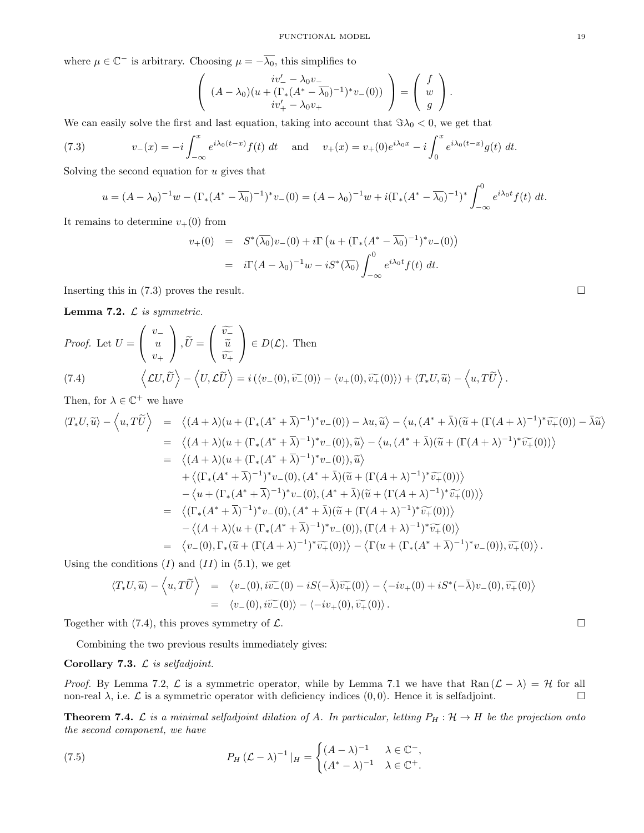where  $\mu \in \mathbb{C}^-$  is arbitrary. Choosing  $\mu = -\overline{\lambda_0}$ , this simplifies to

$$
\left((A - \lambda_0)(u + (\Gamma_*(A^* - \overline{\lambda_0})^{-1})^* v_-(0))\right) = \left(\begin{array}{c} f \\ w \\ g \end{array}\right).
$$

We can easily solve the first and last equation, taking into account that  $\Im \lambda_0 < 0$ , we get that

(7.3) 
$$
v_{-}(x) = -i \int_{-\infty}^{x} e^{i\lambda_{0}(t-x)} f(t) dt \quad \text{and} \quad v_{+}(x) = v_{+}(0) e^{i\lambda_{0}x} - i \int_{0}^{x} e^{i\lambda_{0}(t-x)} g(t) dt.
$$

Solving the second equation for  $u$  gives that

$$
u = (A - \lambda_0)^{-1} w - (\Gamma_*(A^* - \overline{\lambda_0})^{-1})^* v_-(0) = (A - \lambda_0)^{-1} w + i(\Gamma_*(A^* - \overline{\lambda_0})^{-1})^* \int_{-\infty}^0 e^{i\lambda_0 t} f(t) dt.
$$

It remains to determine  $v_{+}(0)$  from

$$
v_{+}(0) = S^{*}(\overline{\lambda_{0}})v_{-}(0) + i\Gamma(u + (\Gamma_{*}(A^{*} - \overline{\lambda_{0}})^{-1})^{*}v_{-}(0))
$$
  
=  $i\Gamma(A - \lambda_{0})^{-1}w - iS^{*}(\overline{\lambda_{0}})\int_{-\infty}^{0} e^{i\lambda_{0}t}f(t) dt.$ 

Inserting this in  $(7.3)$  proves the result.

Lemma 7.2.  $\mathcal{L}$  is symmetric.

*Proof.* Let 
$$
U = \begin{pmatrix} v_- \\ u \\ v_+ \end{pmatrix}
$$
,  $\widetilde{U} = \begin{pmatrix} \widetilde{v_-} \\ \widetilde{u} \\ \widetilde{v_+} \end{pmatrix} \in D(\mathcal{L})$ . Then  
\n(7.4)  $\langle LU, \widetilde{U} \rangle - \langle U, \mathcal{L}\widetilde{U} \rangle = i(\langle v_-(0), \widetilde{v}_-(0) \rangle - \langle v_+(0), \widetilde{v_+}(0) \rangle) + \langle T_*U, \widetilde{u} \rangle - \langle u, T\widetilde{U} \rangle$ .

Then, for  $\lambda \in \mathbb{C}^+$  we have

$$
\langle T_*U, \widetilde{u} \rangle - \langle u, T\widetilde{U} \rangle = \langle (A + \lambda)(u + (\Gamma_*(A^* + \overline{\lambda})^{-1})^* v_-(0)) - \lambda u, \widetilde{u} \rangle - \langle u, (A^* + \overline{\lambda})(\widetilde{u} + (\Gamma(A + \lambda)^{-1})^* \widetilde{v_+}(0)) - \overline{\lambda}\widetilde{u} \rangle
$$
  
\n
$$
= \langle (A + \lambda)(u + (\Gamma_*(A^* + \overline{\lambda})^{-1})^* v_-(0)), \widetilde{u} \rangle - \langle u, (A^* + \overline{\lambda})(\widetilde{u} + (\Gamma(A + \lambda)^{-1})^* \widetilde{v_+}(0)) \rangle
$$
  
\n
$$
= \langle (A + \lambda)(u + (\Gamma_*(A^* + \overline{\lambda})^{-1})^* v_-(0)), \widetilde{u} \rangle
$$
  
\n
$$
+ \langle (\Gamma_*(A^* + \overline{\lambda})^{-1})^* v_-(0), (A^* + \overline{\lambda})(\widetilde{u} + (\Gamma(A + \lambda)^{-1})^* \widetilde{v_+}(0)) \rangle
$$
  
\n
$$
- \langle u + (\Gamma_*(A^* + \overline{\lambda})^{-1})^* v_-(0), (A^* + \overline{\lambda})(\widetilde{u} + (\Gamma(A + \lambda)^{-1})^* \widetilde{v_+}(0)) \rangle
$$
  
\n
$$
= \langle (\Gamma_*(A^* + \overline{\lambda})^{-1})^* v_-(0), (A^* + \overline{\lambda})(\widetilde{u} + (\Gamma(A + \lambda)^{-1})^* \widetilde{v_+}(0)) \rangle
$$
  
\n
$$
- \langle (A + \lambda)(u + (\Gamma_*(A^* + \overline{\lambda})^{-1})^* v_-(0)), (\Gamma(A + \lambda)^{-1})^* \widetilde{v_+}(0) \rangle
$$
  
\n
$$
= \langle v_-(0), \Gamma_*(\widetilde{u} + (\Gamma(A + \lambda)^{-1})^* \widetilde{v_+}(0)) \rangle - \langle \Gamma(u + (\Gamma_*(A^* + \overline{\lambda})^{-1})^* v_-(0)), \widetilde{v_+}(0) \rangle.
$$

Using the conditions  $(I)$  and  $(II)$  in  $(5.1)$ , we get

$$
\langle T_*U, \widetilde{u} \rangle - \langle u, T\widetilde{U} \rangle = \langle v_-(0), i\widetilde{v}_-(0) - iS(-\overline{\lambda})\widetilde{v}_+(0) \rangle - \langle -iv_+(0) + iS^*(-\overline{\lambda})v_-(0), \widetilde{v}_+(0) \rangle
$$
  
=  $\langle v_-(0), i\widetilde{v}_-(0) \rangle - \langle -iv_+(0), \widetilde{v}_+(0) \rangle.$ 

Together with (7.4), this proves symmetry of  $\mathcal{L}$ .

Combining the two previous results immediately gives:

#### Corollary 7.3.  $\mathcal L$  is selfadjoint.

*Proof.* By Lemma 7.2,  $\mathcal{L}$  is a symmetric operator, while by Lemma 7.1 we have that Ran  $(\mathcal{L} - \lambda) = \mathcal{H}$  for all non-real  $\lambda$ , i.e.  $\mathcal L$  is a symmetric operator with deficiency indices  $(0,0)$ . Hence it is selfadjoint.

**Theorem 7.4.** L is a minimal selfadjoint dilation of A. In particular, letting  $P_H: \mathcal{H} \to H$  be the projection onto the second component, we have

(7.5) 
$$
P_H\left(\mathcal{L} - \lambda\right)^{-1}|_H = \begin{cases} (A - \lambda)^{-1} & \lambda \in \mathbb{C}^-,\\ (A^* - \lambda)^{-1} & \lambda \in \mathbb{C}^+. \end{cases}
$$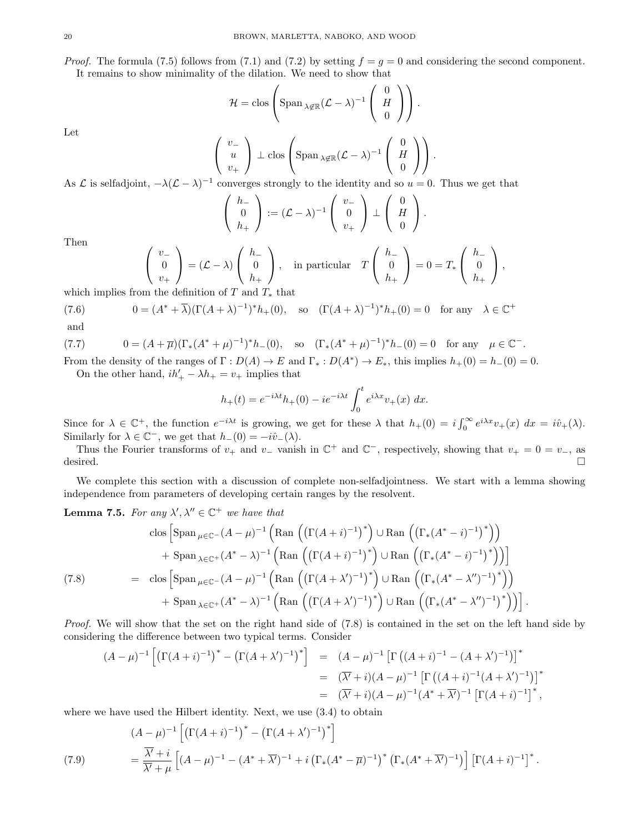*Proof.* The formula (7.5) follows from (7.1) and (7.2) by setting  $f = g = 0$  and considering the second component.

It remains to show minimality of the dilation. We need to show that

$$
\mathcal{H} = \text{clos}\left(\text{Span}_{\lambda \notin \mathbb{R}} (\mathcal{L} - \lambda)^{-1} \left(\begin{array}{c} 0 \\ H \\ 0 \end{array}\right)\right).
$$

Let

$$
\begin{pmatrix} v_- \\ u \\ v_+ \end{pmatrix} \perp \text{clos} \begin{pmatrix} \text{Span}_{\lambda \notin \mathbb{R}} (\mathcal{L} - \lambda)^{-1} \begin{pmatrix} 0 \\ H \\ 0 \end{pmatrix} \end{pmatrix}.
$$

As L is selfadjoint,  $-\lambda(\mathcal{L} - \lambda)^{-1}$  converges strongly to the identity and so  $u = 0$ . Thus we get that

$$
\left(\begin{array}{c} h_- \\ 0 \\ h_+ \end{array}\right) := (\mathcal{L} - \lambda)^{-1} \left(\begin{array}{c} v_- \\ 0 \\ v_+ \end{array}\right) \perp \left(\begin{array}{c} 0 \\ H \\ 0 \end{array}\right).
$$

Then

$$
\begin{pmatrix} v_- \\ 0 \\ v_+ \end{pmatrix} = (\mathcal{L} - \lambda) \begin{pmatrix} h_- \\ 0 \\ h_+ \end{pmatrix}, \text{ in particular } T \begin{pmatrix} h_- \\ 0 \\ h_+ \end{pmatrix} = 0 = T_* \begin{pmatrix} h_- \\ 0 \\ h_+ \end{pmatrix},
$$

which implies from the definition of T and  $T_*$  that

(7.6) 
$$
0 = (A^* + \overline{\lambda})(\Gamma(A + \lambda)^{-1})^* h_+(0), \text{ so } (\Gamma(A + \lambda)^{-1})^* h_+(0) = 0 \text{ for any } \lambda \in \mathbb{C}^+
$$
  
and

$$
\mathbf{u}^{\mathrm{max}}
$$

(7.7) 
$$
0 = (A + \overline{\mu})(\Gamma_*(A^* + \mu)^{-1})^* h_-(0), \text{ so } (\Gamma_*(A^* + \mu)^{-1})^* h_-(0) = 0 \text{ for any } \mu \in \mathbb{C}^-.
$$

From the density of the ranges of  $\Gamma: D(A) \to E$  and  $\Gamma_*: D(A^*) \to E_*$ , this implies  $h_+(0) = h_-(0) = 0$ . On the other hand,  $ih'_+ - \lambda h_+ = v_+$  implies that

$$
h_{+}(t) = e^{-i\lambda t}h_{+}(0) - ie^{-i\lambda t} \int_{0}^{t} e^{i\lambda x}v_{+}(x) dx.
$$

Since for  $\lambda \in \mathbb{C}^+$ , the function  $e^{-i\lambda t}$  is growing, we get for these  $\lambda$  that  $h_+(0) = i \int_0^\infty e^{i\lambda x} v_+(x) dx = i \hat{v}_+(\lambda)$ . Similarly for  $\lambda \in \mathbb{C}^-$ , we get that  $h_-(0) = -i\hat{v}_-(\lambda)$ .

Thus the Fourier transforms of  $v_+$  and  $v_-$  vanish in  $\mathbb{C}^+$  and  $\mathbb{C}^-$ , respectively, showing that  $v_+ = 0 = v_-,$  as desired.

We complete this section with a discussion of complete non-selfadjointness. We start with a lemma showing independence from parameters of developing certain ranges by the resolvent.

**Lemma 7.5.** For any  $\lambda', \lambda'' \in \mathbb{C}^+$  we have that

$$
\begin{split}\n\text{clos}\left[\text{Span}_{\mu \in \mathbb{C}^{-}}(A-\mu)^{-1}\left(\text{Ran}\left(\left(\Gamma(A+i)^{-1}\right)^{*}\right) \cup \text{Ran}\left(\left(\Gamma_{*}(A^{*}-i)^{-1}\right)^{*}\right)\right)\right. \\
\left.+\text{Span}_{\lambda \in \mathbb{C}^{+}}(A^{*}-\lambda)^{-1}\left(\text{Ran}\left(\left(\Gamma(A+i)^{-1}\right)^{*}\right) \cup \text{Ran}\left(\left(\Gamma_{*}(A^{*}-i)^{-1}\right)^{*}\right)\right)\right] \\
\text{clos}\left[\text{Span}_{\mu \in \mathbb{C}^{-}}(A-\mu)^{-1}\left(\text{Ran}\left(\left(\Gamma(A+\lambda')^{-1}\right)^{*}\right) \cup \text{Ran}\left(\left(\Gamma_{*}(A^{*}-\lambda'')^{-1}\right)^{*}\right)\right)\right. \\
\left.+\text{Span}_{\lambda \in \mathbb{C}^{+}}(A^{*}-\lambda)^{-1}\left(\text{Ran}\left(\left(\Gamma(A+\lambda')^{-1}\right)^{*}\right) \cup \text{Ran}\left(\left(\Gamma_{*}(A^{*}-\lambda'')^{-1}\right)^{*}\right)\right)\right].\n\end{split}
$$

Proof. We will show that the set on the right hand side of (7.8) is contained in the set on the left hand side by considering the difference between two typical terms. Consider

$$
(A - \mu)^{-1} \left[ \left( \Gamma(A + i)^{-1} \right)^* - \left( \Gamma(A + \lambda')^{-1} \right)^* \right] = (A - \mu)^{-1} \left[ \Gamma\left( (A + i)^{-1} - (A + \lambda')^{-1} \right) \right]^*
$$
  

$$
= (\overline{\lambda'} + i)(A - \mu)^{-1} \left[ \Gamma\left( (A + i)^{-1}(A + \lambda')^{-1} \right) \right]^*
$$
  

$$
= (\overline{\lambda'} + i)(A - \mu)^{-1}(A^* + \overline{\lambda'})^{-1} \left[ \Gamma(A + i)^{-1} \right]^*,
$$

where we have used the Hilbert identity. Next, we use (3.4) to obtain

(7.9) 
$$
(A - \mu)^{-1} \left[ \left( \Gamma(A + i)^{-1} \right)^{*} - \left( \Gamma(A + \lambda')^{-1} \right)^{*} \right]
$$

$$
= \frac{\overline{\lambda'} + i}{\overline{\lambda'} + \mu} \left[ (A - \mu)^{-1} - (A^{*} + \overline{\lambda'})^{-1} + i \left( \Gamma_{*}(A^{*} - \overline{\mu})^{-1} \right)^{*} \left( \Gamma_{*}(A^{*} + \overline{\lambda'})^{-1} \right) \right] \left[ \Gamma(A + i)^{-1} \right]^{*}.
$$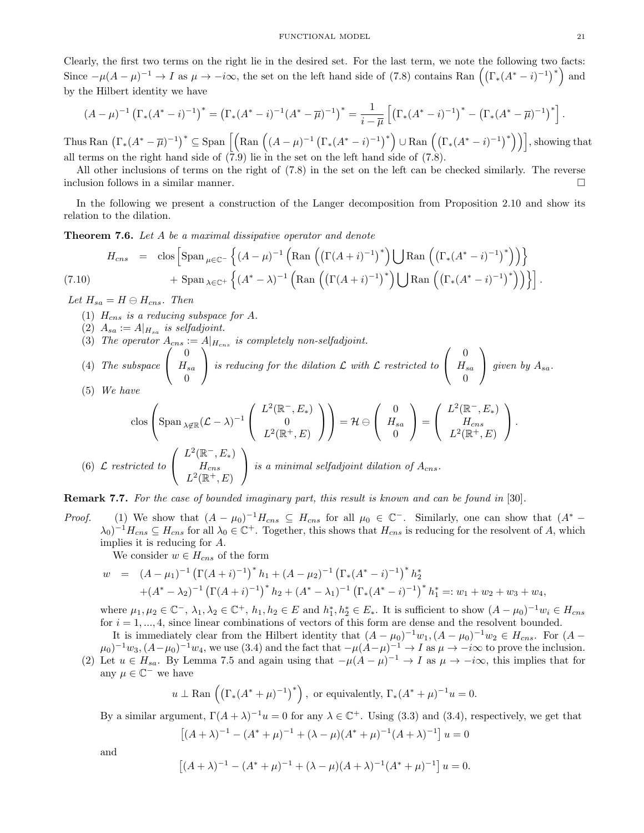Clearly, the first two terms on the right lie in the desired set. For the last term, we note the following two facts: Since  $-\mu(A-\mu)^{-1} \to I$  as  $\mu \to -i\infty$ , the set on the left hand side of (7.8) contains Ran  $((\Gamma_*(A^* - i)^{-1})^*)$  and by the Hilbert identity we have

$$
(A - \mu)^{-1} \left( \Gamma_*(A^* - i)^{-1} \right)^* = \left( \Gamma_*(A^* - i)^{-1} (A^* - \overline{\mu})^{-1} \right)^* = \frac{1}{i - \overline{\mu}} \left[ \left( \Gamma_*(A^* - i)^{-1} \right)^* - \left( \Gamma_*(A^* - \overline{\mu})^{-1} \right)^* \right].
$$

Thus Ran  $\left(\Gamma_*(A^* - \overline{\mu})^{-1}\right)^* \subseteq \text{Span}\left[\left(\text{Ran}\left((A-\mu)^{-1}\left(\Gamma_*(A^* - i)^{-1}\right)^*\right) \cup \text{Ran}\left(\left(\Gamma_*(A^* - i)^{-1}\right)^*\right)\right)\right],$  showing that all terms on the right hand side of  $(7.9)$  lie in the set on the left hand side of  $(7.8)$ .

All other inclusions of terms on the right of (7.8) in the set on the left can be checked similarly. The reverse inclusion follows in a similar manner.

In the following we present a construction of the Langer decomposition from Proposition 2.10 and show its relation to the dilation.

**Theorem 7.6.** Let A be a maximal dissipative operator and denote

$$
H_{cns} = \text{clos} \left[ \text{Span}_{\mu \in \mathbb{C}^-} \left\{ (A - \mu)^{-1} \left( \text{Ran} \left( \left( \Gamma(A + i)^{-1} \right)^* \right) \bigcup \text{Ran} \left( \left( \Gamma_*(A^* - i)^{-1} \right)^* \right) \right) \right\} + \text{Span}_{\lambda \in \mathbb{C}^+} \left\{ (A^* - \lambda)^{-1} \left( \text{Ran} \left( \left( \Gamma(A + i)^{-1} \right)^* \right) \bigcup \text{Ran} \left( \left( \Gamma_*(A^* - i)^{-1} \right)^* \right) \right) \right\} \right].
$$

Let  $H_{sa} = H \ominus H_{cns}$ . Then

- (1)  $H_{cns}$  is a reducing subspace for A.
- (2)  $A_{sa} := A|_{H_{sa}}$  is selfadjoint.
- (3) The operator  $A_{cns} := A|_{H_{cns}}$  is completely non-selfadjoint.
- (4) The subspace  $\sqrt{ }$  $\mathcal{L}$ 0  $H_{sa}$ 0  $\setminus$ is reducing for the dilation  $\mathcal L$  with  $\mathcal L$  restricted to  $\sqrt{ }$  $\mathcal{L}$ 0  $H_{sa}$ 0  $\setminus$ given by  $A_{sa}$ .
- (5) We have

$$
\operatorname{clos}\left(\operatorname{Span}_{\lambda \notin \mathbb{R}} (\mathcal{L} - \lambda)^{-1} \begin{pmatrix} L^2(\mathbb{R}^-, E_*) \\ 0 \\ L^2(\mathbb{R}^+, E) \end{pmatrix} \right) = \mathcal{H} \ominus \begin{pmatrix} 0 \\ H_{sa} \\ 0 \end{pmatrix} = \begin{pmatrix} L^2(\mathbb{R}^-, E_*) \\ H_{cns} \\ L^2(\mathbb{R}^+, E) \end{pmatrix}.
$$
  
(6)  $\mathcal{L}$  restricted to  $\begin{pmatrix} L^2(\mathbb{R}^-, E_*) \\ H_{cns} \\ L^2(\mathbb{R}^+, E) \end{pmatrix}$  is a minimal selfadjoint dilation of  $A_{cns}$ .

Remark 7.7. For the case of bounded imaginary part, this result is known and can be found in [30].

*Proof.* (1) We show that  $(A - \mu_0)^{-1} H_{cns} \subseteq H_{cns}$  for all  $\mu_0 \in \mathbb{C}^-$ . Similarly, one can show that  $(A^* (\lambda_0)^{-1}H_{cns}\subseteq H_{cns}$  for all  $\lambda_0\in\mathbb{C}^+$ . Together, this shows that  $H_{cns}$  is reducing for the resolvent of A, which implies it is reducing for A.

We consider  $w \in H_{cns}$  of the form

$$
w = (A - \mu_1)^{-1} \left( \Gamma(A + i)^{-1} \right)^* h_1 + (A - \mu_2)^{-1} \left( \Gamma_*(A^* - i)^{-1} \right)^* h_2^*
$$
  
+ 
$$
(A^* - \lambda_2)^{-1} \left( \Gamma(A + i)^{-1} \right)^* h_2 + (A^* - \lambda_1)^{-1} \left( \Gamma_*(A^* - i)^{-1} \right)^* h_1^* =: w_1 + w_2 + w_3 + w_4,
$$

where  $\mu_1, \mu_2 \in \mathbb{C}^-, \lambda_1, \lambda_2 \in \mathbb{C}^+, h_1, h_2 \in E$  and  $h_1^*, h_2^* \in E_*$ . It is sufficient to show  $(A - \mu_0)^{-1} w_i \in H_{cns}$ for  $i = 1, ..., 4$ , since linear combinations of vectors of this form are dense and the resolvent bounded.

It is immediately clear from the Hilbert identity that  $(A - \mu_0)^{-1} w_1$ ,  $(A - \mu_0)^{-1} w_2 \in H_{\text{cns}}$ . For  $(A - \mu_0)^{-1} w_1$  $(\mu_0)^{-1}w_3$ ,  $(A-\mu_0)^{-1}w_4$ , we use (3.4) and the fact that  $-\mu(A-\mu)^{-1} \to I$  as  $\mu \to -i\infty$  to prove the inclusion. (2) Let  $u \in H_{sa}$ . By Lemma 7.5 and again using that  $-\mu(A - \mu)^{-1} \to I$  as  $\mu \to -i\infty$ , this implies that for any  $\mu \in \mathbb{C}^-$  we have

$$
u \perp \text{Ran}\left(\left(\Gamma_*(A^* + \mu)^{-1}\right)^*\right)
$$
, or equivalently,  $\Gamma_*(A^* + \mu)^{-1}u = 0$ .

By a similar argument,  $\Gamma(A + \lambda)^{-1}u = 0$  for any  $\lambda \in \mathbb{C}^+$ . Using (3.3) and (3.4), respectively, we get that

$$
[(A + \lambda)^{-1} - (A^* + \mu)^{-1} + (\lambda - \mu)(A^* + \mu)^{-1}(A + \lambda)^{-1}] u = 0
$$

and

$$
[(A + \lambda)^{-1} - (A^* + \mu)^{-1} + (\lambda - \mu)(A + \lambda)^{-1}(A^* + \mu)^{-1}] u = 0.
$$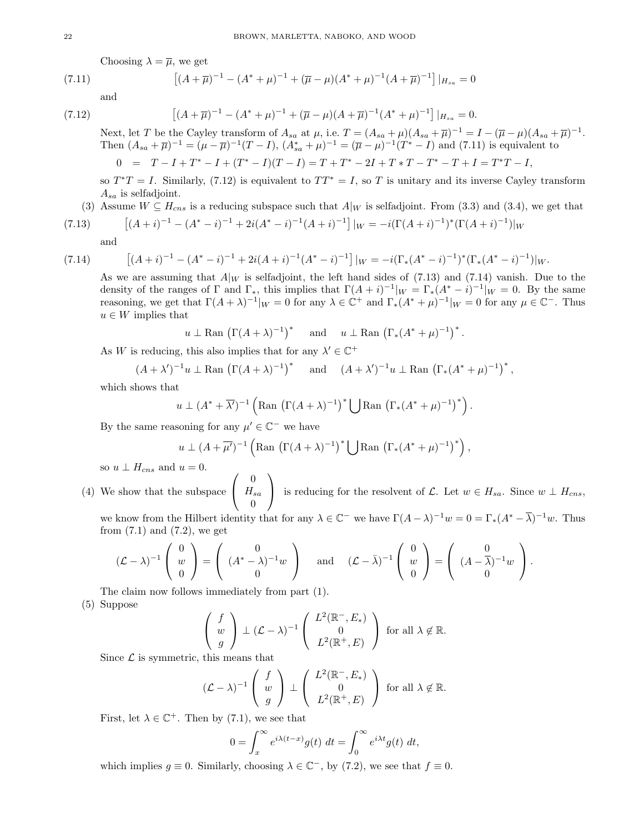Choosing  $\lambda = \overline{\mu}$ , we get

(7.11) 
$$
\left[ (A + \overline{\mu})^{-1} - (A^* + \mu)^{-1} + (\overline{\mu} - \mu)(A^* + \mu)^{-1} (A + \overline{\mu})^{-1} \right] |_{H_{sa}} = 0
$$

and

$$
\left[ (A + \overline{\mu})^{-1} - (A^* + \mu)^{-1} + (\overline{\mu} - \mu)(A + \overline{\mu})^{-1} (A^* + \mu)^{-1} \right] |_{H_{sa}} = 0.
$$

Next, let T be the Cayley transform of  $A_{sa}$  at  $\mu$ , i.e.  $T = (A_{sa} + \mu)(A_{sa} + \overline{\mu})^{-1} = I - (\overline{\mu} - \mu)(A_{sa} + \overline{\mu})^{-1}$ . Then  $(A_{sa} + \overline{\mu})^{-1} = (\mu - \overline{\mu})^{-1}(T - I), (A_{sa}^* + \mu)^{-1} = (\overline{\mu} - \mu)^{-1}(T^* - I)$  and (7.11) is equivalent to

$$
0 = T - I + T^* - I + (T^* - I)(T - I) = T + T^* - 2I + T * T - T^* - T + I = T^*T - I,
$$

so  $T^*T = I$ . Similarly, (7.12) is equivalent to  $TT^* = I$ , so T is unitary and its inverse Cayley transform  $A_{sa}$  is selfadjoint.

(3) Assume 
$$
W \subseteq H_{cns}
$$
 is a reducing subspace such that  $A|_W$  is selfadjoint. From (3.3) and (3.4), we get that

(7.13) 
$$
[(A+i)^{-1} - (A^* - i)^{-1} + 2i(A^* - i)^{-1}(A+i)^{-1}]|_{W} = -i(\Gamma(A+i)^{-1})^*(\Gamma(A+i)^{-1})|_{W}
$$

and

 $(7.14)$ 

$$
[(A+i)^{-1} - (A^* - i)^{-1} + 2i(A+i)^{-1}(A^* - i)^{-1}]|_{W} = -i(\Gamma_*(A^* - i)^{-1})^*(\Gamma_*(A^* - i)^{-1})|_{W}.
$$

As we are assuming that  $A|_W$  is selfadjoint, the left hand sides of (7.13) and (7.14) vanish. Due to the density of the ranges of  $\Gamma$  and  $\Gamma_*$ , this implies that  $\Gamma(A+i)^{-1}|_W = \Gamma_*(A^* - i)^{-1}|_W = 0$ . By the same reasoning, we get that  $\Gamma(A + \lambda)^{-1}|_W = 0$  for any  $\lambda \in \mathbb{C}^+$  and  $\Gamma_*(A^* + \mu)^{-1}|_W = 0$  for any  $\mu \in \mathbb{C}^-$ . Thus  $u \in W$  implies that

$$
u \perp \text{Ran} (\Gamma(A + \lambda)^{-1})^*
$$
 and  $u \perp \text{Ran} (\Gamma_*(A^* + \mu)^{-1})^*.$ 

As W is reducing, this also implies that for any  $\lambda' \in \mathbb{C}^+$ 

$$
(A + \lambda')^{-1}u \perp \text{Ran} (\Gamma(A + \lambda)^{-1})^*
$$
 and  $(A + \lambda')^{-1}u \perp \text{Ran} (\Gamma_*(A^* + \mu)^{-1})^*$ ,

which shows that

$$
u \perp (A^* + \overline{\lambda'})^{-1} \left( \text{Ran } (\Gamma(A + \lambda)^{-1})^* \bigcup \text{Ran } (\Gamma_*(A^* + \mu)^{-1})^* \right).
$$

By the same reasoning for any  $\mu' \in \mathbb{C}^-$  we have

$$
u \perp (A + \overline{\mu'})^{-1} \left( \text{Ran } \left( \Gamma(A + \lambda)^{-1} \right)^* \bigcup \text{Ran } \left( \Gamma_*(A^* + \mu)^{-1} \right)^* \right),
$$

so  $u \perp H_{cns}$  and  $u = 0$ .

(4) We show that the subspace  $\sqrt{ }$  $\mathcal{L}$ 0  $H_{sa}$  $\overline{0}$  $\setminus$ is reducing for the resolvent of  $\mathcal{L}$ . Let  $w \in H_{sa}$ . Since  $w \perp H_{cns}$ ,

we know from the Hilbert identity that for any  $\lambda \in \mathbb{C}^-$  we have  $\Gamma(A - \lambda)^{-1}w = 0 = \Gamma_*(A^* - \overline{\lambda})^{-1}w$ . Thus from  $(7.1)$  and  $(7.2)$ , we get

$$
(\mathcal{L} - \lambda)^{-1} \begin{pmatrix} 0 \\ w \\ 0 \end{pmatrix} = \begin{pmatrix} 0 \\ (A^* - \lambda)^{-1}w \\ 0 \end{pmatrix} \quad \text{and} \quad (\mathcal{L} - \bar{\lambda})^{-1} \begin{pmatrix} 0 \\ w \\ 0 \end{pmatrix} = \begin{pmatrix} 0 \\ (A - \bar{\lambda})^{-1}w \\ 0 \end{pmatrix}.
$$

The claim now follows immediately from part (1).

(5) Suppose

$$
\begin{pmatrix} f \\ w \\ g \end{pmatrix} \perp (\mathcal{L} - \lambda)^{-1} \begin{pmatrix} L^2(\mathbb{R}^-, E_*) \\ 0 \\ L^2(\mathbb{R}^+, E) \end{pmatrix} \text{ for all } \lambda \notin \mathbb{R}.
$$

Since  $\mathcal L$  is symmetric, this means that

$$
(\mathcal{L} - \lambda)^{-1} \begin{pmatrix} f \\ w \\ g \end{pmatrix} \perp \begin{pmatrix} L^2(\mathbb{R}^-, E_*) \\ 0 \\ L^2(\mathbb{R}^+, E) \end{pmatrix} \text{ for all } \lambda \notin \mathbb{R}.
$$

First, let  $\lambda \in \mathbb{C}^+$ . Then by (7.1), we see that

$$
0 = \int_x^{\infty} e^{i\lambda(t-x)} g(t) dt = \int_0^{\infty} e^{i\lambda t} g(t) dt,
$$

which implies  $g \equiv 0$ . Similarly, choosing  $\lambda \in \mathbb{C}^-$ , by (7.2), we see that  $f \equiv 0$ .

 $(7.12)$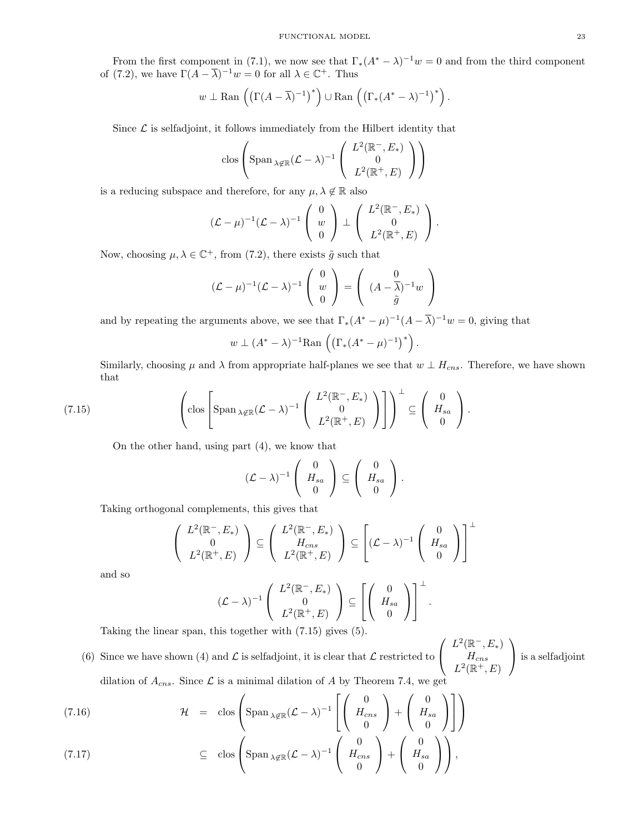From the first component in (7.1), we now see that  $\Gamma_*(A^* - \lambda)^{-1}w = 0$  and from the third component of (7.2), we have  $\Gamma(A - \overline{\lambda})^{-1}w = 0$  for all  $\lambda \in \mathbb{C}^+$ . Thus

$$
w \perp \text{Ran}\left(\left(\Gamma(A-\overline{\lambda})^{-1}\right)^*\right) \cup \text{Ran}\left(\left(\Gamma_*(A^*-\lambda)^{-1}\right)^*\right).
$$

Since  $\mathcal L$  is selfadjoint, it follows immediately from the Hilbert identity that

$$
\text{clos}\left(\text{Span}_{\lambda \notin \mathbb{R}} (\mathcal{L} - \lambda)^{-1} \left( \begin{array}{c} L^2(\mathbb{R}^-, E_*) \\ 0 \\ L^2(\mathbb{R}^+, E) \end{array} \right) \right)
$$

is a reducing subspace and therefore, for any  $\mu, \lambda \notin \mathbb{R}$  also

$$
(\mathcal{L} - \mu)^{-1} (\mathcal{L} - \lambda)^{-1} \left( \begin{array}{c} 0 \\ w \\ 0 \end{array} \right) \perp \left( \begin{array}{c} L^2(\mathbb{R}^-, E_*) \\ 0 \\ L^2(\mathbb{R}^+, E) \end{array} \right).
$$

Now, choosing  $\mu, \lambda \in \mathbb{C}^+$ , from (7.2), there exists  $\tilde{g}$  such that

$$
(\mathcal{L} - \mu)^{-1} (\mathcal{L} - \lambda)^{-1} \begin{pmatrix} 0 \\ w \\ 0 \end{pmatrix} = \begin{pmatrix} 0 \\ (A - \overline{\lambda})^{-1} w \\ \tilde{g} \end{pmatrix}
$$

and by repeating the arguments above, we see that  $\Gamma_*(A^* - \mu)^{-1}(A - \overline{\lambda})^{-1}w = 0$ , giving that

$$
w \perp (A^* - \lambda)^{-1}
$$
Ran  $((\Gamma_*(A^* - \mu)^{-1})^*)$ 

Similarly, choosing  $\mu$  and  $\lambda$  from appropriate half-planes we see that  $w \perp H_{cns}$ . Therefore, we have shown that

.

.

(7.15) 
$$
\left( \text{clos} \left[ \text{Span}_{\lambda \notin \mathbb{R}} (\mathcal{L} - \lambda)^{-1} \left( \begin{array}{c} L^2(\mathbb{R}^-, E_*) \\ 0 \\ L^2(\mathbb{R}^+, E) \end{array} \right) \right] \right)^{\perp} \subseteq \left( \begin{array}{c} 0 \\ H_{sa} \\ 0 \end{array} \right).
$$

On the other hand, using part (4), we know that

$$
(\mathcal{L} - \lambda)^{-1} \left( \begin{array}{c} 0 \\ H_{sa} \\ 0 \end{array} \right) \subseteq \left( \begin{array}{c} 0 \\ H_{sa} \\ 0 \end{array} \right).
$$

Taking orthogonal complements, this gives that

$$
\begin{pmatrix} L^2(\mathbb{R}^-, E_*) \\ 0 \\ L^2(\mathbb{R}^+, E) \end{pmatrix} \subseteq \begin{pmatrix} L^2(\mathbb{R}^-, E_*) \\ H_{cns} \\ L^2(\mathbb{R}^+, E) \end{pmatrix} \subseteq \begin{bmatrix} (\mathcal{L} - \lambda)^{-1} \\ (\mathcal{L} - \lambda)^{-1} \\ 0 \end{bmatrix}^{\perp}
$$

and so

$$
(\mathcal{L} - \lambda)^{-1} \left( \begin{array}{c} L^2(\mathbb{R}^-, E_*) \\ 0 \\ L^2(\mathbb{R}^+, E) \end{array} \right) \subseteq \left[ \left( \begin{array}{c} 0 \\ H_{sa} \\ 0 \end{array} \right) \right]^\perp
$$

Taking the linear span, this together with (7.15) gives (5).

(6) Since we have shown (4) and  $\mathcal L$  is selfadjoint, it is clear that  $\mathcal L$  restricted to  $\sqrt{ }$  $\mathcal{L}$  $L^2(\mathbb{R}^-, E_*)$  $H_{cns}$  $L^2(\mathbb{R}^+, E)$  $\setminus$  is a selfadjoint dilation of  $A_{cns}$ . Since  $\mathcal L$  is a minimal dilation of A by Theorem 7.4, we get

 $\mathcal{H}$  = clos  $\sqrt{ }$  $\int$  Span <sub> $\lambda \notin \mathbb{R}$ </sub> $(\mathcal{L} - \lambda)^{-1}$  $\lceil$  $\overline{\phantom{a}}$  $\frac{1}{2}$  $\mathcal{L}$ 0  $H_{cns}$ 0  $\setminus$  $+$  $\sqrt{ }$  $\mathcal{L}$ 0  $H_{sa}$ 0  $\setminus$  $\perp$ 1  $\overline{1}$  $\setminus$ (7.16)  $\mathcal{H} = \text{clos} \left[ \text{Span}_{\lambda \notin \mathbb{R}} (\mathcal{L} - \lambda)^{-1} \left[ \left[ H_{\text{cns}} \right] + \left[ H_{\text{sa}} \right] \right] \right]$ 

(7.17) 
$$
\subseteq \operatorname{clos}\left(\operatorname{Span}_{\lambda \notin \mathbb{R}} (\mathcal{L} - \lambda)^{-1} \left(\begin{array}{c} 0 \\ H_{\text{cns}} \\ 0 \end{array}\right) + \left(\begin{array}{c} 0 \\ H_{sa} \\ 0 \end{array}\right)\right),
$$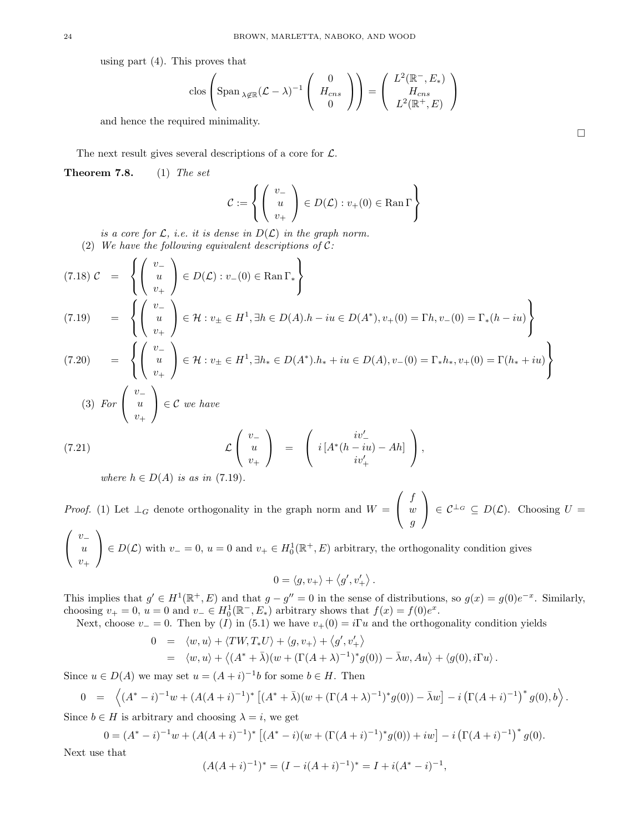using part (4). This proves that

$$
\operatorname{clos}\left(\operatorname{Span}_{\lambda \notin \mathbb{R}} (\mathcal{L} - \lambda)^{-1} \left( \begin{array}{c} 0 \\ H_{cns} \\ 0 \end{array} \right) \right) = \left( \begin{array}{c} L^2(\mathbb{R}^-, E_*) \\ H_{cns} \\ L^2(\mathbb{R}^+, E) \end{array} \right)
$$

and hence the required minimality.

The next result gives several descriptions of a core for  $\mathcal{L}$ .

**Theorem 7.8.** (1) The set

$$
\mathcal{C}:=\left\{\left(\begin{array}{c} v_- \\ u \\ v_+ \end{array}\right)\in D(\mathcal{L}): v_+(0)\in \mathrm{Ran}\,\Gamma\right\}
$$

is a core for L, i.e. it is dense in  $D(\mathcal{L})$  in the graph norm.

(2) We have the following equivalent descriptions of  $C$ :

$$
(7.18) \mathcal{C} = \left\{ \begin{pmatrix} v_- \\ u \\ v_+ \end{pmatrix} \in D(\mathcal{L}) : v_-(0) \in \text{Ran}\,\Gamma_* \right\}
$$
  
\n
$$
(7.19) = \left\{ \begin{pmatrix} v_- \\ u \\ v_+ \end{pmatrix} \in \mathcal{H} : v_\pm \in H^1, \exists h \in D(A).h - iu \in D(A^*), v_+(0) = \Gamma h, v_-(0) = \Gamma_*(h - iu) \right\}
$$
  
\n
$$
(7.20) = \left\{ \begin{pmatrix} v_- \\ u \\ v_+ \end{pmatrix} \in \mathcal{H} : v_\pm \in H^1, \exists h_* \in D(A^*).h_* + iu \in D(A), v_-(0) = \Gamma_*h_*, v_+(0) = \Gamma(h_* + iu) \right\}
$$
  
\n
$$
(3) \text{ For } \begin{pmatrix} v_- \\ u \\ v_+ \end{pmatrix} \in \mathcal{C} \text{ we have}
$$

(7.21) 
$$
\mathcal{L}\begin{pmatrix} v_- \\ u \\ v_+ \end{pmatrix} = \begin{pmatrix} iv'_- \\ i[A^*(h - iu) - Ah] \\ iv'_+ \end{pmatrix},
$$

where  $h \in D(A)$  is as in (7.19).

*Proof.* (1) Let  $\perp_G$  denote orthogonality in the graph norm and  $W =$  $\sqrt{ }$  $\mathcal{L}$ f w g  $\setminus$  $\Big\} \in \mathcal{C}^{\perp_G} \subseteq D(\mathcal{L}).$  Choosing  $U =$  $\sqrt{ }$  $v_-\$  $\setminus$ 

 $\mathcal{L}$ u  $v_+$  $\Big\} \in D(\mathcal{L})$  with  $v_-=0$ ,  $u=0$  and  $v_+ \in H_0^1(\mathbb{R}^+, E)$  arbitrary, the orthogonality condition gives

$$
0 = \langle g, v_+ \rangle + \langle g', v'_+ \rangle.
$$

This implies that  $g' \in H^1(\mathbb{R}^+, E)$  and that  $g - g'' = 0$  in the sense of distributions, so  $g(x) = g(0)e^{-x}$ . Similarly, choosing  $v_+ = 0$ ,  $u = 0$  and  $v_- \in H_0^1(\mathbb{R}^-, E_*)$  arbitrary shows that  $f(x) = f(0)e^x$ .

Next, choose  $v_ = 0$ . Then by (I) in (5.1) we have  $v_+(0) = i\Gamma u$  and the orthogonality condition yields

$$
0 = \langle w, u \rangle + \langle TW, T_*U \rangle + \langle g, v_+ \rangle + \langle g', v'_+ \rangle
$$
  
=  $\langle w, u \rangle + \langle (A^* + \bar{\lambda})(w + (\Gamma(A + \lambda)^{-1})^* g(0)) - \bar{\lambda}w, Au \rangle + \langle g(0), i\Gamma u \rangle.$ 

Since  $u \in D(A)$  we may set  $u = (A + i)^{-1}b$  for some  $b \in H$ . Then

$$
0 = \left\langle (A^* - i)^{-1} w + (A(A + i)^{-1})^* \left[ (A^* + \bar{\lambda})(w + (\Gamma(A + \lambda)^{-1})^* g(0)) - \bar{\lambda} w \right] - i \left( \Gamma(A + i)^{-1} \right)^* g(0), b \right\rangle.
$$

Since  $b \in H$  is arbitrary and choosing  $\lambda = i$ , we get

$$
0 = (A^* - i)^{-1}w + (A(A + i)^{-1})^* [(A^* - i)(w + (\Gamma(A + i)^{-1})^* g(0)) + iw] - i (\Gamma(A + i)^{-1})^* g(0).
$$

Next use that

$$
(A(A+i)^{-1})^* = (I - i(A+i)^{-1})^* = I + i(A^* - i)^{-1},
$$

 $\Box$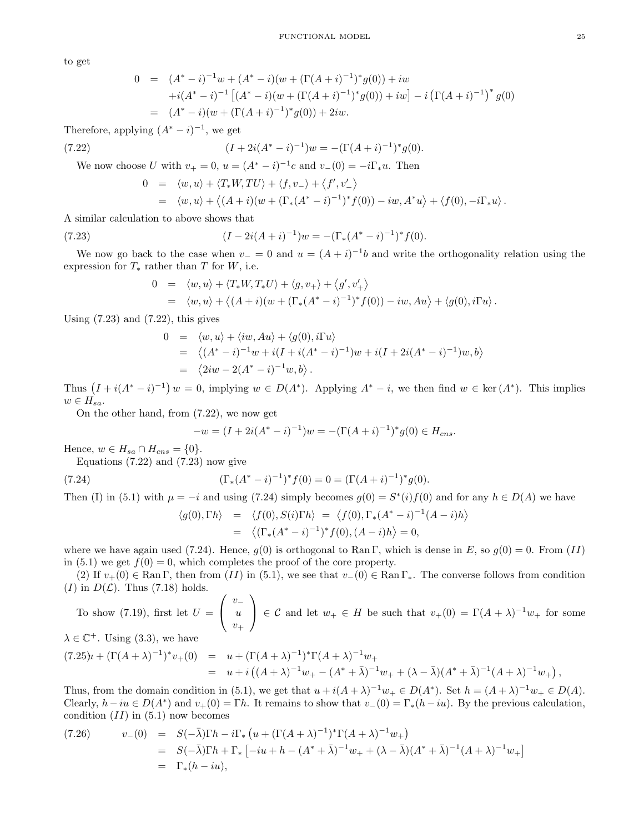to get

$$
0 = (A^* - i)^{-1}w + (A^* - i)(w + (\Gamma(A + i)^{-1})^*g(0)) + iw
$$
  
+ $i(A^* - i)^{-1} [(A^* - i)(w + (\Gamma(A + i)^{-1})^*g(0)) + iw] - i(\Gamma(A + i)^{-1})^*g(0)$   
=  $(A^* - i)(w + (\Gamma(A + i)^{-1})^*g(0)) + 2iw.$ 

Therefore, applying  $(A^* - i)^{-1}$ , we get

(7.22) 
$$
(I + 2i(A^* - i)^{-1})w = -(\Gamma(A + i)^{-1})^*g(0).
$$

We now choose U with  $v_+ = 0$ ,  $u = (A^* - i)^{-1}c$  and  $v_-(0) = -i\Gamma_*u$ . Then

$$
0 = \langle w, u \rangle + \langle T_* W, TU \rangle + \langle f, v_- \rangle + \langle f', v'_- \rangle
$$
  
=  $\langle w, u \rangle + \langle (A + i)(w + (\Gamma_*(A^* - i)^{-1})^* f(0)) - iw, A^* u \rangle + \langle f(0), -i\Gamma_* u \rangle.$ 

A similar calculation to above shows that

(7.23) 
$$
(I - 2i(A + i)^{-1})w = -(\Gamma_*(A^* - i)^{-1})^* f(0).
$$

We now go back to the case when  $v_-=0$  and  $u=(A+i)^{-1}b$  and write the orthogonality relation using the expression for  $T_*$  rather than T for W, i.e.

$$
0 = \langle w, u \rangle + \langle T_* W, T_* U \rangle + \langle g, v_+ \rangle + \langle g', v'_+ \rangle
$$
  
=  $\langle w, u \rangle + \langle (A + i)(w + (\Gamma_*(A^* - i)^{-1})^* f(0)) - iw, Au \rangle + \langle g(0), i\Gamma u \rangle.$ 

Using  $(7.23)$  and  $(7.22)$ , this gives

$$
0 = \langle w, u \rangle + \langle iw, Au \rangle + \langle g(0), i\Gamma u \rangle
$$
  
=  $\langle (A^* - i)^{-1}w + i(I + i(A^* - i)^{-1})w + i(I + 2i(A^* - i)^{-1})w, b \rangle$   
=  $\langle 2iw - 2(A^* - i)^{-1}w, b \rangle$ .

Thus  $(I + i(A^* - i)^{-1}) w = 0$ , implying  $w \in D(A^*)$ . Applying  $A^* - i$ , we then find  $w \in \text{ker}(A^*)$ . This implies  $w \in H_{sa}.$ 

On the other hand, from (7.22), we now get

$$
-w = (I + 2i(A^* - i)^{-1})w = -(\Gamma(A + i)^{-1})^*g(0) \in H_{\text{cns}}.
$$

Hence,  $w \in H_{sa} \cap H_{cns} = \{0\}.$ 

Equations  $(7.22)$  and  $(7.23)$  now give

(7.24) 
$$
(\Gamma_*(A^* - i)^{-1})^* f(0) = 0 = (\Gamma(A + i)^{-1})^* g(0).
$$

Then (I) in (5.1) with  $\mu = -i$  and using (7.24) simply becomes  $g(0) = S^*(i) f(0)$  and for any  $h \in D(A)$  we have

$$
\langle g(0), \Gamma h \rangle = \langle f(0), S(i) \Gamma h \rangle = \langle f(0), \Gamma_*(A^* - i)^{-1} (A - i) h \rangle
$$
  
=  $\langle (\Gamma_*(A^* - i)^{-1})^* f(0), (A - i) h \rangle = 0,$ 

 $\rangle$ 

where we have again used (7.24). Hence,  $g(0)$  is orthogonal to Ran Γ, which is dense in E, so  $g(0) = 0$ . From (II) in (5.1) we get  $f(0) = 0$ , which completes the proof of the core property.

(2) If  $v_+(0) \in \text{Ran } \Gamma$ , then from  $(II)$  in (5.1), we see that  $v_-(0) \in \text{Ran } \Gamma_*$ . The converse follows from condition  $(I)$  in  $D(\mathcal{L})$ . Thus (7.18) holds.

To show (7.19), first let  $U =$  $\sqrt{ }$  $\mathcal{L}$  $v_+$ u  $v_+$  $\setminus$  $\Big\} \in \mathcal{C}$  and let  $w_+ \in H$  be such that  $v_+(0) = \Gamma(A + \lambda)^{-1}w_+$  for some  $\lambda \in \mathbb{C}^+$ . Using (3.3), we have

$$
(7.25)u + (\Gamma(A+\lambda)^{-1})^* v_+(0) = u + (\Gamma(A+\lambda)^{-1})^* \Gamma(A+\lambda)^{-1} w_+
$$
  
=  $u + i ((A+\lambda)^{-1} w_+ - (A^*+\bar{\lambda})^{-1} w_+ + (\lambda - \bar{\lambda}) (A^*+\bar{\lambda})^{-1} (A+\lambda)^{-1} w_+),$ 

Thus, from the domain condition in (5.1), we get that  $u + i(A + \lambda)^{-1}w_+ \in D(A^*)$ . Set  $h = (A + \lambda)^{-1}w_+ \in D(A)$ . Clearly,  $h - iu \in D(A^*)$  and  $v_+(0) = \Gamma h$ . It remains to show that  $v_-(0) = \Gamma_*(h - iu)$ . By the previous calculation, condition  $(II)$  in  $(5.1)$  now becomes

(7.26) 
$$
v_{-}(0) = S(-\bar{\lambda})\Gamma h - i\Gamma_{*} \left( u + (\Gamma(A + \lambda)^{-1})^{*} \Gamma(A + \lambda)^{-1} w_{+} \right)
$$
  
\n
$$
= S(-\bar{\lambda})\Gamma h + \Gamma_{*} \left[ -iu + h - (A^{*} + \bar{\lambda})^{-1} w_{+} + (\lambda - \bar{\lambda})(A^{*} + \bar{\lambda})^{-1} (A + \lambda)^{-1} w_{+} \right]
$$
  
\n
$$
= \Gamma_{*}(h - iu),
$$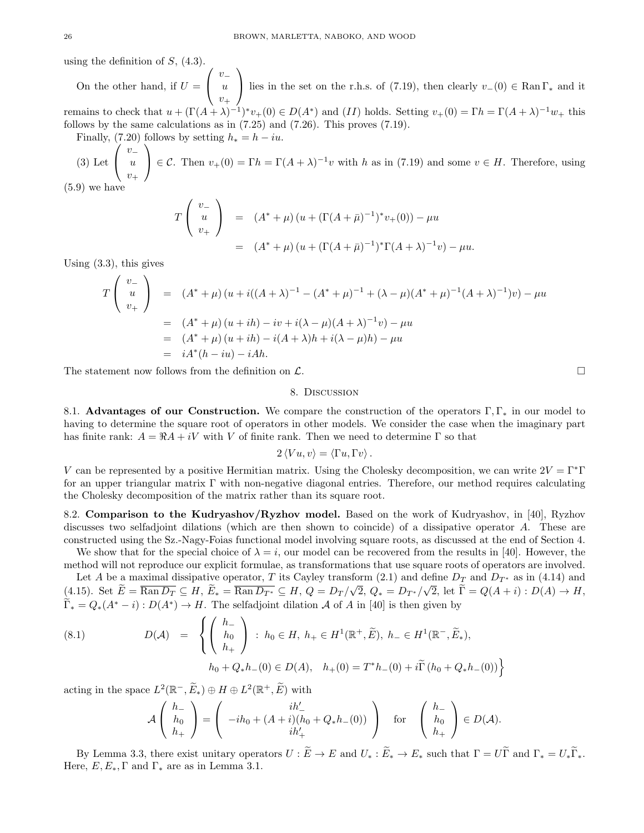using the definition of  $S$ ,  $(4.3)$ .

On the other hand, if  $U =$  $\sqrt{ }$  $\mathcal{L}$  $v_-\$ u  $v_+$  $\setminus$ lies in the set on the r.h.s. of (7.19), then clearly  $v_-(0) \in \text{Ran} \Gamma_*$  and it remains to check that  $u + (\Gamma(A + \lambda)^{-1})^* v_+(0) \in D(A^*)$  and  $(II)$  holds. Setting  $v_+(0) = \Gamma h = \Gamma(A + \lambda)^{-1} w_+$  this follows by the same calculations as in (7.25) and (7.26). This proves (7.19).

Finally, (7.20) follows by setting  $h_* = h - iu$ .  $\sqrt{ }$  $\setminus$ 

(3) Let  $\mathcal{L}$  $v<sub>−</sub>$ u  $v_+$  $\Big\} \in \mathcal{C}$ . Then  $v_+(0) = \Gamma h = \Gamma (A + \lambda)^{-1} v$  with h as in (7.19) and some  $v \in H$ . Therefore, using

(5.9) we have

$$
T\begin{pmatrix} v_- \\ u \\ v_+ \end{pmatrix} = (A^* + \mu) (u + (\Gamma(A + \bar{\mu})^{-1})^* v_+(0)) - \mu u
$$
  
=  $(A^* + \mu) (u + (\Gamma(A + \bar{\mu})^{-1})^* \Gamma(A + \lambda)^{-1} v) - \mu u.$ 

Using (3.3), this gives

$$
T\begin{pmatrix} v_- \\ u \\ v_+ \end{pmatrix} = (A^* + \mu) (u + i((A + \lambda)^{-1} - (A^* + \mu)^{-1} + (\lambda - \mu)(A^* + \mu)^{-1}(A + \lambda)^{-1})v) - \mu u
$$
  
=  $(A^* + \mu) (u + ih) - iv + i(\lambda - \mu)(A + \lambda)^{-1}v) - \mu u$   
=  $(A^* + \mu) (u + ih) - i(A + \lambda)h + i(\lambda - \mu)h) - \mu u$   
=  $iA^*(h - iu) - iAh.$ 

The statement now follows from the definition on  $\mathcal{L}$ .

#### 8. Discussion

8.1. Advantages of our Construction. We compare the construction of the operators Γ, Γ<sup>∗</sup> in our model to having to determine the square root of operators in other models. We consider the case when the imaginary part has finite rank:  $A = \Re A + iV$  with V of finite rank. Then we need to determine  $\Gamma$  so that

$$
2\langle Vu, v\rangle = \langle \Gamma u, \Gamma v\rangle.
$$

V can be represented by a positive Hermitian matrix. Using the Cholesky decomposition, we can write  $2V = \Gamma^* \Gamma$ for an upper triangular matrix Γ with non-negative diagonal entries. Therefore, our method requires calculating the Cholesky decomposition of the matrix rather than its square root.

8.2. Comparison to the Kudryashov/Ryzhov model. Based on the work of Kudryashov, in [40], Ryzhov discusses two selfadjoint dilations (which are then shown to coincide) of a dissipative operator A. These are constructed using the Sz.-Nagy-Foias functional model involving square roots, as discussed at the end of Section 4.

We show that for the special choice of  $\lambda = i$ , our model can be recovered from the results in [40]. However, the method will not reproduce our explicit formulae, as transformations that use square roots of operators are involved.

Let A be a maximal dissipative operator, T its Cayley transform (2.1) and define  $D_T$  and  $D_{T^*}$  as in (4.14) and (4.15). Set  $E = \overline{\text{Ran }D_T} \subseteq H$ ,  $E_* = \overline{\text{Ran }D_{T^*}} \subseteq H$ ,  $Q = D_T /$ √  $2, Q_* = D_{T^*}/$ √ 2, let  $\Gamma = Q(A + i) : D(A) \to H$ ,  $\widetilde{\Gamma}_* = Q_*(A^* - i) : D(A^*) \to H$ . The selfadjoint dilation A of A in [40] is then given by

(8.1) 
$$
D(\mathcal{A}) = \left\{ \begin{pmatrix} h_{-} \\ h_{0} \\ h_{+} \end{pmatrix} : h_{0} \in H, h_{+} \in H^{1}(\mathbb{R}^{+}, \widetilde{E}), h_{-} \in H^{1}(\mathbb{R}^{-}, \widetilde{E}_{*}),
$$

$$
h_{0} + Q_{*}h_{-}(0) \in D(\mathcal{A}), h_{+}(0) = T^{*}h_{-}(0) + i\widetilde{\Gamma}(h_{0} + Q_{*}h_{-}(0)) \right\}
$$

acting in the space  $L^2(\mathbb{R}^-, \widetilde{E}_*) \oplus H \oplus L^2(\mathbb{R}^+, \widetilde{E})$  with

$$
\mathcal{A}\left(\begin{array}{c} h_- \\ h_0 \\ h_+ \end{array}\right) = \left(\begin{array}{c} ih_0 + (A+i)(h_0 + Q_*h_-(0)) \\ ih'_+ \end{array}\right) \quad \text{for} \quad \left(\begin{array}{c} h_- \\ h_0 \\ h_+ \end{array}\right) \in D(\mathcal{A}).
$$

By Lemma 3.3, there exist unitary operators  $U : \widetilde{E} \to E$  and  $U_* : \widetilde{E}_* \to E_*$  such that  $\Gamma = U\widetilde{\Gamma}$  and  $\Gamma_* = U_*\widetilde{\Gamma}_*$ . Here,  $E, E_*, \Gamma$  and  $\Gamma_*$  are as in Lemma 3.1.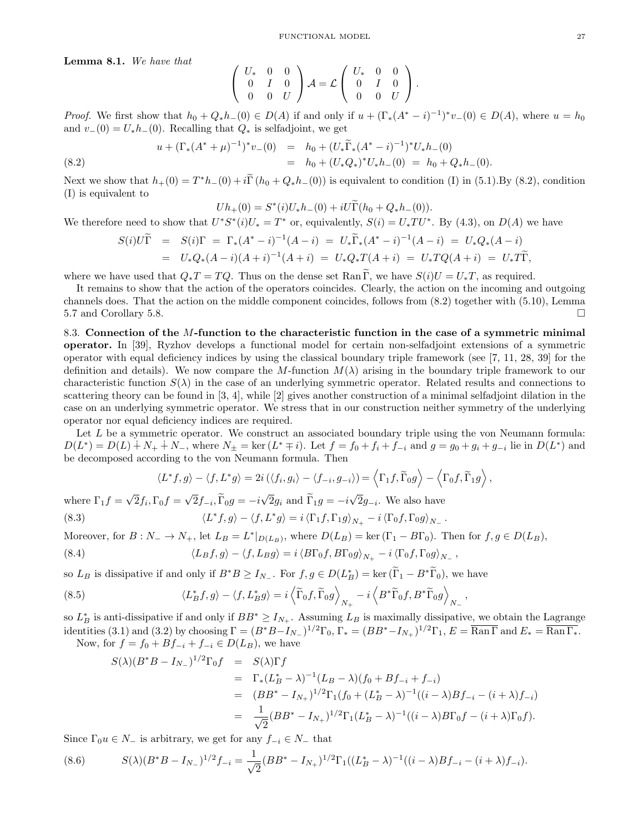Lemma 8.1. We have that

$$
\left(\begin{array}{ccc} U_{*} & 0 & 0 \\ 0 & I & 0 \\ 0 & 0 & U \end{array}\right) A = \mathcal{L} \left(\begin{array}{ccc} U_{*} & 0 & 0 \\ 0 & I & 0 \\ 0 & 0 & U \end{array}\right).
$$

*Proof.* We first show that  $h_0 + Q_*h_-(0) \in D(A)$  if and only if  $u + (\Gamma_*(A^* - i)^{-1})^*v_-(0) \in D(A)$ , where  $u = h_0$ and  $v_-(0) = U_*h_-(0)$ . Recalling that  $Q_*$  is selfadjoint, we get

(8.2) 
$$
u + (\Gamma_*(A^* + \mu)^{-1})^* v_{-}(0) = h_0 + (U_* \widetilde{\Gamma}_*(A^* - i)^{-1})^* U_* h_{-}(0)
$$

$$
= h_0 + (U_* Q_*)^* U_* h_{-}(0) = h_0 + Q_* h_{-}(0).
$$

Next we show that  $h_{+}(0) = T^{*}h_{-}(0) + i\tilde{\Gamma}(h_{0} + Q_{*}h_{-}(0))$  is equivalent to condition (I) in (5.1). By (8.2), condition (I) is equivalent to

$$
Uh_+(0) = S^*(i)U_*h_-(0) + iU\widetilde{\Gamma}(h_0 + Q_*h_-(0)).
$$

We therefore need to show that  $U^*S^*(i)U_* = T^*$  or, equivalently,  $S(i) = U_*TU^*$ . By (4.3), on  $D(A)$  we have

$$
S(i)U\tilde{\Gamma} = S(i)\Gamma = \Gamma_*(A^* - i)^{-1}(A - i) = U_*\tilde{\Gamma}_*(A^* - i)^{-1}(A - i) = U_*Q_*(A - i)
$$
  
=  $U_*Q_*(A - i)(A + i)^{-1}(A + i) = U_*Q_*T(A + i) = U_*TQ(A + i) = U_*T\tilde{\Gamma},$ 

where we have used that  $Q_*T = TQ$ . Thus on the dense set Ran  $\tilde{\Gamma}$ , we have  $S(i)U = U_*T$ , as required.

It remains to show that the action of the operators coincides. Clearly, the action on the incoming and outgoing channels does. That the action on the middle component coincides, follows from (8.2) together with (5.10), Lemma 5.7 and Corollary 5.8.

8.3. Connection of the M-function to the characteristic function in the case of a symmetric minimal operator. In [39], Ryzhov develops a functional model for certain non-selfadjoint extensions of a symmetric operator with equal deficiency indices by using the classical boundary triple framework (see [7, 11, 28, 39] for the definition and details). We now compare the M-function  $M(\lambda)$  arising in the boundary triple framework to our characteristic function  $S(\lambda)$  in the case of an underlying symmetric operator. Related results and connections to scattering theory can be found in [3, 4], while [2] gives another construction of a minimal selfadjoint dilation in the case on an underlying symmetric operator. We stress that in our construction neither symmetry of the underlying operator nor equal deficiency indices are required.

Let  $L$  be a symmetric operator. We construct an associated boundary triple using the von Neumann formula:  $D(L^*) = D(L) + N_+ + N_-,$  where  $N_{\pm} = \ker(L^* \mp i)$ . Let  $f = f_0 + f_i + f_{-i}$  and  $g = g_0 + g_i + g_{-i}$  lie in  $D(L^*)$  and be decomposed according to the von Neumann formula. Then

$$
\langle L^* f, g \rangle - \langle f, L^* g \rangle = 2i \left( \langle f_i, g_i \rangle - \langle f_{-i}, g_{-i} \rangle \right) = \langle \Gamma_1 f, \widetilde{\Gamma}_0 g \rangle - \langle \Gamma_0 f, \widetilde{\Gamma}_1 g \rangle,
$$

where  $\Gamma_1 f =$ √  $2f_i, \Gamma_0 f =$  $2f_{-i}, \Gamma_0 g = -i$ 2 $g_i$  and  $\Gamma_1 g = -i$ 2 $g_{-i}$ . We also have  $(8.3)$  $\langle f, g \rangle - \langle f, L^* g \rangle = i \langle \Gamma_1 f, \Gamma_1 g \rangle_{N_+} - i \langle \Gamma_0 f, \Gamma_0 g \rangle_{N_-}.$ 

Moreover, for  $B: N_-\to N_+$ , let  $L_B=L^*|_{D(L_B)}$ , where  $D(L_B)=\text{ker}(\Gamma_1-B\Gamma_0)$ . Then for  $f,g\in D(L_B)$ , (8.4)  $\langle L_B f, g \rangle - \langle f, L_B g \rangle = i \langle B \Gamma_0 f, B \Gamma_0 g \rangle_{N_+} - i \langle \Gamma_0 f, \Gamma_0 g \rangle_{N_-}$ 

so  $L_B$  is dissipative if and only if  $B^*B \ge I_{N_-}$ . For  $f, g \in D(L_B^*) = \text{ker}(\tilde{\Gamma}_1 - B^*\tilde{\Gamma}_0)$ , we have

(8.5) 
$$
\langle L_B^* f, g \rangle - \langle f, L_B^* g \rangle = i \left\langle \widetilde{\Gamma}_0 f, \widetilde{\Gamma}_0 g \right\rangle_{N_+} - i \left\langle B^* \widetilde{\Gamma}_0 f, B^* \widetilde{\Gamma}_0 g \right\rangle_{N_-},
$$

so  $L_B^*$  is anti-dissipative if and only if  $BB^* \geq I_{N_+}$ . Assuming  $L_B$  is maximally dissipative, we obtain the Lagrange identities (3.1) and (3.2) by choosing  $\Gamma = (B^*B - I_{N_-})^{1/2}\Gamma_0$ ,  $\Gamma_* = (BB^* - I_{N_+})^{1/2}\Gamma_1$ ,  $E = \overline{\text{Ran}\Gamma}$  and  $E_* = \overline{\text{Ran}\Gamma_*}$ .

Now, for  $f = f_0 + Bf_{-i} + f_{-i} \in D(L_B)$ , we have

$$
S(\lambda)(B^*B - I_{N-})^{1/2}\Gamma_0 f = S(\lambda)\Gamma f
$$
  
=  $\Gamma_*(L_B^* - \lambda)^{-1}(L_B - \lambda)(f_0 + Bf_{-i} + f_{-i})$   
=  $(BB^* - I_{N+})^{1/2}\Gamma_1(f_0 + (L_B^* - \lambda)^{-1}((i - \lambda)Bf_{-i} - (i + \lambda)f_{-i})$   
=  $\frac{1}{\sqrt{2}}(BB^* - I_{N+})^{1/2}\Gamma_1(L_B^* - \lambda)^{-1}((i - \lambda)B\Gamma_0f - (i + \lambda)\Gamma_0f).$ 

Since  $\Gamma_0 u \in N_-\$  is arbitrary, we get for any  $f_{-i} \in N_-\$  that

$$
(8.6) \qquad S(\lambda)(B^*B - I_{N_-})^{1/2}f_{-i} = \frac{1}{\sqrt{2}}(BB^* - I_{N_+})^{1/2}\Gamma_1((L_B^* - \lambda)^{-1}((i - \lambda)Bf_{-i} - (i + \lambda)f_{-i}).
$$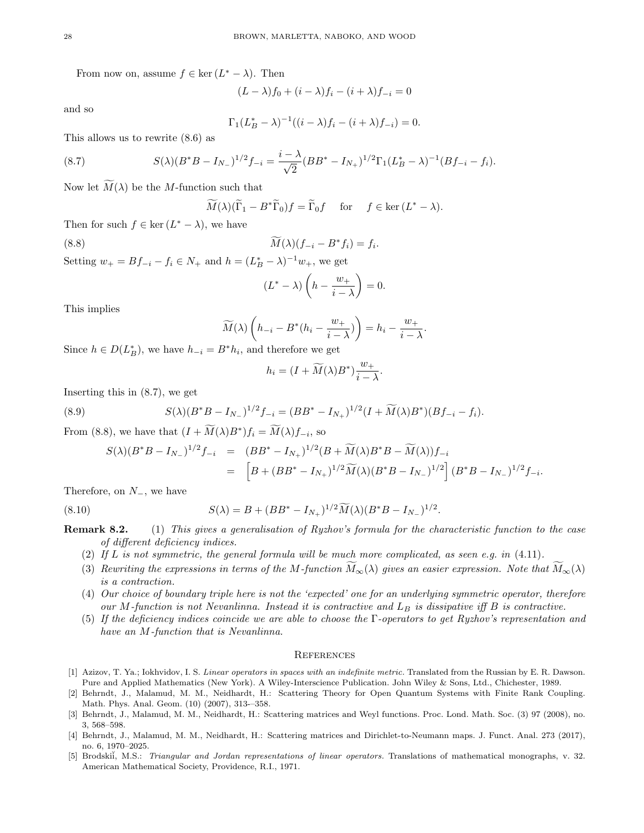From now on, assume  $f \in \text{ker}(L^* - \lambda)$ . Then

$$
(L - \lambda)f_0 + (i - \lambda)f_i - (i + \lambda)f_{-i} = 0
$$

and so

$$
\Gamma_1 (L_B^* - \lambda)^{-1} ((i - \lambda) f_i - (i + \lambda) f_{-i}) = 0.
$$

This allows us to rewrite (8.6) as

(8.7) 
$$
S(\lambda)(B^*B - I_{N_-})^{1/2}f_{-i} = \frac{i - \lambda}{\sqrt{2}}(BB^* - I_{N_+})^{1/2}\Gamma_1(L_B^* - \lambda)^{-1}(Bf_{-i} - f_i).
$$

Now let  $\widetilde{M}(\lambda)$  be the M-function such that

$$
\widetilde{M}(\lambda)(\widetilde{\Gamma}_1 - B^*\widetilde{\Gamma}_0)f = \widetilde{\Gamma}_0f \quad \text{for} \quad f \in \ker\,(L^* - \lambda).
$$

Then for such  $f \in \ker (L^* - \lambda)$ , we have

(8.8) 
$$
\widetilde{M}(\lambda)(f_{-i} - B^* f_i) = f_i.
$$

Setting  $w_+ = Bf_{-i} - f_i \in N_+$  and  $h = (L_B^* - \lambda)^{-1} w_+$ , we get

$$
(L^* - \lambda) \left( h - \frac{w_+}{i - \lambda} \right) = 0.
$$

This implies

$$
\widetilde{M}(\lambda)\left(h_{-i}-B^*(h_i-\frac{w_+}{i-\lambda})\right)=h_i-\frac{w_+}{i-\lambda}.
$$

Since  $h \in D(L^*_{B})$ , we have  $h_{-i} = B^* h_i$ , and therefore we get

$$
h_i = (I + \widetilde{M}(\lambda)B^*)\frac{w_+}{i - \lambda}.
$$

Inserting this in (8.7), we get

(8.9) 
$$
S(\lambda)(B^*B - I_{N_-})^{1/2}f_{-i} = (BB^* - I_{N_+})^{1/2}(I + \widetilde{M}(\lambda)B^*)(Bf_{-i} - f_i).
$$

From (8.8), we have that  $(I + \widetilde{M}(\lambda)B^*)f_i = \widetilde{M}(\lambda)f_{-i}$ , so

$$
S(\lambda)(B^*B - I_{N_-})^{1/2}f_{-i} = (BB^* - I_{N_+})^{1/2}(B + \widetilde{M}(\lambda)B^*B - \widetilde{M}(\lambda))f_{-i}
$$
  
= 
$$
\left[B + (BB^* - I_{N_+})^{1/2}\widetilde{M}(\lambda)(B^*B - I_{N_-})^{1/2}\right](B^*B - I_{N_-})^{1/2}f_{-i}.
$$

Therefore, on  $N_$ , we have

(8.10) 
$$
S(\lambda) = B + (BB^* - I_{N_+})^{1/2} \widetilde{M}(\lambda) (B^*B - I_{N_-})^{1/2}.
$$

Remark 8.2. (1) This gives a generalisation of Ryzhov's formula for the characteristic function to the case of different deficiency indices.

- (2) If L is not symmetric, the general formula will be much more complicated, as seen e.g. in  $(4.11)$ .
- (3) Rewriting the expressions in terms of the M-function  $\tilde{M}_{\infty}(\lambda)$  gives an easier expression. Note that  $\tilde{M}_{\infty}(\lambda)$ is a contraction.
- (4) Our choice of boundary triple here is not the 'expected' one for an underlying symmetric operator, therefore our M-function is not Nevanlinna. Instead it is contractive and  $L_B$  is dissipative iff B is contractive.
- (5) If the deficiency indices coincide we are able to choose the Γ-operators to get Ryzhov's representation and have an M-function that is Nevanlinna.

#### **REFERENCES**

- [1] Azizov, T. Ya.; Iokhvidov, I. S. Linear operators in spaces with an indefinite metric. Translated from the Russian by E. R. Dawson. Pure and Applied Mathematics (New York). A Wiley-Interscience Publication. John Wiley & Sons, Ltd., Chichester, 1989.
- [2] Behrndt, J., Malamud, M. M., Neidhardt, H.: Scattering Theory for Open Quantum Systems with Finite Rank Coupling. Math. Phys. Anal. Geom. (10) (2007), 313-–358.
- [3] Behrndt, J., Malamud, M. M., Neidhardt, H.: Scattering matrices and Weyl functions. Proc. Lond. Math. Soc. (3) 97 (2008), no. 3, 568–598.
- [4] Behrndt, J., Malamud, M. M., Neidhardt, H.: Scattering matrices and Dirichlet-to-Neumann maps. J. Funct. Anal. 273 (2017), no. 6, 1970–2025.
- [5] Brodskii, M.S.: Triangular and Jordan representations of linear operators. Translations of mathematical monographs, v. 32. American Mathematical Society, Providence, R.I., 1971.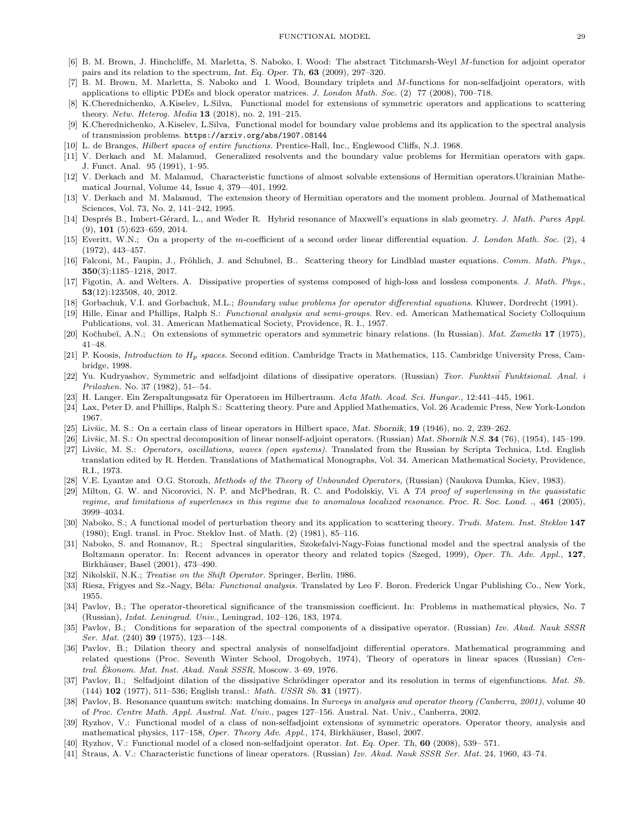- [6] B. M. Brown, J. Hinchcliffe, M. Marletta, S. Naboko, I. Wood: The abstract Titchmarsh-Weyl M-function for adjoint operator pairs and its relation to the spectrum, Int. Eq. Oper. Th, 63 (2009), 297–320.
- [7] B. M. Brown, M. Marletta, S. Naboko and I. Wood, Boundary triplets and M-functions for non-selfadjoint operators, with applications to elliptic PDEs and block operator matrices. J. London Math. Soc. (2) 77 (2008), 700–718.
- [8] K.Cherednichenko, A.Kiselev, L.Silva, Functional model for extensions of symmetric operators and applications to scattering theory. Netw. Heterog. Media 13 (2018), no. 2, 191–215.
- [9] K.Cherednichenko, A.Kiselev, L.Silva, Functional model for boundary value problems and its application to the spectral analysis of transmission problems. https://arxiv.org/abs/1907.08144
- [10] L. de Branges, Hilbert spaces of entire functions. Prentice-Hall, Inc., Englewood Cliffs, N.J. 1968.
- [11] V. Derkach and M. Malamud, Generalized resolvents and the boundary value problems for Hermitian operators with gaps. J. Funct. Anal. 95 (1991), 1–95.
- [12] V. Derkach and M. Malamud, Characteristic functions of almost solvable extensions of Hermitian operators.Ukrainian Mathematical Journal, Volume 44, Issue 4, 379—401, 1992.
- [13] V. Derkach and M. Malamud, The extension theory of Hermitian operators and the moment problem. Journal of Mathematical Sciences, Vol. 73, No. 2, 141–242, 1995.
- [14] Després B., Imbert-Gérard, L., and Weder R. Hybrid resonance of Maxwell's equations in slab geometry. J. Math. Pures Appl. (9), 101 (5):623–659, 2014.
- [15] Everitt, W.N.; On a property of the m-coefficient of a second order linear differential equation. J. London Math. Soc. (2), 4 (1972), 443–457.
- [16] Falconi, M., Faupin, J., Fröhlich, J. and Schubnel, B.. Scattering theory for Lindblad master equations. Comm. Math. Phys., 350(3):1185–1218, 2017.
- [17] Figotin, A. and Welters. A. Dissipative properties of systems composed of high-loss and lossless components. J. Math. Phys., 53(12):123508, 40, 2012.
- [18] Gorbachuk, V.I. and Gorbachuk, M.L.; Boundary value problems for operator differential equations. Kluwer, Dordrecht (1991).
- [19] Hille, Einar and Phillips, Ralph S.: Functional analysis and semi-groups. Rev. ed. American Mathematical Society Colloquium Publications, vol. 31. American Mathematical Society, Providence, R. I., 1957.
- [20] Kočhubeĭ, A.N.; On extensions of symmetric operators and symmetric binary relations. (In Russian). Mat. Zametki 17 (1975), 41–48.
- [21] P. Koosis, *Introduction to*  $H_p$  spaces. Second edition. Cambridge Tracts in Mathematics, 115. Cambridge University Press, Cambridge, 1998.
- [22] Yu. Kudryashov, Symmetric and selfadjoint dilations of dissipative operators. (Russian) Teor. Funktsii Funktsional. Anal. i Prilozhen. No. 37 (1982), 51-–54.
- [23] H. Langer. Ein Zerspaltungssatz für Operatoren im Hilbertraum. Acta Math. Acad. Sci. Hungar., 12:441–445, 1961.
- [24] Lax, Peter D. and Phillips, Ralph S.: Scattering theory. Pure and Applied Mathematics, Vol. 26 Academic Press, New York-London 1967.
- [25] Livšic, M. S.: On a certain class of linear operators in Hilbert space, Mat. Sbornik, 19 (1946), no. 2, 239–262.
- [26] Livšic, M. S.: On spectral decomposition of linear nonself-adjoint operators. (Russian) Mat. Sbornik N.S. 34 (76), (1954), 145–199.
- [27] Livšic, M. S.: Operators, oscillations, waves (open systems). Translated from the Russian by Scripta Technica, Ltd. English translation edited by R. Herden. Translations of Mathematical Monographs, Vol. 34. American Mathematical Society, Providence, R.I., 1973.
- [28] V.E. Lyantze and O.G. Storozh, Methods of the Theory of Unbounded Operators, (Russian) (Naukova Dumka, Kiev, 1983).
- [29] Milton, G. W. and Nicorovici, N. P. and McPhedran, R. C. and Podolskiy, Vi. A TA proof of superlensing in the quasistatic regime, and limitations of superlenses in this regime due to anomalous localized resonance. Proc. R. Soc. Lond. ., 461 (2005), 3999–4034.
- [30] Naboko, S.; A functional model of perturbation theory and its application to scattering theory. Trudi. Matem. Inst. Steklov 147 (1980); Engl. transl. in Proc. Steklov Inst. of Math. (2) (1981), 85–116.
- [31] Naboko, S. and Romanov, R.; Spectral singularities, Szokefalvi-Nagy-Foias functional model and the spectral analysis of the Boltzmann operator. In: Recent advances in operator theory and related topics (Szeged, 1999), Oper. Th. Adv. Appl., 127, Birkhäuser, Basel (2001), 473-490.
- [32] Nikolskiı̆, N.K.; *Treatise on the Shift Operator*. Springer, Berlin, 1986.
- [33] Riesz, Frigyes and Sz.-Nagy, Béla: Functional analysis. Translated by Leo F. Boron. Frederick Ungar Publishing Co., New York, 1955.
- [34] Pavlov, B.; The operator-theoretical significance of the transmission coefficient. In: Problems in mathematical physics, No. 7 (Russian), Izdat. Leningrad. Univ., Leningrad, 102–126, 183, 1974.
- [35] Pavlov, B.; Conditions for separation of the spectral components of a dissipative operator. (Russian) Izv. Akad. Nauk SSSR *Ser. Mat.*  $(240)$  **39**  $(1975)$ ,  $123-148$ .
- [36] Pavlov, B.; Dilation theory and spectral analysis of nonselfadjoint differential operators. Mathematical programming and related questions (Proc. Seventh Winter School, Drogobych, 1974), Theory of operators in linear spaces (Russian) Central. Ekonom. Mat. Inst. Akad. Nauk SSSR, Moscow. 3-69, 1976.
- [37] Pavlov, B.; Selfadjoint dilation of the dissipative Schrödinger operator and its resolution in terms of eigenfunctions. Mat. Sb. (144) 102 (1977), 511–536; English transl.: Math. USSR Sb. 31 (1977).
- [38] Pavlov, B. Resonance quantum switch: matching domains. In Surveys in analysis and operator theory (Canberra, 2001), volume 40 of Proc. Centre Math. Appl. Austral. Nat. Univ., pages 127–156. Austral. Nat. Univ., Canberra, 2002.
- [39] Ryzhov, V.: Functional model of a class of non-selfadjoint extensions of symmetric operators. Operator theory, analysis and mathematical physics, 117–158, Oper. Theory Adv. Appl., 174, Birkhäuser, Basel, 2007.
- [40] Ryzhov, V.: Functional model of a closed non-selfadjoint operator. Int. Eq. Oper. Th, 60 (2008), 539– 571.
- [41] Straus, A. V.: Characteristic functions of linear operators. (Russian) *Izv. Akad. Nauk SSSR Ser. Mat.* 24, 1960, 43–74.